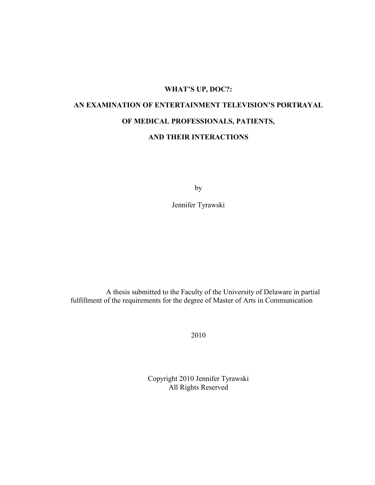## **WHAT'S UP, DOC?:**

# **AN EXAMINATION OF ENTERTAINMENT TELEVISION'S PORTRAYAL OF MEDICAL PROFESSIONALS, PATIENTS,**

## **AND THEIR INTERACTIONS**

by

Jennifer Tyrawski

A thesis submitted to the Faculty of the University of Delaware in partial fulfillment of the requirements for the degree of Master of Arts in Communication

2010

Copyright 2010 Jennifer Tyrawski All Rights Reserved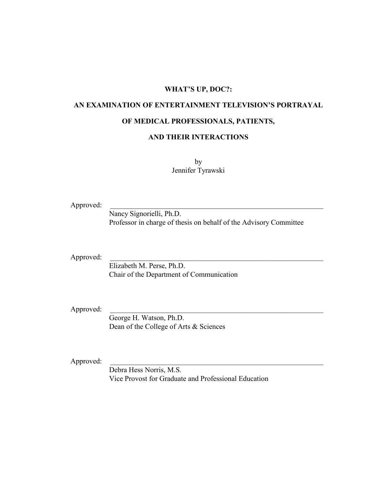## **WHAT'S UP, DOC?:**

## **AN EXAMINATION OF ENTERTAINMENT TELEVISION'S PORTRAYAL**

## **OF MEDICAL PROFESSIONALS, PATIENTS,**

### **AND THEIR INTERACTIONS**

by Jennifer Tyrawski

Approved:

Nancy Signorielli, Ph.D. Professor in charge of thesis on behalf of the Advisory Committee

Approved:

Elizabeth M. Perse, Ph.D. Chair of the Department of Communication

Approved:

George H. Watson, Ph.D. Dean of the College of Arts & Sciences

Approved:

Debra Hess Norris, M.S. Vice Provost for Graduate and Professional Education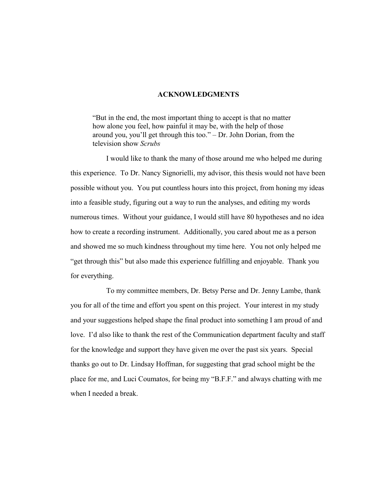#### **ACKNOWLEDGMENTS**

―But in the end, the most important thing to accept is that no matter how alone you feel, how painful it may be, with the help of those around you, you'll get through this too."  $-$  Dr. John Dorian, from the television show *Scrubs*

I would like to thank the many of those around me who helped me during this experience. To Dr. Nancy Signorielli, my advisor, this thesis would not have been possible without you. You put countless hours into this project, from honing my ideas into a feasible study, figuring out a way to run the analyses, and editing my words numerous times. Without your guidance, I would still have 80 hypotheses and no idea how to create a recording instrument. Additionally, you cared about me as a person and showed me so much kindness throughout my time here. You not only helped me "get through this" but also made this experience fulfilling and enjoyable. Thank you for everything.

To my committee members, Dr. Betsy Perse and Dr. Jenny Lambe, thank you for all of the time and effort you spent on this project. Your interest in my study and your suggestions helped shape the final product into something I am proud of and love. I'd also like to thank the rest of the Communication department faculty and staff for the knowledge and support they have given me over the past six years. Special thanks go out to Dr. Lindsay Hoffman, for suggesting that grad school might be the place for me, and Luci Coumatos, for being my "B.F.F." and always chatting with me when I needed a break.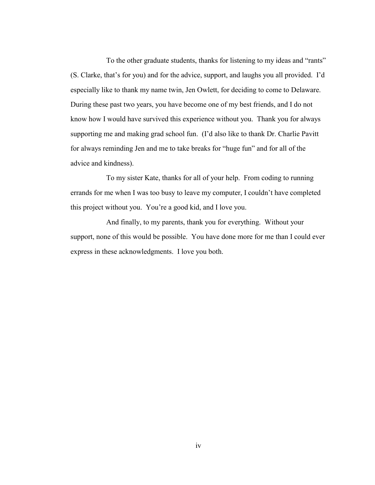To the other graduate students, thanks for listening to my ideas and "rants" (S. Clarke, that's for you) and for the advice, support, and laughs you all provided. I'd especially like to thank my name twin, Jen Owlett, for deciding to come to Delaware. During these past two years, you have become one of my best friends, and I do not know how I would have survived this experience without you. Thank you for always supporting me and making grad school fun. (I'd also like to thank Dr. Charlie Pavitt for always reminding Jen and me to take breaks for "huge fun" and for all of the advice and kindness).

To my sister Kate, thanks for all of your help. From coding to running errands for me when I was too busy to leave my computer, I couldn't have completed this project without you. You're a good kid, and I love you.

And finally, to my parents, thank you for everything. Without your support, none of this would be possible. You have done more for me than I could ever express in these acknowledgments. I love you both.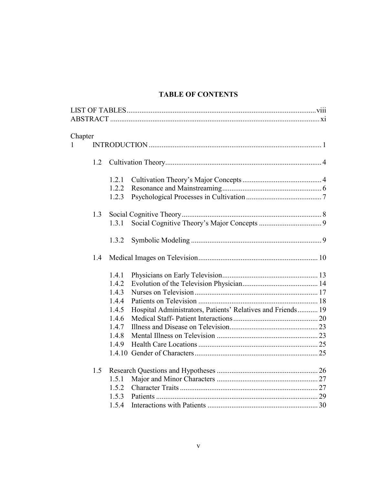## **TABLE OF CONTENTS**

| Chapter      |     |       |                                                             |  |
|--------------|-----|-------|-------------------------------------------------------------|--|
| $\mathbf{1}$ |     |       |                                                             |  |
|              | 1.2 |       |                                                             |  |
|              |     | 1.2.1 |                                                             |  |
|              |     | 1.2.2 |                                                             |  |
|              |     | 1.2.3 |                                                             |  |
|              | 1.3 |       |                                                             |  |
|              |     | 1.3.1 |                                                             |  |
|              |     | 1.3.2 |                                                             |  |
|              | 1.4 |       |                                                             |  |
|              |     | 1.4.1 |                                                             |  |
|              |     | 1.4.2 |                                                             |  |
|              |     | 1.4.3 |                                                             |  |
|              |     | 1.4.4 |                                                             |  |
|              |     | 1.4.5 | Hospital Administrators, Patients' Relatives and Friends 19 |  |
|              |     | 1.4.6 |                                                             |  |
|              |     | 1.4.7 |                                                             |  |
|              |     | 1.4.8 |                                                             |  |
|              |     | 1.4.9 |                                                             |  |
|              |     |       |                                                             |  |
|              | 1.5 |       |                                                             |  |
|              |     | 1.5.1 |                                                             |  |
|              |     | 1.5.2 |                                                             |  |
|              |     | 1.5.3 |                                                             |  |
|              |     | 1.5.4 |                                                             |  |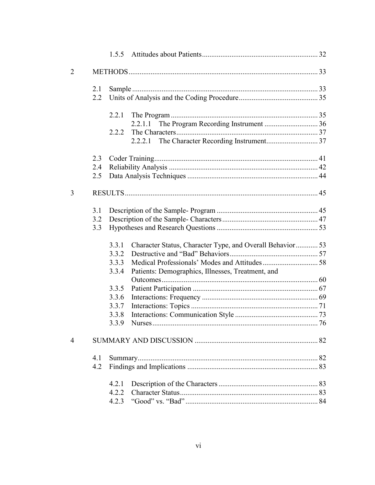| $\overline{2}$ |     |       |                                                           |    |
|----------------|-----|-------|-----------------------------------------------------------|----|
|                | 2.1 |       |                                                           |    |
|                | 2.2 |       |                                                           |    |
|                |     | 2.2.1 |                                                           |    |
|                |     |       | 2.2.1.1                                                   |    |
|                |     | 2.2.2 |                                                           |    |
|                |     |       |                                                           |    |
|                | 2.3 |       |                                                           |    |
|                | 2.4 |       |                                                           |    |
|                | 2.5 |       |                                                           |    |
| 3              |     |       |                                                           |    |
|                | 3.1 |       |                                                           |    |
|                | 3.2 |       |                                                           |    |
|                | 3.3 |       |                                                           |    |
|                |     | 3.3.1 | Character Status, Character Type, and Overall Behavior 53 |    |
|                |     | 3.3.2 |                                                           |    |
|                |     | 3.3.3 |                                                           |    |
|                |     | 3.3.4 | Patients: Demographics, Illnesses, Treatment, and         |    |
|                |     |       |                                                           |    |
|                |     | 3.3.5 |                                                           |    |
|                |     | 3.3.6 |                                                           |    |
|                |     | 3.3.7 |                                                           |    |
|                |     | 3.3.8 |                                                           |    |
|                |     | 3.3.9 |                                                           |    |
| 4              |     |       |                                                           | 82 |
|                | 4.1 |       |                                                           |    |
|                | 4.2 |       |                                                           |    |
|                |     | 4.2.1 |                                                           |    |
|                |     | 4.2.2 |                                                           |    |
|                |     | 4.2.3 |                                                           |    |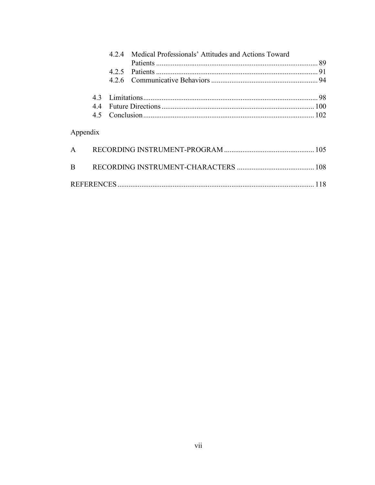|              |    | 424 | Medical Professionals' Attitudes and Actions Toward |     |
|--------------|----|-----|-----------------------------------------------------|-----|
|              |    |     |                                                     |     |
|              |    |     |                                                     |     |
|              |    |     |                                                     |     |
|              | 43 |     |                                                     |     |
|              | 44 |     |                                                     |     |
|              |    |     |                                                     |     |
| Appendix     |    |     |                                                     |     |
| $\mathsf{A}$ |    |     |                                                     |     |
| <sub>B</sub> |    |     |                                                     |     |
|              |    |     |                                                     | 118 |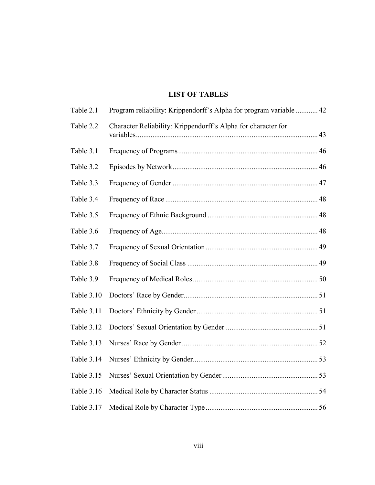## **LIST OF TABLES**

| Table 2.1         | Program reliability: Krippendorff's Alpha for program variable  42 |  |
|-------------------|--------------------------------------------------------------------|--|
| Table 2.2         | Character Reliability: Krippendorff's Alpha for character for      |  |
| Table 3.1         |                                                                    |  |
| Table 3.2         |                                                                    |  |
| Table 3.3         |                                                                    |  |
| Table 3.4         |                                                                    |  |
| Table 3.5         |                                                                    |  |
| Table 3.6         |                                                                    |  |
| Table 3.7         |                                                                    |  |
| Table 3.8         |                                                                    |  |
| Table 3.9         |                                                                    |  |
| Table 3.10        |                                                                    |  |
| <b>Table 3.11</b> |                                                                    |  |
| Table 3.12        |                                                                    |  |
| Table 3.13        |                                                                    |  |
| Table 3.14        |                                                                    |  |
| Table 3.15        |                                                                    |  |
| Table 3.16        |                                                                    |  |
| Table 3.17        |                                                                    |  |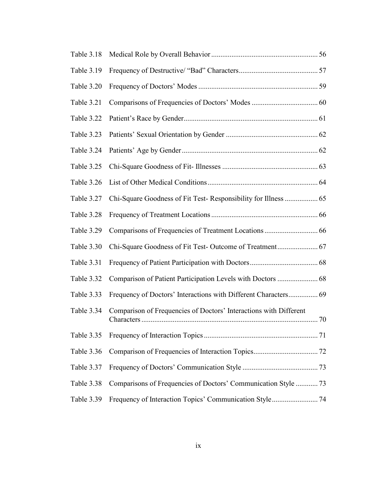| Table 3.18 |                                                                   |  |
|------------|-------------------------------------------------------------------|--|
| Table 3.19 |                                                                   |  |
| Table 3.20 |                                                                   |  |
| Table 3.21 |                                                                   |  |
| Table 3.22 |                                                                   |  |
| Table 3.23 |                                                                   |  |
| Table 3.24 |                                                                   |  |
| Table 3.25 |                                                                   |  |
| Table 3.26 |                                                                   |  |
| Table 3.27 |                                                                   |  |
| Table 3.28 |                                                                   |  |
| Table 3.29 |                                                                   |  |
| Table 3.30 |                                                                   |  |
| Table 3.31 |                                                                   |  |
| Table 3.32 |                                                                   |  |
| Table 3.33 |                                                                   |  |
| Table 3.34 | Comparison of Frequencies of Doctors' Interactions with Different |  |
| Table 3.35 |                                                                   |  |
| Table 3.36 |                                                                   |  |
| Table 3.37 |                                                                   |  |
| Table 3.38 | Comparisons of Frequencies of Doctors' Communication Style  73    |  |
| Table 3.39 |                                                                   |  |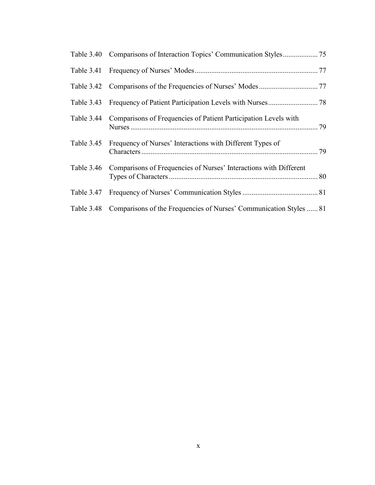| Table 3.44 Comparisons of Frequencies of Patient Participation Levels with    |  |
|-------------------------------------------------------------------------------|--|
| Table 3.45 Frequency of Nurses' Interactions with Different Types of          |  |
| Table 3.46 Comparisons of Frequencies of Nurses' Interactions with Different  |  |
|                                                                               |  |
| Table 3.48 Comparisons of the Frequencies of Nurses' Communication Styles  81 |  |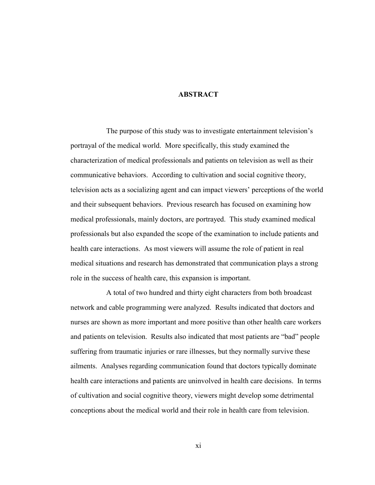#### **ABSTRACT**

The purpose of this study was to investigate entertainment television's portrayal of the medical world. More specifically, this study examined the characterization of medical professionals and patients on television as well as their communicative behaviors. According to cultivation and social cognitive theory, television acts as a socializing agent and can impact viewers' perceptions of the world and their subsequent behaviors. Previous research has focused on examining how medical professionals, mainly doctors, are portrayed. This study examined medical professionals but also expanded the scope of the examination to include patients and health care interactions. As most viewers will assume the role of patient in real medical situations and research has demonstrated that communication plays a strong role in the success of health care, this expansion is important.

A total of two hundred and thirty eight characters from both broadcast network and cable programming were analyzed. Results indicated that doctors and nurses are shown as more important and more positive than other health care workers and patients on television. Results also indicated that most patients are "bad" people suffering from traumatic injuries or rare illnesses, but they normally survive these ailments. Analyses regarding communication found that doctors typically dominate health care interactions and patients are uninvolved in health care decisions. In terms of cultivation and social cognitive theory, viewers might develop some detrimental conceptions about the medical world and their role in health care from television.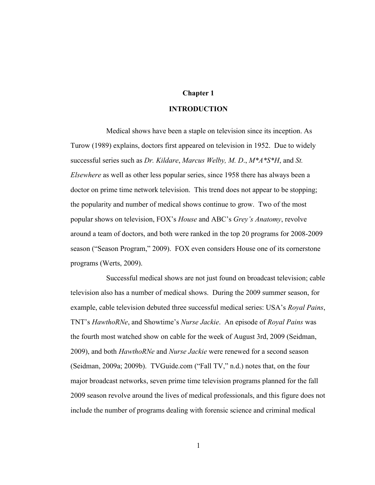#### **Chapter 1**

#### **INTRODUCTION**

Medical shows have been a staple on television since its inception. As Turow (1989) explains, doctors first appeared on television in 1952. Due to widely successful series such as *Dr. Kildare*, *Marcus Welby, M. D*., *M\*A\*S\*H*, and *St. Elsewhere* as well as other less popular series, since 1958 there has always been a doctor on prime time network television. This trend does not appear to be stopping; the popularity and number of medical shows continue to grow. Two of the most popular shows on television, FOX's *House* and ABC's *Grey's Anatomy*, revolve around a team of doctors, and both were ranked in the top 20 programs for 2008-2009 season ("Season Program," 2009). FOX even considers House one of its cornerstone programs (Werts, 2009).

Successful medical shows are not just found on broadcast television; cable television also has a number of medical shows. During the 2009 summer season, for example, cable television debuted three successful medical series: USA's *Royal Pains*, TNT's *HawthoRNe*, and Showtime's *Nurse Jackie*. An episode of *Royal Pains* was the fourth most watched show on cable for the week of August 3rd, 2009 (Seidman, 2009), and both *HawthoRNe* and *Nurse Jackie* were renewed for a second season (Seidman, 2009a; 2009b). TVGuide.com ("Fall TV," n.d.) notes that, on the four major broadcast networks, seven prime time television programs planned for the fall 2009 season revolve around the lives of medical professionals, and this figure does not include the number of programs dealing with forensic science and criminal medical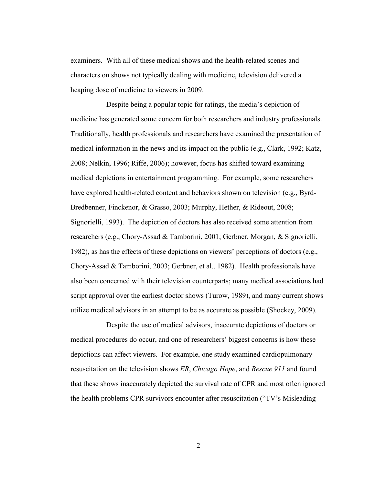examiners. With all of these medical shows and the health-related scenes and characters on shows not typically dealing with medicine, television delivered a heaping dose of medicine to viewers in 2009.

Despite being a popular topic for ratings, the media's depiction of medicine has generated some concern for both researchers and industry professionals. Traditionally, health professionals and researchers have examined the presentation of medical information in the news and its impact on the public (e.g., Clark, 1992; Katz, 2008; Nelkin, 1996; Riffe, 2006); however, focus has shifted toward examining medical depictions in entertainment programming. For example, some researchers have explored health-related content and behaviors shown on television (e.g., Byrd-Bredbenner, Finckenor, & Grasso, 2003; Murphy, Hether, & Rideout, 2008; Signorielli, 1993). The depiction of doctors has also received some attention from researchers (e.g., Chory-Assad & Tamborini, 2001; Gerbner, Morgan, & Signorielli, 1982), as has the effects of these depictions on viewers' perceptions of doctors (e.g., Chory-Assad & Tamborini, 2003; Gerbner, et al., 1982). Health professionals have also been concerned with their television counterparts; many medical associations had script approval over the earliest doctor shows (Turow, 1989), and many current shows utilize medical advisors in an attempt to be as accurate as possible (Shockey, 2009).

Despite the use of medical advisors, inaccurate depictions of doctors or medical procedures do occur, and one of researchers' biggest concerns is how these depictions can affect viewers. For example, one study examined cardiopulmonary resuscitation on the television shows *ER*, *Chicago Hope*, and *Rescue 911* and found that these shows inaccurately depicted the survival rate of CPR and most often ignored the health problems CPR survivors encounter after resuscitation ("TV's Misleading")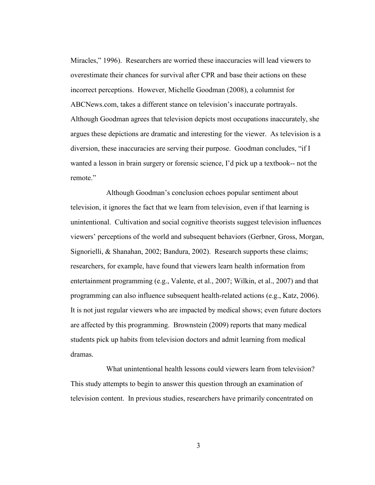Miracles," 1996). Researchers are worried these inaccuracies will lead viewers to overestimate their chances for survival after CPR and base their actions on these incorrect perceptions. However, Michelle Goodman (2008), a columnist for ABCNews.com, takes a different stance on television's inaccurate portrayals. Although Goodman agrees that television depicts most occupations inaccurately, she argues these depictions are dramatic and interesting for the viewer. As television is a diversion, these inaccuracies are serving their purpose. Goodman concludes, "if I wanted a lesson in brain surgery or forensic science, I'd pick up a textbook-- not the remote."

Although Goodman's conclusion echoes popular sentiment about television, it ignores the fact that we learn from television, even if that learning is unintentional. Cultivation and social cognitive theorists suggest television influences viewers' perceptions of the world and subsequent behaviors (Gerbner, Gross, Morgan, Signorielli, & Shanahan, 2002; Bandura, 2002). Research supports these claims; researchers, for example, have found that viewers learn health information from entertainment programming (e.g., Valente, et al., 2007; Wilkin, et al., 2007) and that programming can also influence subsequent health-related actions (e.g., Katz, 2006). It is not just regular viewers who are impacted by medical shows; even future doctors are affected by this programming. Brownstein (2009) reports that many medical students pick up habits from television doctors and admit learning from medical dramas.

What unintentional health lessons could viewers learn from television? This study attempts to begin to answer this question through an examination of television content. In previous studies, researchers have primarily concentrated on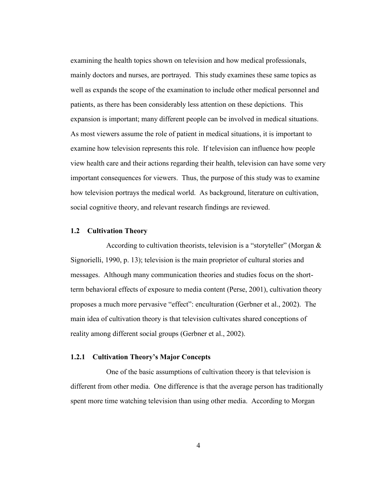examining the health topics shown on television and how medical professionals, mainly doctors and nurses, are portrayed. This study examines these same topics as well as expands the scope of the examination to include other medical personnel and patients, as there has been considerably less attention on these depictions. This expansion is important; many different people can be involved in medical situations. As most viewers assume the role of patient in medical situations, it is important to examine how television represents this role. If television can influence how people view health care and their actions regarding their health, television can have some very important consequences for viewers. Thus, the purpose of this study was to examine how television portrays the medical world. As background, literature on cultivation, social cognitive theory, and relevant research findings are reviewed.

#### **1.2 Cultivation Theory**

According to cultivation theorists, television is a "storyteller" (Morgan  $\&$ Signorielli, 1990, p. 13); television is the main proprietor of cultural stories and messages. Although many communication theories and studies focus on the shortterm behavioral effects of exposure to media content (Perse, 2001), cultivation theory proposes a much more pervasive "effect": enculturation (Gerbner et al., 2002). The main idea of cultivation theory is that television cultivates shared conceptions of reality among different social groups (Gerbner et al., 2002).

#### **1.2.1 Cultivation Theory's Major Concepts**

One of the basic assumptions of cultivation theory is that television is different from other media. One difference is that the average person has traditionally spent more time watching television than using other media. According to Morgan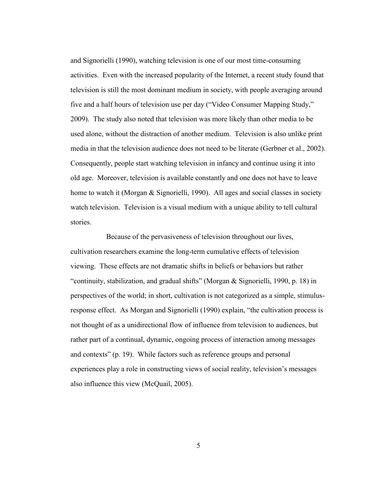and Signorielli (1990), watching television is one of our most time-consuming activities. Even with the increased popularity of the Internet, a recent study found that television is still the most dominant medium in society, with people averaging around five and a half hours of television use per day ("Video Consumer Mapping Study," 2009). The study also noted that television was more likely than other media to be used alone, without the distraction of another medium. Television is also unlike print media in that the television audience does not need to be literate (Gerbner et al., 2002). Consequently, people start watching television in infancy and continue using it into old age. Moreover, television is available constantly and one does not have to leave home to watch it (Morgan & Signorielli, 1990). All ages and social classes in society watch television. Television is a visual medium with a unique ability to tell cultural stories.

Because of the pervasiveness of television throughout our lives, cultivation researchers examine the long-term cumulative effects of television viewing. These effects are not dramatic shifts in beliefs or behaviors but rather "continuity, stabilization, and gradual shifts" (Morgan & Signorielli, 1990, p. 18) in perspectives of the world; in short, cultivation is not categorized as a simple, stimulusresponse effect. As Morgan and Signorielli (1990) explain, "the cultivation process is not thought of as a unidirectional flow of influence from television to audiences, but rather part of a continual, dynamic, ongoing process of interaction among messages and contexts" (p. 19). While factors such as reference groups and personal experiences play a role in constructing views of social reality, television's messages also influence this view (McQuail, 2005).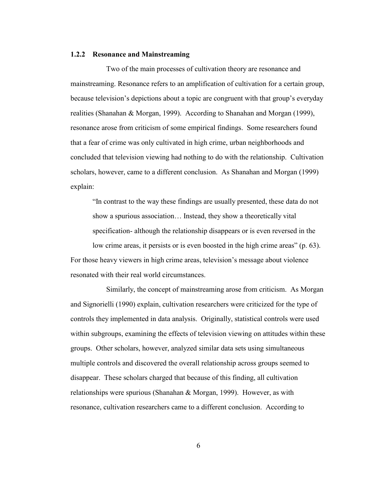#### **1.2.2 Resonance and Mainstreaming**

Two of the main processes of cultivation theory are resonance and mainstreaming. Resonance refers to an amplification of cultivation for a certain group, because television's depictions about a topic are congruent with that group's everyday realities (Shanahan & Morgan, 1999). According to Shanahan and Morgan (1999), resonance arose from criticism of some empirical findings. Some researchers found that a fear of crime was only cultivated in high crime, urban neighborhoods and concluded that television viewing had nothing to do with the relationship. Cultivation scholars, however, came to a different conclusion. As Shanahan and Morgan (1999) explain:

―In contrast to the way these findings are usually presented, these data do not show a spurious association… Instead, they show a theoretically vital specification- although the relationship disappears or is even reversed in the

low crime areas, it persists or is even boosted in the high crime areas" (p. 63). For those heavy viewers in high crime areas, television's message about violence resonated with their real world circumstances.

Similarly, the concept of mainstreaming arose from criticism. As Morgan and Signorielli (1990) explain, cultivation researchers were criticized for the type of controls they implemented in data analysis. Originally, statistical controls were used within subgroups, examining the effects of television viewing on attitudes within these groups. Other scholars, however, analyzed similar data sets using simultaneous multiple controls and discovered the overall relationship across groups seemed to disappear. These scholars charged that because of this finding, all cultivation relationships were spurious (Shanahan & Morgan, 1999). However, as with resonance, cultivation researchers came to a different conclusion. According to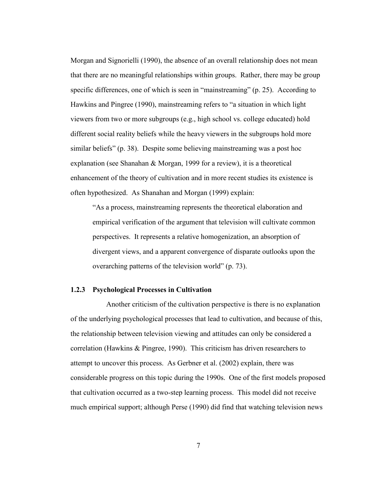Morgan and Signorielli (1990), the absence of an overall relationship does not mean that there are no meaningful relationships within groups. Rather, there may be group specific differences, one of which is seen in "mainstreaming"  $(p. 25)$ . According to Hawkins and Pingree (1990), mainstreaming refers to "a situation in which light viewers from two or more subgroups (e.g., high school vs. college educated) hold different social reality beliefs while the heavy viewers in the subgroups hold more similar beliefs" (p. 38). Despite some believing mainstreaming was a post hoc explanation (see Shanahan & Morgan, 1999 for a review), it is a theoretical enhancement of the theory of cultivation and in more recent studies its existence is often hypothesized. As Shanahan and Morgan (1999) explain:

―As a process, mainstreaming represents the theoretical elaboration and empirical verification of the argument that television will cultivate common perspectives. It represents a relative homogenization, an absorption of divergent views, and a apparent convergence of disparate outlooks upon the overarching patterns of the television world"  $(p. 73)$ .

#### **1.2.3 Psychological Processes in Cultivation**

Another criticism of the cultivation perspective is there is no explanation of the underlying psychological processes that lead to cultivation, and because of this, the relationship between television viewing and attitudes can only be considered a correlation (Hawkins & Pingree, 1990). This criticism has driven researchers to attempt to uncover this process. As Gerbner et al. (2002) explain, there was considerable progress on this topic during the 1990s. One of the first models proposed that cultivation occurred as a two-step learning process. This model did not receive much empirical support; although Perse (1990) did find that watching television news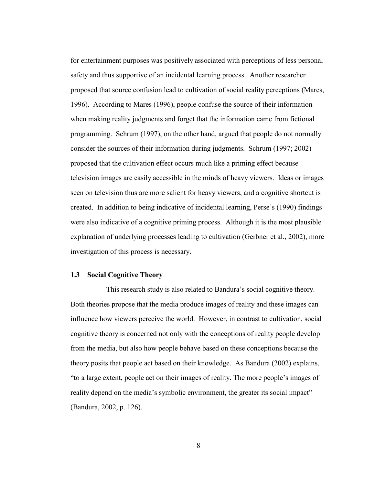for entertainment purposes was positively associated with perceptions of less personal safety and thus supportive of an incidental learning process. Another researcher proposed that source confusion lead to cultivation of social reality perceptions (Mares, 1996). According to Mares (1996), people confuse the source of their information when making reality judgments and forget that the information came from fictional programming. Schrum (1997), on the other hand, argued that people do not normally consider the sources of their information during judgments. Schrum (1997; 2002) proposed that the cultivation effect occurs much like a priming effect because television images are easily accessible in the minds of heavy viewers. Ideas or images seen on television thus are more salient for heavy viewers, and a cognitive shortcut is created. In addition to being indicative of incidental learning, Perse's (1990) findings were also indicative of a cognitive priming process. Although it is the most plausible explanation of underlying processes leading to cultivation (Gerbner et al., 2002), more investigation of this process is necessary.

#### **1.3 Social Cognitive Theory**

This research study is also related to Bandura's social cognitive theory. Both theories propose that the media produce images of reality and these images can influence how viewers perceive the world. However, in contrast to cultivation, social cognitive theory is concerned not only with the conceptions of reality people develop from the media, but also how people behave based on these conceptions because the theory posits that people act based on their knowledge. As Bandura (2002) explains, ―to a large extent, people act on their images of reality. The more people's images of reality depend on the media's symbolic environment, the greater its social impact" (Bandura, 2002, p. 126).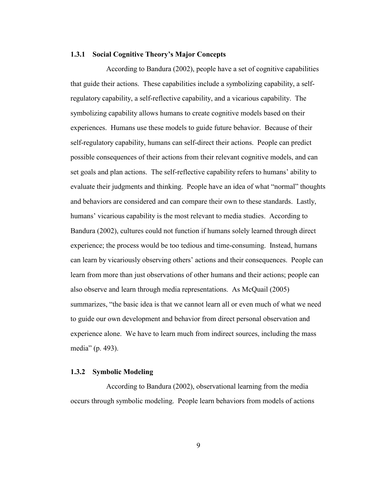#### **1.3.1 Social Cognitive Theory's Major Concepts**

According to Bandura (2002), people have a set of cognitive capabilities that guide their actions. These capabilities include a symbolizing capability, a selfregulatory capability, a self-reflective capability, and a vicarious capability. The symbolizing capability allows humans to create cognitive models based on their experiences. Humans use these models to guide future behavior. Because of their self-regulatory capability, humans can self-direct their actions. People can predict possible consequences of their actions from their relevant cognitive models, and can set goals and plan actions. The self-reflective capability refers to humans' ability to evaluate their judgments and thinking. People have an idea of what "normal" thoughts and behaviors are considered and can compare their own to these standards. Lastly, humans' vicarious capability is the most relevant to media studies. According to Bandura (2002), cultures could not function if humans solely learned through direct experience; the process would be too tedious and time-consuming. Instead, humans can learn by vicariously observing others' actions and their consequences. People can learn from more than just observations of other humans and their actions; people can also observe and learn through media representations. As McQuail (2005) summarizes, "the basic idea is that we cannot learn all or even much of what we need to guide our own development and behavior from direct personal observation and experience alone. We have to learn much from indirect sources, including the mass media" (p. 493).

#### **1.3.2 Symbolic Modeling**

According to Bandura (2002), observational learning from the media occurs through symbolic modeling. People learn behaviors from models of actions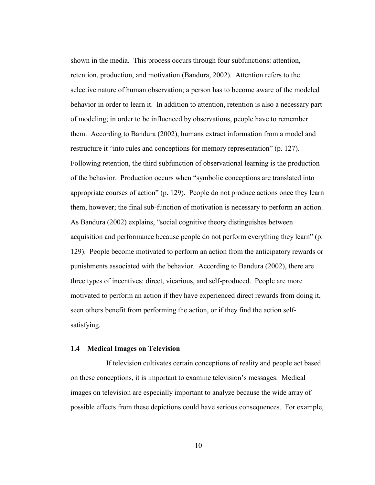shown in the media. This process occurs through four subfunctions: attention, retention, production, and motivation (Bandura, 2002). Attention refers to the selective nature of human observation; a person has to become aware of the modeled behavior in order to learn it. In addition to attention, retention is also a necessary part of modeling; in order to be influenced by observations, people have to remember them. According to Bandura (2002), humans extract information from a model and restructure it "into rules and conceptions for memory representation" (p. 127). Following retention, the third subfunction of observational learning is the production of the behavior. Production occurs when "symbolic conceptions are translated into appropriate courses of action" (p. 129). People do not produce actions once they learn them, however; the final sub-function of motivation is necessary to perform an action. As Bandura (2002) explains, "social cognitive theory distinguishes between acquisition and performance because people do not perform everything they learn" (p. 129). People become motivated to perform an action from the anticipatory rewards or punishments associated with the behavior. According to Bandura (2002), there are three types of incentives: direct, vicarious, and self-produced. People are more motivated to perform an action if they have experienced direct rewards from doing it, seen others benefit from performing the action, or if they find the action selfsatisfying.

#### **1.4 Medical Images on Television**

If television cultivates certain conceptions of reality and people act based on these conceptions, it is important to examine television's messages. Medical images on television are especially important to analyze because the wide array of possible effects from these depictions could have serious consequences. For example,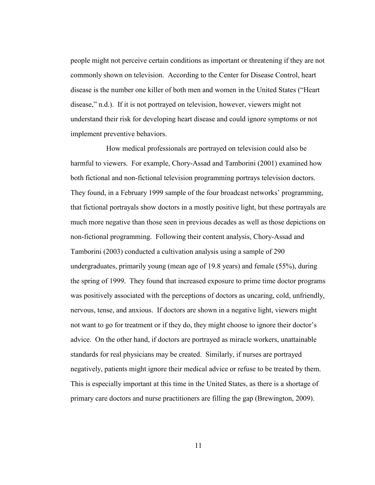people might not perceive certain conditions as important or threatening if they are not commonly shown on television. According to the Center for Disease Control, heart disease is the number one killer of both men and women in the United States ("Heart disease," n.d.). If it is not portrayed on television, however, viewers might not understand their risk for developing heart disease and could ignore symptoms or not implement preventive behaviors.

How medical professionals are portrayed on television could also be harmful to viewers. For example, Chory-Assad and Tamborini (2001) examined how both fictional and non-fictional television programming portrays television doctors. They found, in a February 1999 sample of the four broadcast networks' programming, that fictional portrayals show doctors in a mostly positive light, but these portrayals are much more negative than those seen in previous decades as well as those depictions on non-fictional programming. Following their content analysis, Chory-Assad and Tamborini (2003) conducted a cultivation analysis using a sample of 290 undergraduates, primarily young (mean age of 19.8 years) and female (55%), during the spring of 1999. They found that increased exposure to prime time doctor programs was positively associated with the perceptions of doctors as uncaring, cold, unfriendly, nervous, tense, and anxious. If doctors are shown in a negative light, viewers might not want to go for treatment or if they do, they might choose to ignore their doctor's advice. On the other hand, if doctors are portrayed as miracle workers, unattainable standards for real physicians may be created. Similarly, if nurses are portrayed negatively, patients might ignore their medical advice or refuse to be treated by them. This is especially important at this time in the United States, as there is a shortage of primary care doctors and nurse practitioners are filling the gap (Brewington, 2009).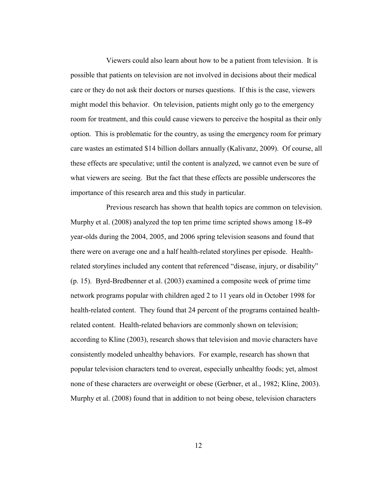Viewers could also learn about how to be a patient from television. It is possible that patients on television are not involved in decisions about their medical care or they do not ask their doctors or nurses questions. If this is the case, viewers might model this behavior. On television, patients might only go to the emergency room for treatment, and this could cause viewers to perceive the hospital as their only option. This is problematic for the country, as using the emergency room for primary care wastes an estimated \$14 billion dollars annually (Kalivanz, 2009). Of course, all these effects are speculative; until the content is analyzed, we cannot even be sure of what viewers are seeing. But the fact that these effects are possible underscores the importance of this research area and this study in particular.

Previous research has shown that health topics are common on television. Murphy et al. (2008) analyzed the top ten prime time scripted shows among 18-49 year-olds during the 2004, 2005, and 2006 spring television seasons and found that there were on average one and a half health-related storylines per episode. Healthrelated storylines included any content that referenced "disease, injury, or disability" (p. 15). Byrd-Bredbenner et al. (2003) examined a composite week of prime time network programs popular with children aged 2 to 11 years old in October 1998 for health-related content. They found that 24 percent of the programs contained healthrelated content. Health-related behaviors are commonly shown on television; according to Kline (2003), research shows that television and movie characters have consistently modeled unhealthy behaviors. For example, research has shown that popular television characters tend to overeat, especially unhealthy foods; yet, almost none of these characters are overweight or obese (Gerbner, et al., 1982; Kline, 2003). Murphy et al. (2008) found that in addition to not being obese, television characters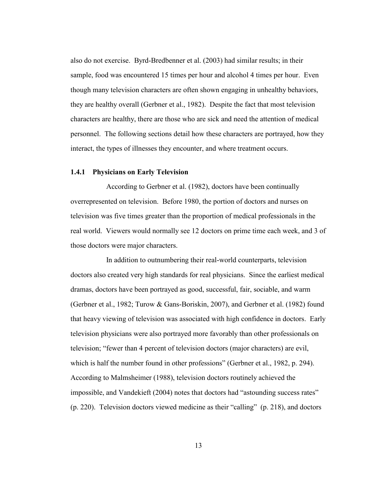also do not exercise. Byrd-Bredbenner et al. (2003) had similar results; in their sample, food was encountered 15 times per hour and alcohol 4 times per hour. Even though many television characters are often shown engaging in unhealthy behaviors, they are healthy overall (Gerbner et al., 1982). Despite the fact that most television characters are healthy, there are those who are sick and need the attention of medical personnel. The following sections detail how these characters are portrayed, how they interact, the types of illnesses they encounter, and where treatment occurs.

#### **1.4.1 Physicians on Early Television**

According to Gerbner et al. (1982), doctors have been continually overrepresented on television. Before 1980, the portion of doctors and nurses on television was five times greater than the proportion of medical professionals in the real world. Viewers would normally see 12 doctors on prime time each week, and 3 of those doctors were major characters.

In addition to outnumbering their real-world counterparts, television doctors also created very high standards for real physicians. Since the earliest medical dramas, doctors have been portrayed as good, successful, fair, sociable, and warm (Gerbner et al., 1982; Turow & Gans-Boriskin, 2007), and Gerbner et al. (1982) found that heavy viewing of television was associated with high confidence in doctors. Early television physicians were also portrayed more favorably than other professionals on television; "fewer than 4 percent of television doctors (major characters) are evil, which is half the number found in other professions" (Gerbner et al., 1982, p. 294). According to Malmsheimer (1988), television doctors routinely achieved the impossible, and Vandekieft (2004) notes that doctors had "astounding success rates"  $(p. 220)$ . Television doctors viewed medicine as their "calling"  $(p. 218)$ , and doctors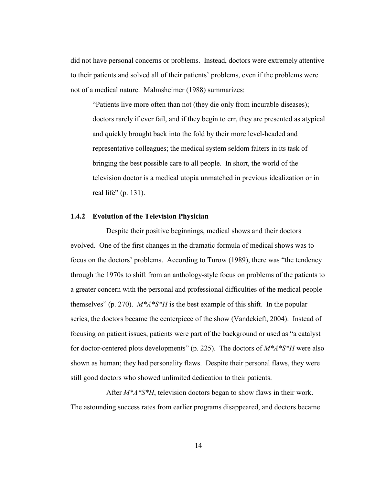did not have personal concerns or problems. Instead, doctors were extremely attentive to their patients and solved all of their patients' problems, even if the problems were not of a medical nature. Malmsheimer (1988) summarizes:

"Patients live more often than not (they die only from incurable diseases); doctors rarely if ever fail, and if they begin to err, they are presented as atypical and quickly brought back into the fold by their more level-headed and representative colleagues; the medical system seldom falters in its task of bringing the best possible care to all people. In short, the world of the television doctor is a medical utopia unmatched in previous idealization or in real life" (p. 131).

#### **1.4.2 Evolution of the Television Physician**

Despite their positive beginnings, medical shows and their doctors evolved. One of the first changes in the dramatic formula of medical shows was to focus on the doctors' problems. According to Turow (1989), there was "the tendency through the 1970s to shift from an anthology-style focus on problems of the patients to a greater concern with the personal and professional difficulties of the medical people themselves" (p. 270).  $M^*A^*S^*H$  is the best example of this shift. In the popular series, the doctors became the centerpiece of the show (Vandekieft, 2004). Instead of focusing on patient issues, patients were part of the background or used as "a catalyst" for doctor-centered plots developments" (p. 225). The doctors of  $M^*A^*S^*H$  were also shown as human; they had personality flaws. Despite their personal flaws, they were still good doctors who showed unlimited dedication to their patients.

After *M\*A\*S\*H*, television doctors began to show flaws in their work. The astounding success rates from earlier programs disappeared, and doctors became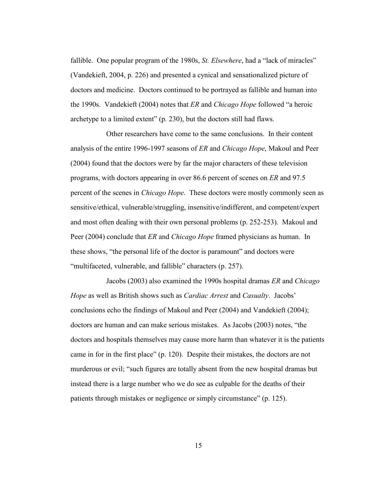fallible. One popular program of the 1980s, *St. Elsewhere*, had a "lack of miracles" (Vandekieft, 2004, p. 226) and presented a cynical and sensationalized picture of doctors and medicine. Doctors continued to be portrayed as fallible and human into the 1990s. Vandekieft (2004) notes that *ER* and *Chicago Hope* followed "a heroic archetype to a limited extent"  $(p. 230)$ , but the doctors still had flaws.

Other researchers have come to the same conclusions. In their content analysis of the entire 1996-1997 seasons of *ER* and *Chicago Hope*, Makoul and Peer (2004) found that the doctors were by far the major characters of these television programs, with doctors appearing in over 86.6 percent of scenes on *ER* and 97.5 percent of the scenes in *Chicago Hope*. These doctors were mostly commonly seen as sensitive/ethical, vulnerable/struggling, insensitive/indifferent, and competent/expert and most often dealing with their own personal problems (p. 252-253). Makoul and Peer (2004) conclude that *ER* and *Chicago Hope* framed physicians as human. In these shows, "the personal life of the doctor is paramount" and doctors were "multifaceted, vulnerable, and fallible" characters (p. 257).

Jacobs (2003) also examined the 1990s hospital dramas *ER* and *Chicago Hope* as well as British shows such as *Cardiac Arrest* and *Casualty*. Jacobs' conclusions echo the findings of Makoul and Peer (2004) and Vandekieft (2004); doctors are human and can make serious mistakes. As Jacobs (2003) notes, "the doctors and hospitals themselves may cause more harm than whatever it is the patients came in for in the first place" (p. 120). Despite their mistakes, the doctors are not murderous or evil; "such figures are totally absent from the new hospital dramas but instead there is a large number who we do see as culpable for the deaths of their patients through mistakes or negligence or simply circumstance" (p. 125).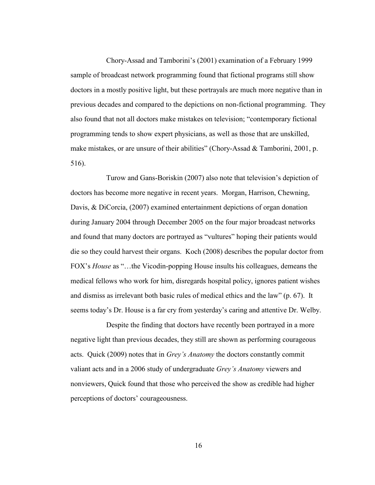Chory-Assad and Tamborini's (2001) examination of a February 1999 sample of broadcast network programming found that fictional programs still show doctors in a mostly positive light, but these portrayals are much more negative than in previous decades and compared to the depictions on non-fictional programming. They also found that not all doctors make mistakes on television; "contemporary fictional programming tends to show expert physicians, as well as those that are unskilled, make mistakes, or are unsure of their abilities" (Chory-Assad & Tamborini, 2001, p. 516).

Turow and Gans-Boriskin (2007) also note that television's depiction of doctors has become more negative in recent years. Morgan, Harrison, Chewning, Davis, & DiCorcia, (2007) examined entertainment depictions of organ donation during January 2004 through December 2005 on the four major broadcast networks and found that many doctors are portrayed as "vultures" hoping their patients would die so they could harvest their organs. Koch (2008) describes the popular doctor from FOX's *House* as "...the Vicodin-popping House insults his colleagues, demeans the medical fellows who work for him, disregards hospital policy, ignores patient wishes and dismiss as irrelevant both basic rules of medical ethics and the law"  $(p. 67)$ . It seems today's Dr. House is a far cry from yesterday's caring and attentive Dr. Welby.

Despite the finding that doctors have recently been portrayed in a more negative light than previous decades, they still are shown as performing courageous acts. Quick (2009) notes that in *Grey's Anatomy* the doctors constantly commit valiant acts and in a 2006 study of undergraduate *Grey's Anatomy* viewers and nonviewers, Quick found that those who perceived the show as credible had higher perceptions of doctors' courageousness.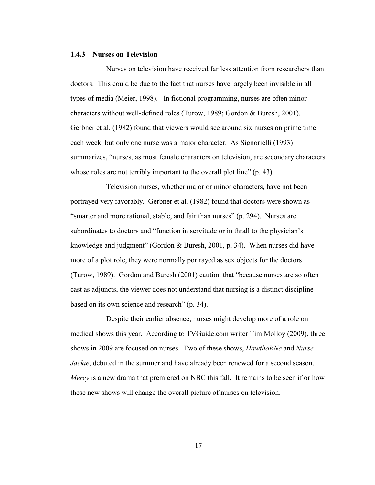#### **1.4.3 Nurses on Television**

Nurses on television have received far less attention from researchers than doctors. This could be due to the fact that nurses have largely been invisible in all types of media (Meier, 1998). In fictional programming, nurses are often minor characters without well-defined roles (Turow, 1989; Gordon & Buresh, 2001). Gerbner et al. (1982) found that viewers would see around six nurses on prime time each week, but only one nurse was a major character. As Signorielli (1993) summarizes, "nurses, as most female characters on television, are secondary characters whose roles are not terribly important to the overall plot line"  $(p. 43)$ .

Television nurses, whether major or minor characters, have not been portrayed very favorably. Gerbner et al. (1982) found that doctors were shown as "smarter and more rational, stable, and fair than nurses" (p. 294). Nurses are subordinates to doctors and "function in servitude or in thrall to the physician's knowledge and judgment" (Gordon & Buresh, 2001, p. 34). When nurses did have more of a plot role, they were normally portrayed as sex objects for the doctors (Turow, 1989). Gordon and Buresh  $(2001)$  caution that "because nurses are so often cast as adjuncts, the viewer does not understand that nursing is a distinct discipline based on its own science and research" (p. 34).

Despite their earlier absence, nurses might develop more of a role on medical shows this year. According to TVGuide.com writer Tim Molloy (2009), three shows in 2009 are focused on nurses. Two of these shows, *HawthoRNe* and *Nurse Jackie*, debuted in the summer and have already been renewed for a second season. *Mercy* is a new drama that premiered on NBC this fall. It remains to be seen if or how these new shows will change the overall picture of nurses on television.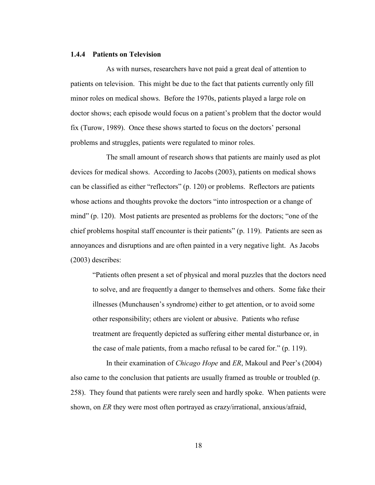#### **1.4.4 Patients on Television**

As with nurses, researchers have not paid a great deal of attention to patients on television. This might be due to the fact that patients currently only fill minor roles on medical shows. Before the 1970s, patients played a large role on doctor shows; each episode would focus on a patient's problem that the doctor would fix (Turow, 1989). Once these shows started to focus on the doctors' personal problems and struggles, patients were regulated to minor roles.

The small amount of research shows that patients are mainly used as plot devices for medical shows. According to Jacobs (2003), patients on medical shows can be classified as either "reflectors" (p. 120) or problems. Reflectors are patients whose actions and thoughts provoke the doctors "into introspection or a change of mind" (p. 120). Most patients are presented as problems for the doctors; "one of the chief problems hospital staff encounter is their patients"  $(p. 119)$ . Patients are seen as annoyances and disruptions and are often painted in a very negative light. As Jacobs (2003) describes:

―Patients often present a set of physical and moral puzzles that the doctors need to solve, and are frequently a danger to themselves and others. Some fake their illnesses (Munchausen's syndrome) either to get attention, or to avoid some other responsibility; others are violent or abusive. Patients who refuse treatment are frequently depicted as suffering either mental disturbance or, in the case of male patients, from a macho refusal to be cared for."  $(p. 119)$ .

In their examination of *Chicago Hope* and *ER*, Makoul and Peer's (2004) also came to the conclusion that patients are usually framed as trouble or troubled (p. 258). They found that patients were rarely seen and hardly spoke. When patients were shown, on *ER* they were most often portrayed as crazy/irrational, anxious/afraid,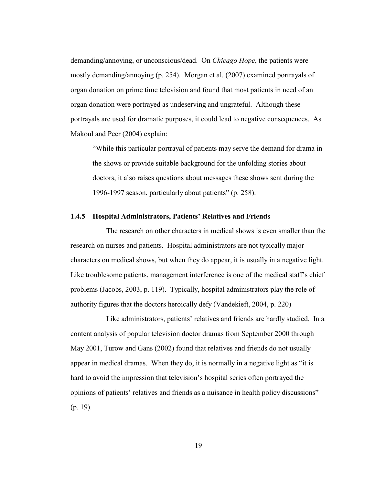demanding/annoying, or unconscious/dead. On *Chicago Hope*, the patients were mostly demanding/annoying (p. 254). Morgan et al. (2007) examined portrayals of organ donation on prime time television and found that most patients in need of an organ donation were portrayed as undeserving and ungrateful. Although these portrayals are used for dramatic purposes, it could lead to negative consequences. As Makoul and Peer (2004) explain:

―While this particular portrayal of patients may serve the demand for drama in the shows or provide suitable background for the unfolding stories about doctors, it also raises questions about messages these shows sent during the 1996-1997 season, particularly about patients"  $(p. 258)$ .

#### **1.4.5 Hospital Administrators, Patients' Relatives and Friends**

The research on other characters in medical shows is even smaller than the research on nurses and patients. Hospital administrators are not typically major characters on medical shows, but when they do appear, it is usually in a negative light. Like troublesome patients, management interference is one of the medical staff's chief problems (Jacobs, 2003, p. 119). Typically, hospital administrators play the role of authority figures that the doctors heroically defy (Vandekieft, 2004, p. 220)

Like administrators, patients' relatives and friends are hardly studied. In a content analysis of popular television doctor dramas from September 2000 through May 2001, Turow and Gans (2002) found that relatives and friends do not usually appear in medical dramas. When they do, it is normally in a negative light as "it is hard to avoid the impression that television's hospital series often portrayed the opinions of patients' relatives and friends as a nuisance in health policy discussions" (p. 19).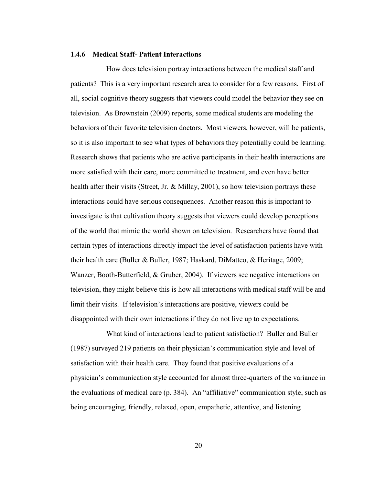#### **1.4.6 Medical Staff- Patient Interactions**

How does television portray interactions between the medical staff and patients? This is a very important research area to consider for a few reasons. First of all, social cognitive theory suggests that viewers could model the behavior they see on television. As Brownstein (2009) reports, some medical students are modeling the behaviors of their favorite television doctors. Most viewers, however, will be patients, so it is also important to see what types of behaviors they potentially could be learning. Research shows that patients who are active participants in their health interactions are more satisfied with their care, more committed to treatment, and even have better health after their visits (Street, Jr. & Millay, 2001), so how television portrays these interactions could have serious consequences. Another reason this is important to investigate is that cultivation theory suggests that viewers could develop perceptions of the world that mimic the world shown on television. Researchers have found that certain types of interactions directly impact the level of satisfaction patients have with their health care (Buller & Buller, 1987; Haskard, DiMatteo, & Heritage, 2009; Wanzer, Booth-Butterfield, & Gruber, 2004). If viewers see negative interactions on television, they might believe this is how all interactions with medical staff will be and limit their visits. If television's interactions are positive, viewers could be disappointed with their own interactions if they do not live up to expectations.

What kind of interactions lead to patient satisfaction? Buller and Buller (1987) surveyed 219 patients on their physician's communication style and level of satisfaction with their health care. They found that positive evaluations of a physician's communication style accounted for almost three-quarters of the variance in the evaluations of medical care  $(p. 384)$ . An "affiliative" communication style, such as being encouraging, friendly, relaxed, open, empathetic, attentive, and listening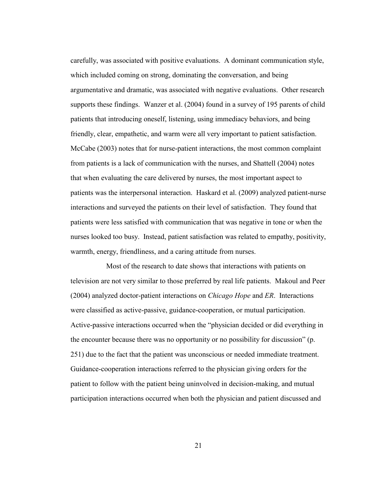carefully, was associated with positive evaluations. A dominant communication style, which included coming on strong, dominating the conversation, and being argumentative and dramatic, was associated with negative evaluations. Other research supports these findings. Wanzer et al. (2004) found in a survey of 195 parents of child patients that introducing oneself, listening, using immediacy behaviors, and being friendly, clear, empathetic, and warm were all very important to patient satisfaction. McCabe (2003) notes that for nurse-patient interactions, the most common complaint from patients is a lack of communication with the nurses, and Shattell (2004) notes that when evaluating the care delivered by nurses, the most important aspect to patients was the interpersonal interaction. Haskard et al. (2009) analyzed patient-nurse interactions and surveyed the patients on their level of satisfaction. They found that patients were less satisfied with communication that was negative in tone or when the nurses looked too busy. Instead, patient satisfaction was related to empathy, positivity, warmth, energy, friendliness, and a caring attitude from nurses.

Most of the research to date shows that interactions with patients on television are not very similar to those preferred by real life patients. Makoul and Peer (2004) analyzed doctor-patient interactions on *Chicago Hope* and *ER*. Interactions were classified as active-passive, guidance-cooperation, or mutual participation. Active-passive interactions occurred when the "physician decided or did everything in the encounter because there was no opportunity or no possibility for discussion" (p. 251) due to the fact that the patient was unconscious or needed immediate treatment. Guidance-cooperation interactions referred to the physician giving orders for the patient to follow with the patient being uninvolved in decision-making, and mutual participation interactions occurred when both the physician and patient discussed and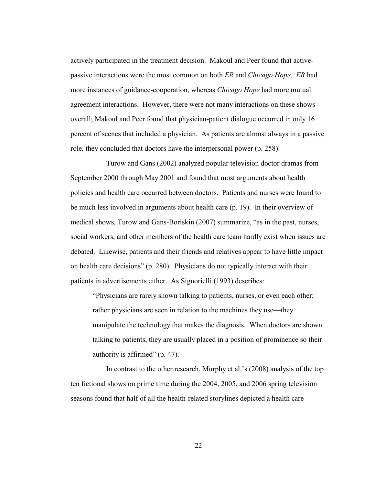actively participated in the treatment decision. Makoul and Peer found that activepassive interactions were the most common on both *ER* and *Chicago Hope*. *ER* had more instances of guidance-cooperation, whereas *Chicago Hope* had more mutual agreement interactions. However, there were not many interactions on these shows overall; Makoul and Peer found that physician-patient dialogue occurred in only 16 percent of scenes that included a physician. As patients are almost always in a passive role, they concluded that doctors have the interpersonal power (p. 258).

Turow and Gans (2002) analyzed popular television doctor dramas from September 2000 through May 2001 and found that most arguments about health policies and health care occurred between doctors. Patients and nurses were found to be much less involved in arguments about health care (p. 19). In their overview of medical shows, Turow and Gans-Boriskin (2007) summarize, "as in the past, nurses, social workers, and other members of the health care team hardly exist when issues are debated. Likewise, patients and their friends and relatives appear to have little impact on health care decisions" (p. 280). Physicians do not typically interact with their patients in advertisements either. As Signorielli (1993) describes:

―Physicians are rarely shown talking to patients, nurses, or even each other; rather physicians are seen in relation to the machines they use—they manipulate the technology that makes the diagnosis. When doctors are shown talking to patients, they are usually placed in a position of prominence so their authority is affirmed"  $(p. 47)$ .

In contrast to the other research, Murphy et al.'s (2008) analysis of the top ten fictional shows on prime time during the 2004, 2005, and 2006 spring television seasons found that half of all the health-related storylines depicted a health care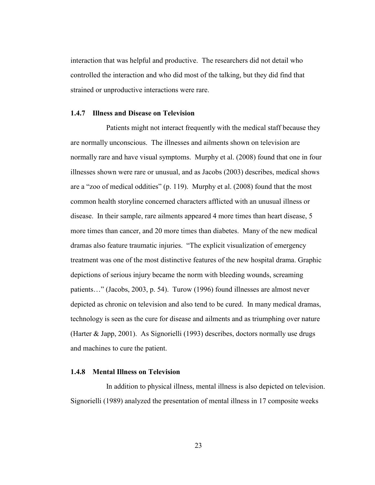interaction that was helpful and productive. The researchers did not detail who controlled the interaction and who did most of the talking, but they did find that strained or unproductive interactions were rare.

#### **1.4.7 Illness and Disease on Television**

Patients might not interact frequently with the medical staff because they are normally unconscious. The illnesses and ailments shown on television are normally rare and have visual symptoms. Murphy et al. (2008) found that one in four illnesses shown were rare or unusual, and as Jacobs (2003) describes, medical shows are a "zoo of medical oddities" (p. 119). Murphy et al.  $(2008)$  found that the most common health storyline concerned characters afflicted with an unusual illness or disease. In their sample, rare ailments appeared 4 more times than heart disease, 5 more times than cancer, and 20 more times than diabetes. Many of the new medical dramas also feature traumatic injuries. "The explicit visualization of emergency treatment was one of the most distinctive features of the new hospital drama. Graphic depictions of serious injury became the norm with bleeding wounds, screaming patients…" (Jacobs, 2003, p. 54). Turow (1996) found illnesses are almost never depicted as chronic on television and also tend to be cured. In many medical dramas, technology is seen as the cure for disease and ailments and as triumphing over nature (Harter & Japp, 2001). As Signorielli (1993) describes, doctors normally use drugs and machines to cure the patient.

#### **1.4.8 Mental Illness on Television**

In addition to physical illness, mental illness is also depicted on television. Signorielli (1989) analyzed the presentation of mental illness in 17 composite weeks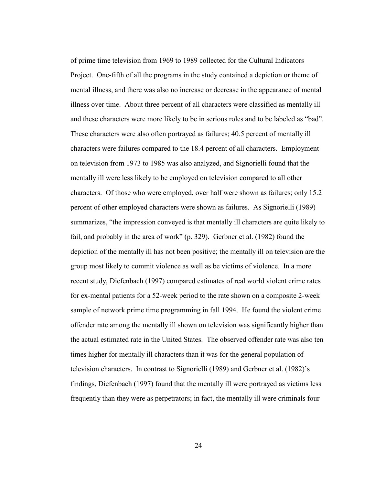of prime time television from 1969 to 1989 collected for the Cultural Indicators Project. One-fifth of all the programs in the study contained a depiction or theme of mental illness, and there was also no increase or decrease in the appearance of mental illness over time. About three percent of all characters were classified as mentally ill and these characters were more likely to be in serious roles and to be labeled as "bad". These characters were also often portrayed as failures; 40.5 percent of mentally ill characters were failures compared to the 18.4 percent of all characters. Employment on television from 1973 to 1985 was also analyzed, and Signorielli found that the mentally ill were less likely to be employed on television compared to all other characters. Of those who were employed, over half were shown as failures; only 15.2 percent of other employed characters were shown as failures. As Signorielli (1989) summarizes, "the impression conveyed is that mentally ill characters are quite likely to fail, and probably in the area of work" (p. 329). Gerbner et al. (1982) found the depiction of the mentally ill has not been positive; the mentally ill on television are the group most likely to commit violence as well as be victims of violence. In a more recent study, Diefenbach (1997) compared estimates of real world violent crime rates for ex-mental patients for a 52-week period to the rate shown on a composite 2-week sample of network prime time programming in fall 1994. He found the violent crime offender rate among the mentally ill shown on television was significantly higher than the actual estimated rate in the United States. The observed offender rate was also ten times higher for mentally ill characters than it was for the general population of television characters. In contrast to Signorielli (1989) and Gerbner et al. (1982)'s findings, Diefenbach (1997) found that the mentally ill were portrayed as victims less frequently than they were as perpetrators; in fact, the mentally ill were criminals four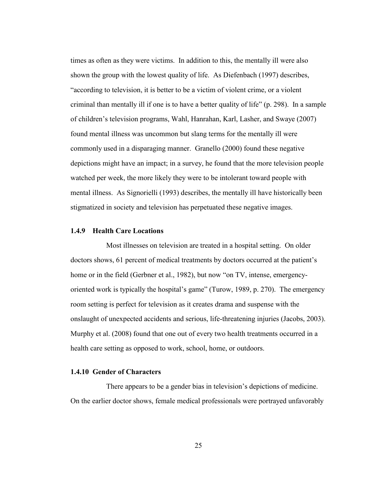times as often as they were victims. In addition to this, the mentally ill were also shown the group with the lowest quality of life. As Diefenbach (1997) describes, "according to television, it is better to be a victim of violent crime, or a violent criminal than mentally ill if one is to have a better quality of life" (p. 298). In a sample of children's television programs, Wahl, Hanrahan, Karl, Lasher, and Swaye (2007) found mental illness was uncommon but slang terms for the mentally ill were commonly used in a disparaging manner. Granello (2000) found these negative depictions might have an impact; in a survey, he found that the more television people watched per week, the more likely they were to be intolerant toward people with mental illness. As Signorielli (1993) describes, the mentally ill have historically been stigmatized in society and television has perpetuated these negative images.

#### **1.4.9 Health Care Locations**

Most illnesses on television are treated in a hospital setting. On older doctors shows, 61 percent of medical treatments by doctors occurred at the patient's home or in the field (Gerbner et al., 1982), but now "on TV, intense, emergencyoriented work is typically the hospital's game" (Turow, 1989, p. 270). The emergency room setting is perfect for television as it creates drama and suspense with the onslaught of unexpected accidents and serious, life-threatening injuries (Jacobs, 2003). Murphy et al. (2008) found that one out of every two health treatments occurred in a health care setting as opposed to work, school, home, or outdoors.

#### **1.4.10 Gender of Characters**

There appears to be a gender bias in television's depictions of medicine. On the earlier doctor shows, female medical professionals were portrayed unfavorably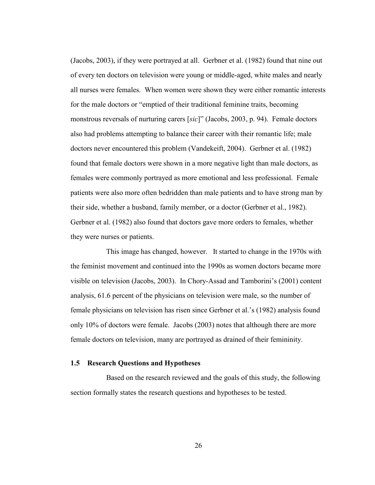(Jacobs, 2003), if they were portrayed at all. Gerbner et al. (1982) found that nine out of every ten doctors on television were young or middle-aged, white males and nearly all nurses were females. When women were shown they were either romantic interests for the male doctors or "emptied of their traditional feminine traits, becoming monstrous reversals of nurturing carers [sic]" (Jacobs, 2003, p. 94). Female doctors also had problems attempting to balance their career with their romantic life; male doctors never encountered this problem (Vandekeift, 2004). Gerbner et al. (1982) found that female doctors were shown in a more negative light than male doctors, as females were commonly portrayed as more emotional and less professional. Female patients were also more often bedridden than male patients and to have strong man by their side, whether a husband, family member, or a doctor (Gerbner et al., 1982). Gerbner et al. (1982) also found that doctors gave more orders to females, whether they were nurses or patients.

This image has changed, however. It started to change in the 1970s with the feminist movement and continued into the 1990s as women doctors became more visible on television (Jacobs, 2003). In Chory-Assad and Tamborini's (2001) content analysis, 61.6 percent of the physicians on television were male, so the number of female physicians on television has risen since Gerbner et al.'s (1982) analysis found only 10% of doctors were female. Jacobs (2003) notes that although there are more female doctors on television, many are portrayed as drained of their femininity.

#### **1.5 Research Questions and Hypotheses**

Based on the research reviewed and the goals of this study, the following section formally states the research questions and hypotheses to be tested.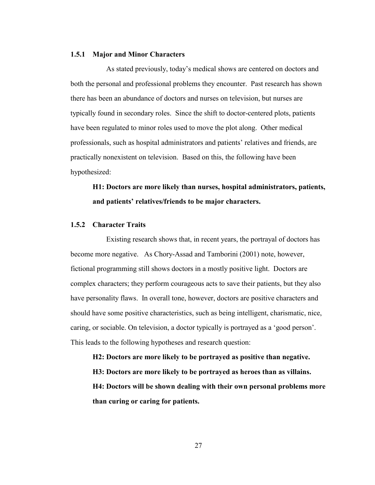#### **1.5.1 Major and Minor Characters**

As stated previously, today's medical shows are centered on doctors and both the personal and professional problems they encounter. Past research has shown there has been an abundance of doctors and nurses on television, but nurses are typically found in secondary roles. Since the shift to doctor-centered plots, patients have been regulated to minor roles used to move the plot along. Other medical professionals, such as hospital administrators and patients' relatives and friends, are practically nonexistent on television. Based on this, the following have been hypothesized:

# **H1: Doctors are more likely than nurses, hospital administrators, patients, and patients' relatives/friends to be major characters.**

#### **1.5.2 Character Traits**

Existing research shows that, in recent years, the portrayal of doctors has become more negative. As Chory-Assad and Tamborini (2001) note, however, fictional programming still shows doctors in a mostly positive light. Doctors are complex characters; they perform courageous acts to save their patients, but they also have personality flaws. In overall tone, however, doctors are positive characters and should have some positive characteristics, such as being intelligent, charismatic, nice, caring, or sociable. On television, a doctor typically is portrayed as a 'good person'. This leads to the following hypotheses and research question:

**H2: Doctors are more likely to be portrayed as positive than negative. H3: Doctors are more likely to be portrayed as heroes than as villains. H4: Doctors will be shown dealing with their own personal problems more than curing or caring for patients.**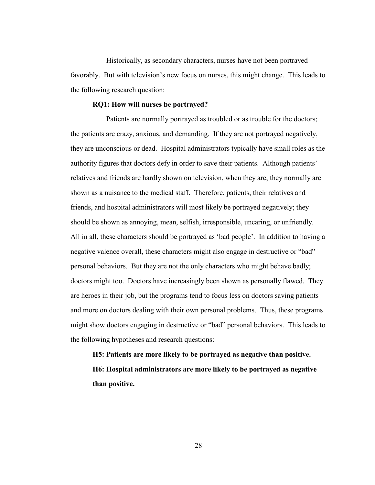Historically, as secondary characters, nurses have not been portrayed favorably. But with television's new focus on nurses, this might change. This leads to the following research question:

#### **RQ1: How will nurses be portrayed?**

Patients are normally portrayed as troubled or as trouble for the doctors; the patients are crazy, anxious, and demanding. If they are not portrayed negatively, they are unconscious or dead. Hospital administrators typically have small roles as the authority figures that doctors defy in order to save their patients. Although patients' relatives and friends are hardly shown on television, when they are, they normally are shown as a nuisance to the medical staff. Therefore, patients, their relatives and friends, and hospital administrators will most likely be portrayed negatively; they should be shown as annoying, mean, selfish, irresponsible, uncaring, or unfriendly. All in all, these characters should be portrayed as 'bad people'. In addition to having a negative valence overall, these characters might also engage in destructive or "bad" personal behaviors. But they are not the only characters who might behave badly; doctors might too. Doctors have increasingly been shown as personally flawed. They are heroes in their job, but the programs tend to focus less on doctors saving patients and more on doctors dealing with their own personal problems. Thus, these programs might show doctors engaging in destructive or "bad" personal behaviors. This leads to the following hypotheses and research questions:

**H5: Patients are more likely to be portrayed as negative than positive. H6: Hospital administrators are more likely to be portrayed as negative than positive.**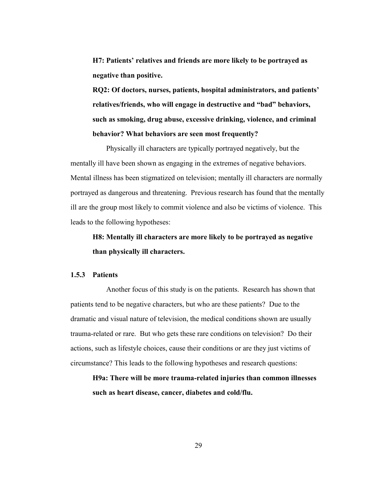**H7: Patients' relatives and friends are more likely to be portrayed as negative than positive.** 

**RQ2: Of doctors, nurses, patients, hospital administrators, and patients' relatives/friends, who will engage in destructive and "bad" behaviors, such as smoking, drug abuse, excessive drinking, violence, and criminal behavior? What behaviors are seen most frequently?**

Physically ill characters are typically portrayed negatively, but the mentally ill have been shown as engaging in the extremes of negative behaviors. Mental illness has been stigmatized on television; mentally ill characters are normally portrayed as dangerous and threatening. Previous research has found that the mentally ill are the group most likely to commit violence and also be victims of violence. This leads to the following hypotheses:

# **H8: Mentally ill characters are more likely to be portrayed as negative than physically ill characters.**

#### **1.5.3 Patients**

Another focus of this study is on the patients. Research has shown that patients tend to be negative characters, but who are these patients? Due to the dramatic and visual nature of television, the medical conditions shown are usually trauma-related or rare. But who gets these rare conditions on television? Do their actions, such as lifestyle choices, cause their conditions or are they just victims of circumstance? This leads to the following hypotheses and research questions:

**H9a: There will be more trauma-related injuries than common illnesses such as heart disease, cancer, diabetes and cold/flu.**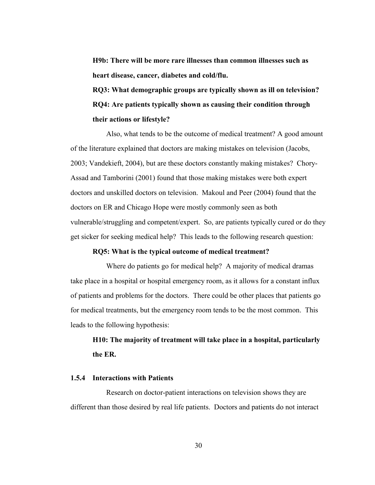**H9b: There will be more rare illnesses than common illnesses such as heart disease, cancer, diabetes and cold/flu.**

**RQ3: What demographic groups are typically shown as ill on television? RQ4: Are patients typically shown as causing their condition through their actions or lifestyle?**

Also, what tends to be the outcome of medical treatment? A good amount of the literature explained that doctors are making mistakes on television (Jacobs, 2003; Vandekieft, 2004), but are these doctors constantly making mistakes? Chory-Assad and Tamborini (2001) found that those making mistakes were both expert doctors and unskilled doctors on television. Makoul and Peer (2004) found that the doctors on ER and Chicago Hope were mostly commonly seen as both vulnerable/struggling and competent/expert. So, are patients typically cured or do they get sicker for seeking medical help? This leads to the following research question:

#### **RQ5: What is the typical outcome of medical treatment?**

Where do patients go for medical help? A majority of medical dramas take place in a hospital or hospital emergency room, as it allows for a constant influx of patients and problems for the doctors. There could be other places that patients go for medical treatments, but the emergency room tends to be the most common. This leads to the following hypothesis:

# **H10: The majority of treatment will take place in a hospital, particularly the ER.**

#### **1.5.4 Interactions with Patients**

Research on doctor-patient interactions on television shows they are different than those desired by real life patients. Doctors and patients do not interact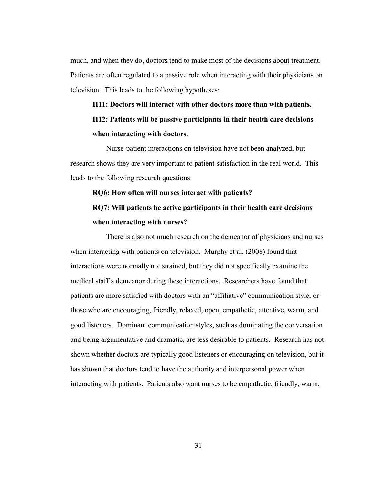much, and when they do, doctors tend to make most of the decisions about treatment. Patients are often regulated to a passive role when interacting with their physicians on television. This leads to the following hypotheses:

# **H11: Doctors will interact with other doctors more than with patients. H12: Patients will be passive participants in their health care decisions when interacting with doctors.**

Nurse-patient interactions on television have not been analyzed, but research shows they are very important to patient satisfaction in the real world. This leads to the following research questions:

#### **RQ6: How often will nurses interact with patients?**

# **RQ7: Will patients be active participants in their health care decisions when interacting with nurses?**

There is also not much research on the demeanor of physicians and nurses when interacting with patients on television. Murphy et al. (2008) found that interactions were normally not strained, but they did not specifically examine the medical staff's demeanor during these interactions. Researchers have found that patients are more satisfied with doctors with an "affiliative" communication style, or those who are encouraging, friendly, relaxed, open, empathetic, attentive, warm, and good listeners. Dominant communication styles, such as dominating the conversation and being argumentative and dramatic, are less desirable to patients. Research has not shown whether doctors are typically good listeners or encouraging on television, but it has shown that doctors tend to have the authority and interpersonal power when interacting with patients. Patients also want nurses to be empathetic, friendly, warm,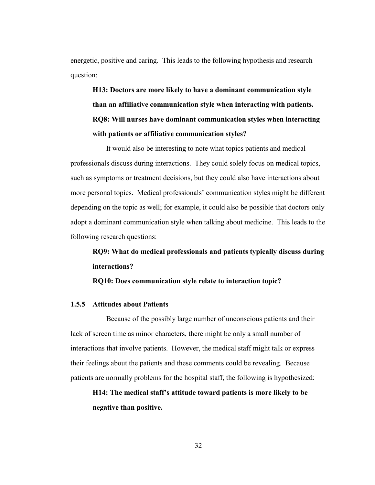energetic, positive and caring. This leads to the following hypothesis and research question:

**H13: Doctors are more likely to have a dominant communication style than an affiliative communication style when interacting with patients. RQ8: Will nurses have dominant communication styles when interacting with patients or affiliative communication styles?**

It would also be interesting to note what topics patients and medical professionals discuss during interactions. They could solely focus on medical topics, such as symptoms or treatment decisions, but they could also have interactions about more personal topics. Medical professionals' communication styles might be different depending on the topic as well; for example, it could also be possible that doctors only adopt a dominant communication style when talking about medicine. This leads to the following research questions:

**RQ9: What do medical professionals and patients typically discuss during interactions?**

**RQ10: Does communication style relate to interaction topic?**

#### **1.5.5 Attitudes about Patients**

Because of the possibly large number of unconscious patients and their lack of screen time as minor characters, there might be only a small number of interactions that involve patients. However, the medical staff might talk or express their feelings about the patients and these comments could be revealing. Because patients are normally problems for the hospital staff, the following is hypothesized:

**H14: The medical staff's attitude toward patients is more likely to be negative than positive.**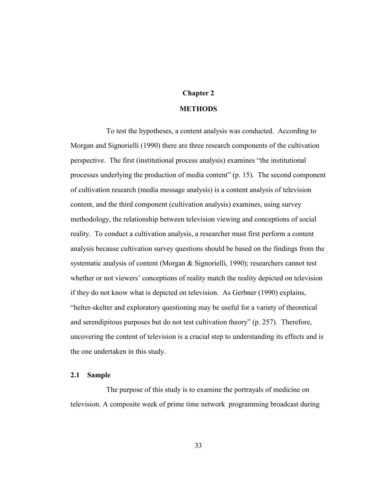### **Chapter 2**

#### **METHODS**

To test the hypotheses, a content analysis was conducted. According to Morgan and Signorielli (1990) there are three research components of the cultivation perspective. The first (institutional process analysis) examines "the institutional processes underlying the production of media content" (p. 15). The second component of cultivation research (media message analysis) is a content analysis of television content, and the third component (cultivation analysis) examines, using survey methodology, the relationship between television viewing and conceptions of social reality. To conduct a cultivation analysis, a researcher must first perform a content analysis because cultivation survey questions should be based on the findings from the systematic analysis of content (Morgan & Signorielli, 1990); researchers cannot test whether or not viewers' conceptions of reality match the reality depicted on television if they do not know what is depicted on television. As Gerbner (1990) explains, ―helter-skelter and exploratory questioning may be useful for a variety of theoretical and serendipitous purposes but do not test cultivation theory"  $(p. 257)$ . Therefore, uncovering the content of television is a crucial step to understanding its effects and is the one undertaken in this study.

#### **2.1 Sample**

The purpose of this study is to examine the portrayals of medicine on television. A composite week of prime time network programming broadcast during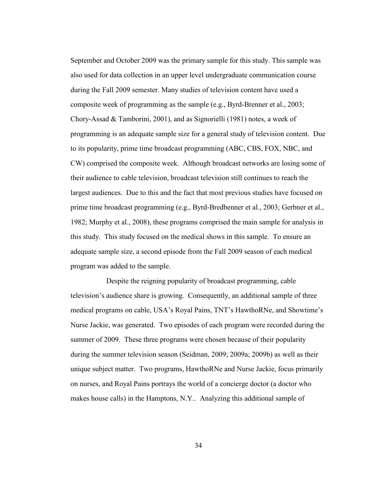September and October 2009 was the primary sample for this study. This sample was also used for data collection in an upper level undergraduate communication course during the Fall 2009 semester. Many studies of television content have used a composite week of programming as the sample (e.g., Byrd-Brenner et al., 2003; Chory-Assad & Tamborini, 2001), and as Signorielli (1981) notes, a week of programming is an adequate sample size for a general study of television content. Due to its popularity, prime time broadcast programming (ABC, CBS, FOX, NBC, and CW) comprised the composite week. Although broadcast networks are losing some of their audience to cable television, broadcast television still continues to reach the largest audiences. Due to this and the fact that most previous studies have focused on prime time broadcast programming (e.g., Byrd-Bredbenner et al., 2003; Gerbner et al., 1982; Murphy et al., 2008), these programs comprised the main sample for analysis in this study. This study focused on the medical shows in this sample. To ensure an adequate sample size, a second episode from the Fall 2009 season of each medical program was added to the sample.

Despite the reigning popularity of broadcast programming, cable television's audience share is growing. Consequently, an additional sample of three medical programs on cable, USA's Royal Pains, TNT's HawthoRNe, and Showtime's Nurse Jackie, was generated. Two episodes of each program were recorded during the summer of 2009. These three programs were chosen because of their popularity during the summer television season (Seidman, 2009; 2009a; 2009b) as well as their unique subject matter. Two programs, HawthoRNe and Nurse Jackie, focus primarily on nurses, and Royal Pains portrays the world of a concierge doctor (a doctor who makes house calls) in the Hamptons, N.Y.. Analyzing this additional sample of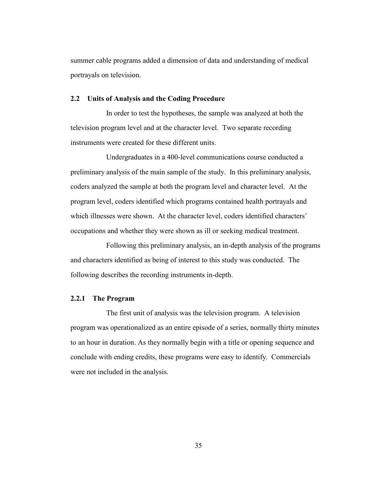summer cable programs added a dimension of data and understanding of medical portrayals on television.

#### **2.2 Units of Analysis and the Coding Procedure**

In order to test the hypotheses, the sample was analyzed at both the television program level and at the character level. Two separate recording instruments were created for these different units.

Undergraduates in a 400-level communications course conducted a preliminary analysis of the main sample of the study. In this preliminary analysis, coders analyzed the sample at both the program level and character level. At the program level, coders identified which programs contained health portrayals and which illnesses were shown. At the character level, coders identified characters' occupations and whether they were shown as ill or seeking medical treatment.

Following this preliminary analysis, an in-depth analysis of the programs and characters identified as being of interest to this study was conducted. The following describes the recording instruments in-depth.

#### **2.2.1 The Program**

The first unit of analysis was the television program. A television program was operationalized as an entire episode of a series, normally thirty minutes to an hour in duration. As they normally begin with a title or opening sequence and conclude with ending credits, these programs were easy to identify. Commercials were not included in the analysis.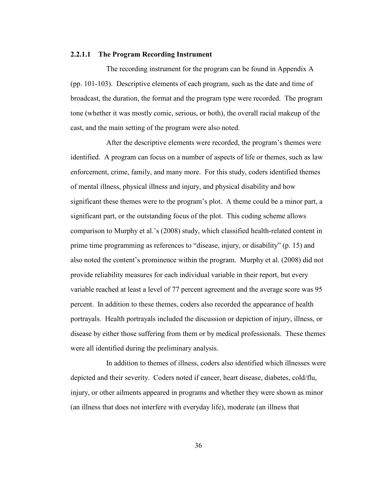#### **2.2.1.1 The Program Recording Instrument**

The recording instrument for the program can be found in Appendix A (pp. 101-103). Descriptive elements of each program, such as the date and time of broadcast, the duration, the format and the program type were recorded. The program tone (whether it was mostly comic, serious, or both), the overall racial makeup of the cast, and the main setting of the program were also noted.

After the descriptive elements were recorded, the program's themes were identified. A program can focus on a number of aspects of life or themes, such as law enforcement, crime, family, and many more. For this study, coders identified themes of mental illness, physical illness and injury, and physical disability and how significant these themes were to the program's plot. A theme could be a minor part, a significant part, or the outstanding focus of the plot. This coding scheme allows comparison to Murphy et al.'s (2008) study, which classified health-related content in prime time programming as references to "disease, injury, or disability" (p. 15) and also noted the content's prominence within the program. Murphy et al. (2008) did not provide reliability measures for each individual variable in their report, but every variable reached at least a level of 77 percent agreement and the average score was 95 percent. In addition to these themes, coders also recorded the appearance of health portrayals. Health portrayals included the discussion or depiction of injury, illness, or disease by either those suffering from them or by medical professionals. These themes were all identified during the preliminary analysis.

In addition to themes of illness, coders also identified which illnesses were depicted and their severity. Coders noted if cancer, heart disease, diabetes, cold/flu, injury, or other ailments appeared in programs and whether they were shown as minor (an illness that does not interfere with everyday life), moderate (an illness that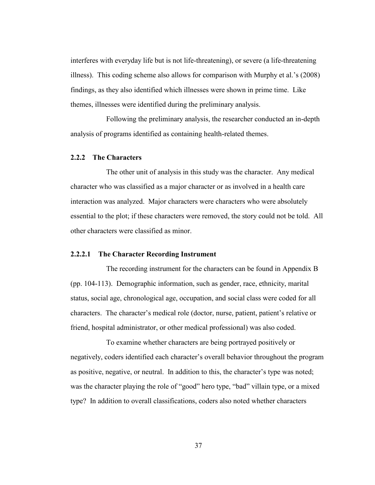interferes with everyday life but is not life-threatening), or severe (a life-threatening illness). This coding scheme also allows for comparison with Murphy et al.'s (2008) findings, as they also identified which illnesses were shown in prime time. Like themes, illnesses were identified during the preliminary analysis.

Following the preliminary analysis, the researcher conducted an in-depth analysis of programs identified as containing health-related themes.

#### **2.2.2 The Characters**

The other unit of analysis in this study was the character. Any medical character who was classified as a major character or as involved in a health care interaction was analyzed. Major characters were characters who were absolutely essential to the plot; if these characters were removed, the story could not be told. All other characters were classified as minor.

#### **2.2.2.1 The Character Recording Instrument**

The recording instrument for the characters can be found in Appendix B (pp. 104-113). Demographic information, such as gender, race, ethnicity, marital status, social age, chronological age, occupation, and social class were coded for all characters. The character's medical role (doctor, nurse, patient, patient's relative or friend, hospital administrator, or other medical professional) was also coded.

To examine whether characters are being portrayed positively or negatively, coders identified each character's overall behavior throughout the program as positive, negative, or neutral. In addition to this, the character's type was noted; was the character playing the role of "good" hero type, "bad" villain type, or a mixed type? In addition to overall classifications, coders also noted whether characters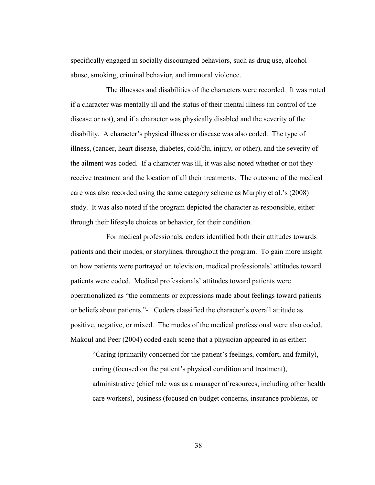specifically engaged in socially discouraged behaviors, such as drug use, alcohol abuse, smoking, criminal behavior, and immoral violence.

The illnesses and disabilities of the characters were recorded. It was noted if a character was mentally ill and the status of their mental illness (in control of the disease or not), and if a character was physically disabled and the severity of the disability. A character's physical illness or disease was also coded. The type of illness, (cancer, heart disease, diabetes, cold/flu, injury, or other), and the severity of the ailment was coded. If a character was ill, it was also noted whether or not they receive treatment and the location of all their treatments. The outcome of the medical care was also recorded using the same category scheme as Murphy et al.'s (2008) study. It was also noted if the program depicted the character as responsible, either through their lifestyle choices or behavior, for their condition.

For medical professionals, coders identified both their attitudes towards patients and their modes, or storylines, throughout the program. To gain more insight on how patients were portrayed on television, medical professionals' attitudes toward patients were coded. Medical professionals' attitudes toward patients were operationalized as "the comments or expressions made about feelings toward patients or beliefs about patients.‖-. Coders classified the character's overall attitude as positive, negative, or mixed. The modes of the medical professional were also coded. Makoul and Peer (2004) coded each scene that a physician appeared in as either:

―Caring (primarily concerned for the patient's feelings, comfort, and family), curing (focused on the patient's physical condition and treatment), administrative (chief role was as a manager of resources, including other health care workers), business (focused on budget concerns, insurance problems, or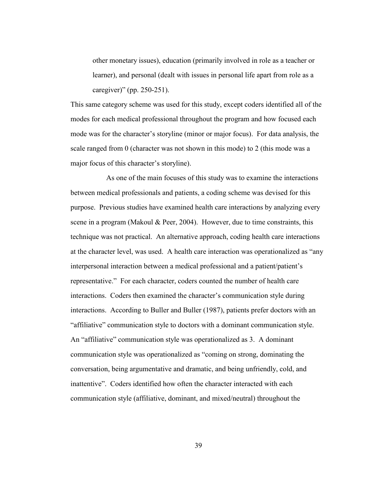other monetary issues), education (primarily involved in role as a teacher or learner), and personal (dealt with issues in personal life apart from role as a caregiver)" (pp. 250-251).

This same category scheme was used for this study, except coders identified all of the modes for each medical professional throughout the program and how focused each mode was for the character's storyline (minor or major focus). For data analysis, the scale ranged from 0 (character was not shown in this mode) to 2 (this mode was a major focus of this character's storyline).

As one of the main focuses of this study was to examine the interactions between medical professionals and patients, a coding scheme was devised for this purpose. Previous studies have examined health care interactions by analyzing every scene in a program (Makoul & Peer, 2004). However, due to time constraints, this technique was not practical. An alternative approach, coding health care interactions at the character level, was used. A health care interaction was operationalized as "any interpersonal interaction between a medical professional and a patient/patient's representative." For each character, coders counted the number of health care interactions. Coders then examined the character's communication style during interactions. According to Buller and Buller (1987), patients prefer doctors with an ―affiliative‖ communication style to doctors with a dominant communication style. An "affiliative" communication style was operationalized as 3. A dominant communication style was operationalized as "coming on strong, dominating the conversation, being argumentative and dramatic, and being unfriendly, cold, and inattentive". Coders identified how often the character interacted with each communication style (affiliative, dominant, and mixed/neutral) throughout the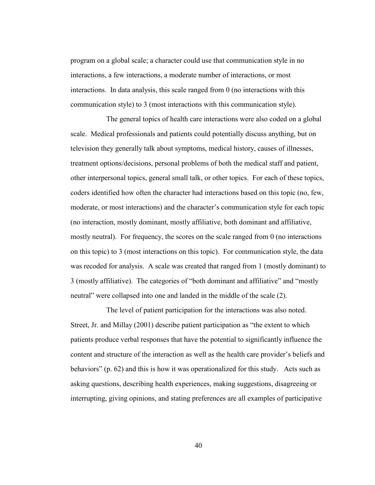program on a global scale; a character could use that communication style in no interactions, a few interactions, a moderate number of interactions, or most interactions. In data analysis, this scale ranged from 0 (no interactions with this communication style) to 3 (most interactions with this communication style).

The general topics of health care interactions were also coded on a global scale. Medical professionals and patients could potentially discuss anything, but on television they generally talk about symptoms, medical history, causes of illnesses, treatment options/decisions, personal problems of both the medical staff and patient, other interpersonal topics, general small talk, or other topics. For each of these topics, coders identified how often the character had interactions based on this topic (no, few, moderate, or most interactions) and the character's communication style for each topic (no interaction, mostly dominant, mostly affiliative, both dominant and affiliative, mostly neutral). For frequency, the scores on the scale ranged from 0 (no interactions on this topic) to 3 (most interactions on this topic). For communication style, the data was recoded for analysis. A scale was created that ranged from 1 (mostly dominant) to 3 (mostly affiliative). The categories of "both dominant and affiliative" and "mostly neutral" were collapsed into one and landed in the middle of the scale (2).

The level of patient participation for the interactions was also noted. Street, Jr. and Millay (2001) describe patient participation as "the extent to which patients produce verbal responses that have the potential to significantly influence the content and structure of the interaction as well as the health care provider's beliefs and behaviors" (p. 62) and this is how it was operationalized for this study. Acts such as asking questions, describing health experiences, making suggestions, disagreeing or interrupting, giving opinions, and stating preferences are all examples of participative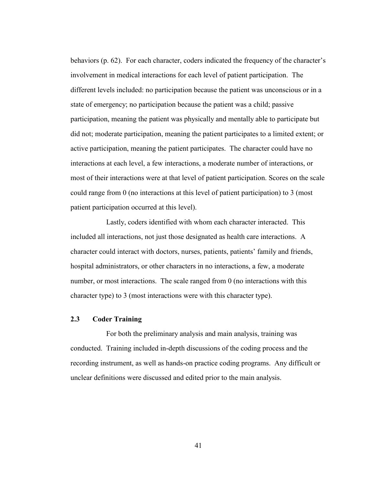behaviors (p. 62). For each character, coders indicated the frequency of the character's involvement in medical interactions for each level of patient participation. The different levels included: no participation because the patient was unconscious or in a state of emergency; no participation because the patient was a child; passive participation, meaning the patient was physically and mentally able to participate but did not; moderate participation, meaning the patient participates to a limited extent; or active participation, meaning the patient participates. The character could have no interactions at each level, a few interactions, a moderate number of interactions, or most of their interactions were at that level of patient participation. Scores on the scale could range from 0 (no interactions at this level of patient participation) to 3 (most patient participation occurred at this level).

Lastly, coders identified with whom each character interacted. This included all interactions, not just those designated as health care interactions. A character could interact with doctors, nurses, patients, patients' family and friends, hospital administrators, or other characters in no interactions, a few, a moderate number, or most interactions. The scale ranged from 0 (no interactions with this character type) to 3 (most interactions were with this character type).

#### **2.3 Coder Training**

For both the preliminary analysis and main analysis, training was conducted. Training included in-depth discussions of the coding process and the recording instrument, as well as hands-on practice coding programs. Any difficult or unclear definitions were discussed and edited prior to the main analysis.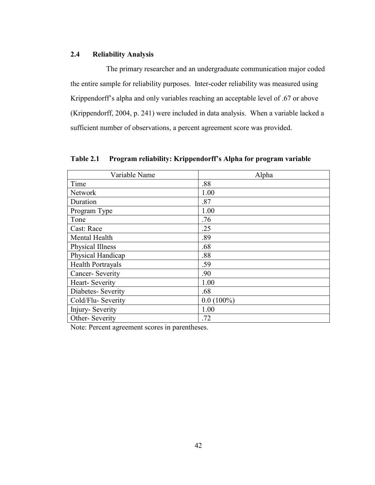### **2.4 Reliability Analysis**

The primary researcher and an undergraduate communication major coded the entire sample for reliability purposes. Inter-coder reliability was measured using Krippendorff's alpha and only variables reaching an acceptable level of .67 or above (Krippendorff, 2004, p. 241) were included in data analysis. When a variable lacked a sufficient number of observations, a percent agreement score was provided.

| Variable Name            | Alpha        |
|--------------------------|--------------|
| Time                     | .88          |
| <b>Network</b>           | 1.00         |
| Duration                 | .87          |
| Program Type             | 1.00         |
| Tone                     | .76          |
| Cast: Race               | .25          |
| Mental Health            | .89          |
| <b>Physical Illness</b>  | .68          |
| Physical Handicap        | .88          |
| <b>Health Portrayals</b> | .59          |
| Cancer-Severity          | .90          |
| Heart-Severity           | 1.00         |
| Diabetes- Severity       | .68          |
| Cold/Flu-Severity        | $0.0(100\%)$ |
| Injury-Severity          | 1.00         |
| Other-Severity           | .72          |
|                          |              |

**Table 2.1 Program reliability: Krippendorff's Alpha for program variable**

Note: Percent agreement scores in parentheses.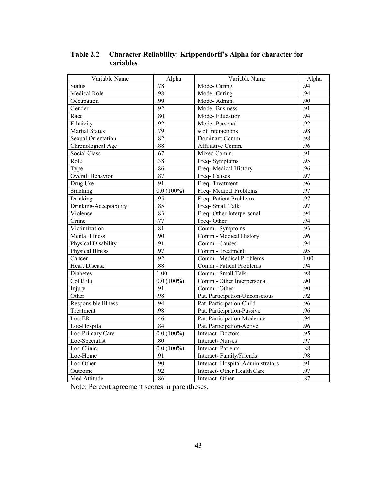| Variable Name             | Alpha        | Variable Name                    | Alpha |
|---------------------------|--------------|----------------------------------|-------|
| <b>Status</b>             | .78          | Mode-Caring                      | .94   |
| <b>Medical Role</b>       | .98          | Mode-Curing                      | .94   |
| Occupation                | .99          | Mode-Admin.                      | .90   |
| Gender                    | .92          | Mode-Business                    | .91   |
| Race                      | .80          | Mode-Education                   | .94   |
| Ethnicity                 | .92          | Mode-Personal                    | .92   |
| <b>Martial Status</b>     | .79          | # of Interactions                | .98   |
| <b>Sexual Orientation</b> | .82          | Dominant Comm.                   | .98   |
| Chronological Age         | .88          | Affiliative Comm.                | .96   |
| <b>Social Class</b>       | .67          | Mixed Comm.                      | .91   |
| Role                      | .38          | Freq-Symptoms                    | .95   |
| Type                      | .86          | Freq-Medical History             | .96   |
| <b>Overall Behavior</b>   | .87          | Freq-Causes                      | .97   |
| Drug Use                  | .91          | Freq-Treatment                   | .96   |
| Smoking                   | $0.0(100\%)$ | Freq-Medical Problems            | .97   |
| Drinking                  | .95          | Freq-Patient Problems            | .97   |
| Drinking-Acceptability    | .85          | Freq-Small Talk                  | .97   |
| Violence                  | .83          | Freq-Other Interpersonal         | .94   |
| Crime                     | .77          | Freq-Other                       | .94   |
| Victimization             | .81          | Comm.- Symptoms                  | .93   |
| Mental Illness            | .90          | Comm.- Medical History           | .96   |
| Physical Disability       | .91          | Comm.- Causes                    | .94   |
| Physical Illness          | .97          | Comm.- Treatment                 | .95   |
| Cancer                    | .92          | Comm.- Medical Problems          | 1.00  |
| <b>Heart Disease</b>      | .88          | Comm.- Patient Problems          | .94   |
| <b>Diabetes</b>           | 1.00         | Comm.- Small Talk                | .98   |
| Cold/Flu                  | $0.0(100\%)$ | Comm.- Other Interpersonal       | .90   |
| Injury                    | .91          | Comm.- Other                     | .90   |
| Other                     | .98          | Pat. Participation-Unconscious   | .92   |
| Responsible Illness       | .94          | Pat. Participation-Child         | .96   |
| Treatment                 | .98          | Pat. Participation-Passive       | .96   |
| Loc-ER                    | .46          | Pat. Participation-Moderate      | .94   |
| Loc-Hospital              | .84          | Pat. Participation-Active        | .96   |
| Loc-Primary Care          | $0.0(100\%)$ | Interact-Doctors                 | .95   |
| Loc-Specialist            | .80          | <b>Interact-Nurses</b>           | .97   |
| Loc-Clinic                | $0.0(100\%)$ | <b>Interact-Patients</b>         | .88   |
| Loc-Home                  | .91          | Interact-Family/Friends          | .98   |
| Loc-Other                 | .90          | Interact-Hospital Administrators | .91   |
| Outcome                   | .92          | Interact-Other Health Care       | .97   |
| Med Attitude              | .86          | Interact-Other                   | .87   |

**Table 2.2 Character Reliability: Krippendorff's Alpha for character for variables**

Note: Percent agreement scores in parentheses.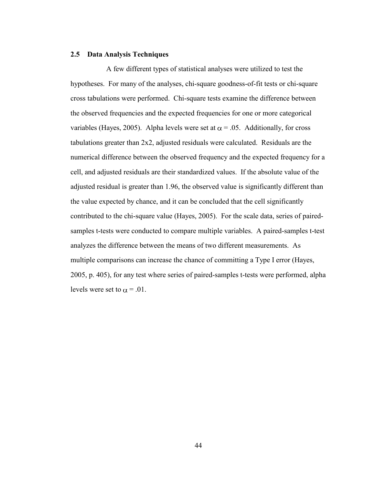#### **2.5 Data Analysis Techniques**

A few different types of statistical analyses were utilized to test the hypotheses. For many of the analyses, chi-square goodness-of-fit tests or chi-square cross tabulations were performed. Chi-square tests examine the difference between the observed frequencies and the expected frequencies for one or more categorical variables (Hayes, 2005). Alpha levels were set at  $\alpha = .05$ . Additionally, for cross tabulations greater than 2x2, adjusted residuals were calculated. Residuals are the numerical difference between the observed frequency and the expected frequency for a cell, and adjusted residuals are their standardized values. If the absolute value of the adjusted residual is greater than 1.96, the observed value is significantly different than the value expected by chance, and it can be concluded that the cell significantly contributed to the chi-square value (Hayes, 2005). For the scale data, series of pairedsamples t-tests were conducted to compare multiple variables. A paired-samples t-test analyzes the difference between the means of two different measurements. As multiple comparisons can increase the chance of committing a Type I error (Hayes, 2005, p. 405), for any test where series of paired-samples t-tests were performed, alpha levels were set to  $\alpha = .01$ .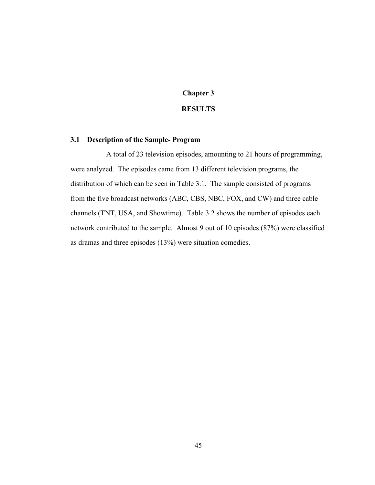### **Chapter 3**

### **RESULTS**

#### **3.1 Description of the Sample- Program**

A total of 23 television episodes, amounting to 21 hours of programming, were analyzed. The episodes came from 13 different television programs, the distribution of which can be seen in Table 3.1. The sample consisted of programs from the five broadcast networks (ABC, CBS, NBC, FOX, and CW) and three cable channels (TNT, USA, and Showtime). Table 3.2 shows the number of episodes each network contributed to the sample. Almost 9 out of 10 episodes (87%) were classified as dramas and three episodes (13%) were situation comedies.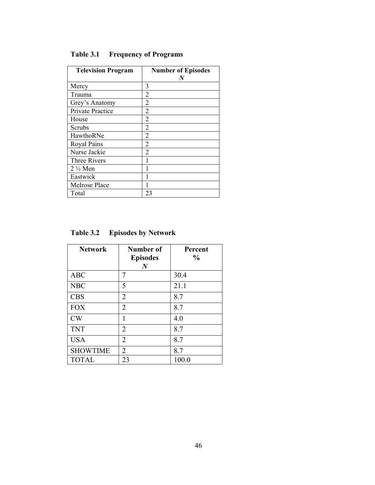| <b>Television Program</b> | <b>Number of Episodes</b><br>N |
|---------------------------|--------------------------------|
| Mercy                     | 3                              |
| Trauma                    | 2                              |
| Grey's Anatomy            | 2                              |
| <b>Private Practice</b>   | 2                              |
| House                     | 2                              |
| Scrubs                    | 2                              |
| HawthoRNe                 | 2                              |
| Royal Pains               | 2                              |
| Nurse Jackie              | 2                              |
| <b>Three Rivers</b>       |                                |
| $2\frac{1}{2}$ Men        |                                |
| Eastwick                  |                                |
| Melrose Place             |                                |
| Total                     | 23                             |

**Table 3.1 Frequency of Programs**

| <b>Network</b>  | Number of<br><b>Episodes</b> | Percent<br>$\frac{0}{0}$ |
|-----------------|------------------------------|--------------------------|
|                 | N                            |                          |
| <b>ABC</b>      | 7                            | 30.4                     |
| <b>NBC</b>      | 5                            | 21.1                     |
| <b>CBS</b>      | $\overline{2}$               | 8.7                      |
| <b>FOX</b>      | $\overline{2}$               | 8.7                      |
| CW              | 1                            | 4.0                      |
| <b>TNT</b>      | 2                            | 8.7                      |
| <b>USA</b>      | $\overline{2}$               | 8.7                      |
| <b>SHOWTIME</b> | $\overline{2}$               | 8.7                      |
| <b>TOTAL</b>    | 23                           | 100.0                    |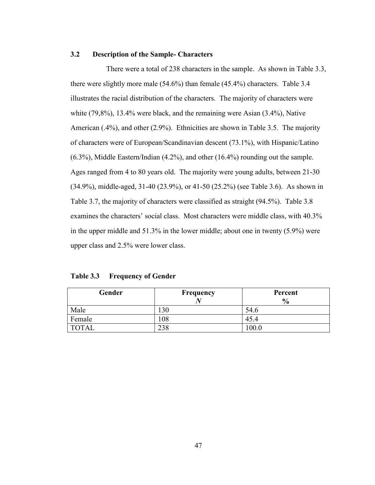#### **3.2 Description of the Sample- Characters**

There were a total of 238 characters in the sample. As shown in Table 3.3, there were slightly more male (54.6%) than female (45.4%) characters. Table 3.4 illustrates the racial distribution of the characters. The majority of characters were white (79,8%), 13.4% were black, and the remaining were Asian (3.4%), Native American (.4%), and other (2.9%). Ethnicities are shown in Table 3.5. The majority of characters were of European/Scandinavian descent (73.1%), with Hispanic/Latino (6.3%), Middle Eastern/Indian (4.2%), and other (16.4%) rounding out the sample. Ages ranged from 4 to 80 years old. The majority were young adults, between 21-30 (34.9%), middle-aged, 31-40 (23.9%), or 41-50 (25.2%) (see Table 3.6). As shown in Table 3.7, the majority of characters were classified as straight (94.5%). Table 3.8 examines the characters' social class. Most characters were middle class, with 40.3% in the upper middle and 51.3% in the lower middle; about one in twenty (5.9%) were upper class and 2.5% were lower class.

| Table 3.3 | <b>Frequency of Gender</b> |  |
|-----------|----------------------------|--|
|-----------|----------------------------|--|

| Gender       | Frequency | Percent       |
|--------------|-----------|---------------|
|              |           | $\frac{6}{9}$ |
| Male         | 130       | 54.6          |
| Female       | 108       | 45.4          |
| <b>TOTAL</b> | 238       | 100.0         |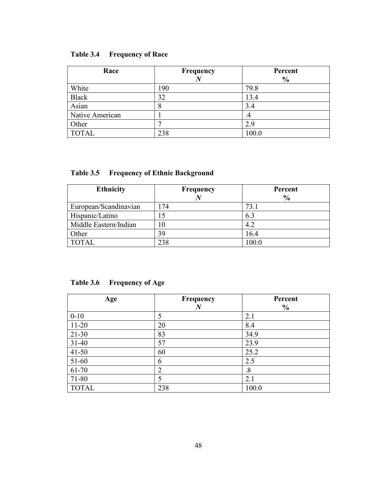| Table 3.4 | <b>Frequency of Race</b> |
|-----------|--------------------------|
|           |                          |

| Race            | <b>Frequency</b> | Percent<br>$\frac{6}{9}$ |
|-----------------|------------------|--------------------------|
| White           | 190              | 79.8                     |
| <b>Black</b>    | 32               | 13.4                     |
| Asian           | 8                | 3.4                      |
| Native American |                  | .4                       |
| Other           | −                | 2.9                      |
| <b>TOTAL</b>    | 238              | 100.0                    |

# **Table 3.5 Frequency of Ethnic Background**

| <b>Ethnicity</b>      | Frequency | Percent<br>$\frac{6}{6}$ |
|-----------------------|-----------|--------------------------|
|                       |           |                          |
| European/Scandinavian | .74       | 73.1                     |
| Hispanic/Latino       | 15        | 6.3                      |
| Middle Eastern/Indian | 0         | 4.2                      |
| Other                 | 39        | 16.4                     |
| <b>TOTAL</b>          | 238       | 100.0                    |

# **Table 3.6 Frequency of Age**

| Age          | Frequency      | Percent       |
|--------------|----------------|---------------|
|              | $\bm{N}$       | $\frac{0}{0}$ |
| $0 - 10$     | 5              | 2.1           |
| $11 - 20$    | 20             | 8.4           |
| $21-30$      | 83             | 34.9          |
| $31-40$      | 57             | 23.9          |
| $41 - 50$    | 60             | 25.2          |
| $51 - 60$    | 6              | 2.5           |
| 61-70        | $\overline{2}$ | $\cdot^8$     |
| 71-80        | 5              | 2.1           |
| <b>TOTAL</b> | 238            | 100.0         |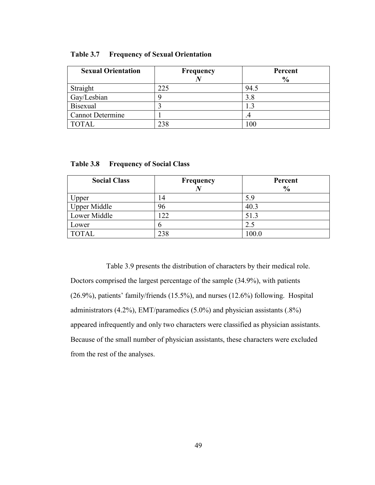| <b>Sexual Orientation</b> | Frequency | Percent       |
|---------------------------|-----------|---------------|
|                           |           | $\frac{6}{9}$ |
| Straight                  | 225       | 94.5          |
| Gay/Lesbian               |           | 3.8           |
| <b>Bisexual</b>           |           |               |
| <b>Cannot Determine</b>   |           |               |
| <b>TOTAL</b>              | າາວ       |               |

| Table 3.7 |  |  | <b>Frequency of Sexual Orientation</b> |
|-----------|--|--|----------------------------------------|
|-----------|--|--|----------------------------------------|

| <b>Social Class</b> | Frequency | Percent<br>$\frac{6}{9}$ |
|---------------------|-----------|--------------------------|
| Upper               | 14        | 5.9                      |
| <b>Upper Middle</b> | 96        | 40.3                     |
| Lower Middle        | 22        | 51.3                     |
| Lower               | n         | 2.5                      |
| <b>TOTAL</b>        | 238       | 100.0                    |

**Table 3.8 Frequency of Social Class**

Table 3.9 presents the distribution of characters by their medical role. Doctors comprised the largest percentage of the sample (34.9%), with patients (26.9%), patients' family/friends (15.5%), and nurses (12.6%) following. Hospital administrators  $(4.2\%)$ , EMT/paramedics  $(5.0\%)$  and physician assistants  $(.8\%)$ appeared infrequently and only two characters were classified as physician assistants. Because of the small number of physician assistants, these characters were excluded from the rest of the analyses.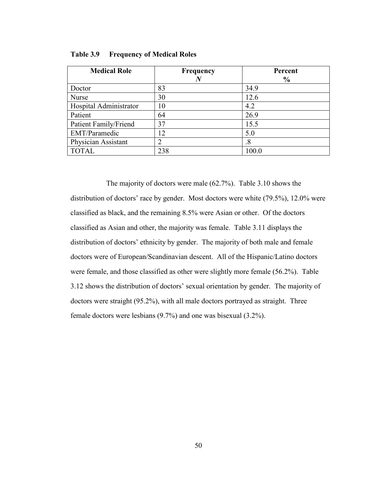| <b>Medical Role</b>    | <b>Frequency</b><br>N | Percent<br>$\frac{0}{0}$ |
|------------------------|-----------------------|--------------------------|
| Doctor                 | 83                    | 34.9                     |
| Nurse                  | 30                    | 12.6                     |
| Hospital Administrator | 10                    | 4.2                      |
| Patient                | 64                    | 26.9                     |
| Patient Family/Friend  | 37                    | 15.5                     |
| EMT/Paramedic          | 12                    | 5.0                      |
| Physician Assistant    | $\overline{2}$        | $.8\,$                   |
| <b>TOTAL</b>           | 238                   | 100.0                    |

**Table 3.9 Frequency of Medical Roles**

The majority of doctors were male (62.7%). Table 3.10 shows the distribution of doctors' race by gender. Most doctors were white (79.5%), 12.0% were classified as black, and the remaining 8.5% were Asian or other. Of the doctors classified as Asian and other, the majority was female. Table 3.11 displays the distribution of doctors' ethnicity by gender. The majority of both male and female doctors were of European/Scandinavian descent. All of the Hispanic/Latino doctors were female, and those classified as other were slightly more female (56.2%). Table 3.12 shows the distribution of doctors' sexual orientation by gender. The majority of doctors were straight (95.2%), with all male doctors portrayed as straight. Three female doctors were lesbians (9.7%) and one was bisexual (3.2%).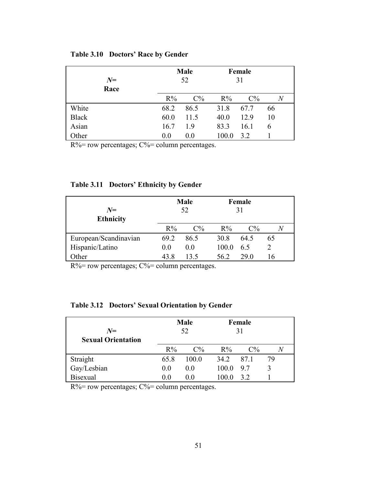| $N=$<br>Race | <b>Male</b><br>52 |       | Female<br>31 |       |                |
|--------------|-------------------|-------|--------------|-------|----------------|
|              | $R\%$             | $C\%$ | $R\%$        | $C\%$ | $\overline{N}$ |
| White        | 68.2              | 86.5  | 31.8         | 67.7  | 66             |
| <b>Black</b> | 60.0              | 11.5  | 40.0         | 12.9  | 10             |
| Asian        | 16.7              | 19    | 83.3         | 16.1  | b              |
| Other        | 0.0               | 0.0   | 100.0        | 32    |                |

### **Table 3.10 Doctors' Race by Gender**

 $R\%$  = row percentages;  $C\%$  = column percentages.

| $N=$<br><b>Ethnicity</b> | <b>Male</b><br>52 |                | Female<br>31 |       |    |
|--------------------------|-------------------|----------------|--------------|-------|----|
|                          | $R\%$             | $C\%$          | $R\%$        | $C\%$ |    |
| European/Scandinavian    | 69.2              | 86.5           | 30.8         | 64.5  | 65 |
| Hispanic/Latino          | 0 <sub>0</sub>    | 0 <sub>0</sub> | 100.0        | 6.5   |    |
| Other                    | 43 R              | 135            | 562          | 29 O  |    |

### **Table 3.11 Doctors' Ethnicity by Gender**

R%= row percentages; C%= column percentages.

## **Table 3.12 Doctors' Sexual Orientation by Gender**

| $N=$<br><b>Sexual Orientation</b> | <b>Male</b><br>52 |                | Female<br>31 |       |    |
|-----------------------------------|-------------------|----------------|--------------|-------|----|
|                                   | $R\%$             | $C\%$          | $R\%$        | $C\%$ |    |
| Straight                          | 65.8              | 100.0          | 34 2         | 87.1  | 79 |
| Gay/Lesbian                       | 0.0               | 0.0            | 100.0        | 9.7   |    |
| <b>Bisexual</b>                   | 0.0               | 0 <sub>0</sub> | 100 0        | 32    |    |

 $R\%$  = row percentages;  $C\%$  = column percentages.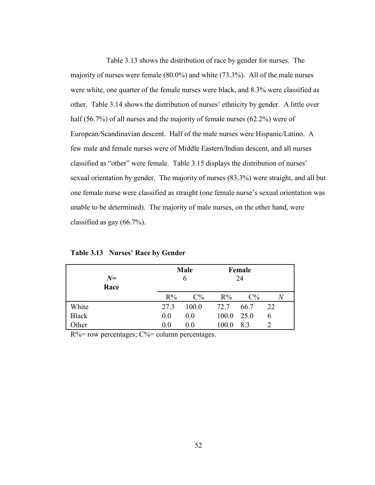Table 3.13 shows the distribution of race by gender for nurses. The majority of nurses were female (80.0%) and white (73.3%). All of the male nurses were white, one quarter of the female nurses were black, and 8.3% were classified as other. Table 3.14 shows the distribution of nurses' ethnicity by gender. A little over half (56.7%) of all nurses and the majority of female nurses (62.2%) were of European/Scandinavian descent. Half of the male nurses were Hispanic/Latino. A few male and female nurses were of Middle Eastern/Indian descent, and all nurses classified as "other" were female. Table 3.15 displays the distribution of nurses' sexual orientation by gender. The majority of nurses (83.3%) were straight, and all but one female nurse were classified as straight (one female nurse's sexual orientation was unable to be determined). The majority of male nurses, on the other hand, were classified as gay (66.7%).

| $N=$<br>Race | <b>Male</b><br>6 |       | Female<br>24 |       |    |
|--------------|------------------|-------|--------------|-------|----|
|              | $R\%$            | $C\%$ | $R\%$        | $C\%$ | N  |
| White        | 27.3             | 100.0 | 72.7         | 66.7  | 22 |
| <b>Black</b> | 0.0              | 0.0   | 100.0        | 25.0  | b  |
| Other        | 0.0              | 0.0   | 100.0        | 8.3   |    |

**Table 3.13 Nurses' Race by Gender**

 $R\%$ = row percentages;  $C\%$ = column percentages.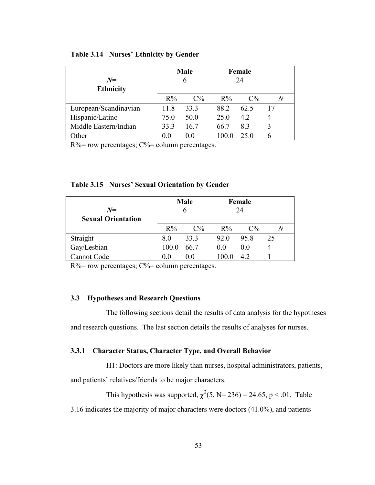| $N=$<br><b>Ethnicity</b> | <b>Male</b><br>6 |                | Female<br>24 |       |    |
|--------------------------|------------------|----------------|--------------|-------|----|
|                          | $R\%$            | $C\%$          | $R\%$        | $C\%$ |    |
| European/Scandinavian    | 11.8             | 33.3           | 88.2         | 62.5  | 17 |
| Hispanic/Latino          | 75 Q             | 50.0           | 25.0         | 42    | 4  |
| Middle Eastern/Indian    | 33.3             | 16.7           | 66 7         | 83    |    |
| Other                    | () ()            | 0 <sub>0</sub> |              | 25 O  |    |

#### **Table 3.14 Nurses' Ethnicity by Gender**

 $R\%$  = row percentages;  $C\%$  = column percentages.

| $N=$<br><b>Sexual Orientation</b> | <b>Male</b><br>6 |                   | Female<br>24 |                |    |
|-----------------------------------|------------------|-------------------|--------------|----------------|----|
|                                   | $R\%$            | $C\%$             | $R\%$        | $C\%$          |    |
| Straight                          | 80               | 33.3              | 92.0         | 95.8           | 25 |
| Gay/Lesbian                       | 100.0            | 66.7              | 0.0          | 0 <sub>0</sub> |    |
| Cannot Code                       | () ()            | $\theta$ $\theta$ | 100.0        | 42             |    |

 $R\%$  = row percentages;  $C\%$  = column percentages.

## **3.3 Hypotheses and Research Questions**

The following sections detail the results of data analysis for the hypotheses and research questions. The last section details the results of analyses for nurses.

#### **3.3.1 Character Status, Character Type, and Overall Behavior**

H1: Doctors are more likely than nurses, hospital administrators, patients,

and patients' relatives/friends to be major characters.

This hypothesis was supported,  $\chi^2(5, N=236) = 24.65$ , p < .01. Table 3.16 indicates the majority of major characters were doctors (41.0%), and patients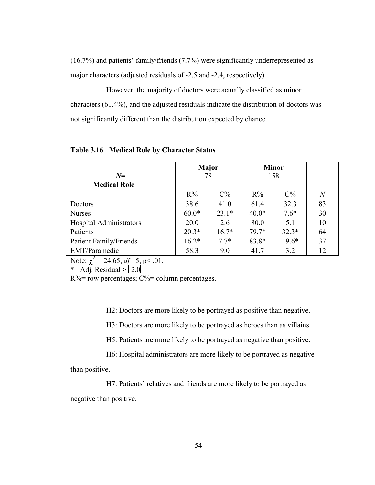(16.7%) and patients' family/friends (7.7%) were significantly underrepresented as major characters (adjusted residuals of -2.5 and -2.4, respectively).

However, the majority of doctors were actually classified as minor characters (61.4%), and the adjusted residuals indicate the distribution of doctors was not significantly different than the distribution expected by chance.

| $N=$                           | Major<br>78 |         | <b>Minor</b><br>158 |         |       |
|--------------------------------|-------------|---------|---------------------|---------|-------|
| <b>Medical Role</b>            |             |         |                     |         |       |
|                                | $R\%$       | $C\%$   | $R\%$               | $C\%$   | $\,N$ |
| Doctors                        | 38.6        | 41.0    | 61.4                | 32.3    | 83    |
| <b>Nurses</b>                  | $60.0*$     | $23.1*$ | $40.0*$             | $7.6*$  | 30    |
| <b>Hospital Administrators</b> | 20.0        | 2.6     | 80.0                | 5.1     | 10    |
| Patients                       | $20.3*$     | $16.7*$ | 79.7*               | $32.3*$ | 64    |
| Patient Family/Friends         | $16.2*$     | $7.7*$  | 83.8*               | $19.6*$ | 37    |
| EMT/Paramedic                  | 58.3        | 9.0     | 41.7                | 3.2     | 12    |

**Table 3.16 Medical Role by Character Status**

Note:  $\chi^2 = 24.65$ ,  $df = 5$ , p< .01.

\*= Adj. Residual  $\geq 2.0$ 

 $R\%$  = row percentages;  $C\%$  = column percentages.

H2: Doctors are more likely to be portrayed as positive than negative.

H3: Doctors are more likely to be portrayed as heroes than as villains.

H5: Patients are more likely to be portrayed as negative than positive.

H6: Hospital administrators are more likely to be portrayed as negative than positive.

H7: Patients' relatives and friends are more likely to be portrayed as negative than positive.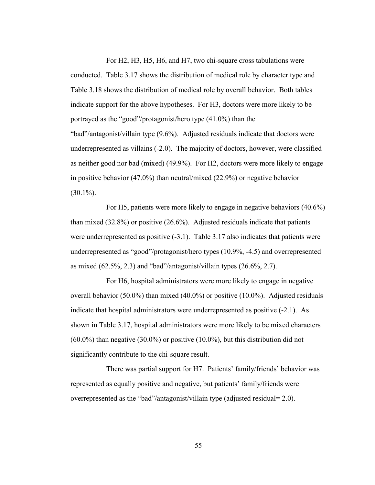For H2, H3, H5, H6, and H7, two chi-square cross tabulations were conducted. Table 3.17 shows the distribution of medical role by character type and Table 3.18 shows the distribution of medical role by overall behavior. Both tables indicate support for the above hypotheses. For H3, doctors were more likely to be portrayed as the "good"/protagonist/hero type  $(41.0\%)$  than the "bad"/antagonist/villain type  $(9.6\%)$ . Adjusted residuals indicate that doctors were underrepresented as villains (-2.0). The majority of doctors, however, were classified as neither good nor bad (mixed) (49.9%). For H2, doctors were more likely to engage in positive behavior (47.0%) than neutral/mixed (22.9%) or negative behavior  $(30.1\%)$ .

For H5, patients were more likely to engage in negative behaviors (40.6%) than mixed (32.8%) or positive (26.6%). Adjusted residuals indicate that patients were underrepresented as positive (-3.1). Table 3.17 also indicates that patients were underrepresented as "good"/protagonist/hero types  $(10.9\%, -4.5)$  and overrepresented as mixed  $(62.5\%, 2.3)$  and "bad"/antagonist/villain types  $(26.6\%, 2.7)$ .

For H6, hospital administrators were more likely to engage in negative overall behavior (50.0%) than mixed (40.0%) or positive (10.0%). Adjusted residuals indicate that hospital administrators were underrepresented as positive (-2.1). As shown in Table 3.17, hospital administrators were more likely to be mixed characters (60.0%) than negative (30.0%) or positive (10.0%), but this distribution did not significantly contribute to the chi-square result.

There was partial support for H7. Patients' family/friends' behavior was represented as equally positive and negative, but patients' family/friends were overrepresented as the "bad"/antagonist/villain type (adjusted residual=  $2.0$ ).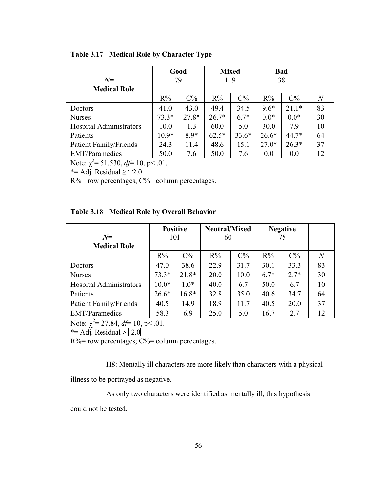| $N=$                    | Good<br>79 |         | <b>Mixed</b><br>119 |         | <b>Bad</b><br>38 |         |    |
|-------------------------|------------|---------|---------------------|---------|------------------|---------|----|
| <b>Medical Role</b>     |            |         |                     |         |                  |         |    |
|                         | $R\%$      | $C\%$   | $R\%$               | $C\%$   | $R\%$            | $C\%$   | N  |
| Doctors                 | 41.0       | 43.0    | 49.4                | 34.5    | $9.6*$           | $21.1*$ | 83 |
| <b>Nurses</b>           | $73.3*$    | $27.8*$ | $26.7*$             | $6.7*$  | $0.0*$           | $0.0*$  | 30 |
| Hospital Administrators | 10.0       | 1.3     | 60.0                | 5.0     | 30.0             | 7.9     | 10 |
| Patients                | $10.9*$    | $8.9*$  | $62.5*$             | $33.6*$ | $26.6*$          | $44.7*$ | 64 |
| Patient Family/Friends  | 24.3       | 11.4    | 48.6                | 15.1    | $27.0*$          | $26.3*$ | 37 |
| <b>EMT/Paramedics</b>   | 50.0       | 7.6     | 50.0                | 7.6     | 0.0              | 0.0     | 12 |

**Table 3.17 Medical Role by Character Type**

Note:  $\chi^2$ = 51.530, *df*= 10, p< .01.

\*= Adj. Residual  $\geq 2.0$ 

 $R\%$  = row percentages;  $C\%$  = column percentages.

|  |  | Table 3.18 Medical Role by Overall Behavior |
|--|--|---------------------------------------------|
|--|--|---------------------------------------------|

| $N=$                          | <b>Positive</b> |         | <b>Neutral/Mixed</b> |       | <b>Negative</b> |        |              |
|-------------------------------|-----------------|---------|----------------------|-------|-----------------|--------|--------------|
| <b>Medical Role</b>           | 101             |         | 60                   |       | 75              |        |              |
|                               | $R\%$           | $C\%$   | $R\%$                | $C\%$ | $R\%$           | $C\%$  | $\mathcal N$ |
| Doctors                       | 47.0            | 38.6    | 22.9                 | 31.7  | 30.1            | 33.3   | 83           |
| <b>Nurses</b>                 | $73.3*$         | $21.8*$ | 20.0                 | 10.0  | $6.7*$          | $2.7*$ | 30           |
| Hospital Administrators       | $10.0*$         | $1.0*$  | 40.0                 | 6.7   | 50.0            | 6.7    | 10           |
| Patients                      | $26.6*$         | $16.8*$ | 32.8                 | 35.0  | 40.6            | 34.7   | 64           |
| <b>Patient Family/Friends</b> | 40.5            | 14.9    | 18.9                 | 11.7  | 40.5            | 20.0   | 37           |
| <b>EMT/Paramedics</b>         | 58.3            | 6.9     | 25.0                 | 5.0   | 16.7            | 2.7    | 12           |

Note:  $\chi^2$ = 27.84, *df*= 10, p < .01.

\*= Adj. Residual  $\ge$  | 2.0|

R%= row percentages; C%= column percentages.

H8: Mentally ill characters are more likely than characters with a physical illness to be portrayed as negative.

As only two characters were identified as mentally ill, this hypothesis

could not be tested.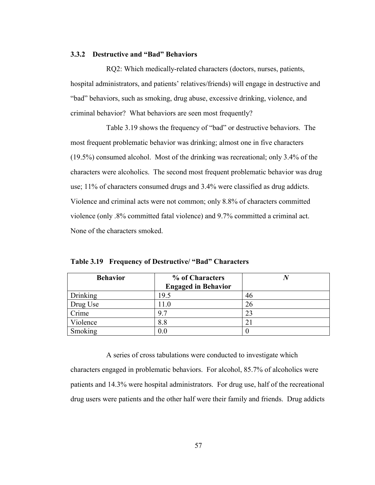#### **3.3.2 Destructive and "Bad" Behaviors**

RQ2: Which medically-related characters (doctors, nurses, patients, hospital administrators, and patients' relatives/friends) will engage in destructive and ―bad‖ behaviors, such as smoking, drug abuse, excessive drinking, violence, and criminal behavior? What behaviors are seen most frequently?

Table 3.19 shows the frequency of "bad" or destructive behaviors. The most frequent problematic behavior was drinking; almost one in five characters (19.5%) consumed alcohol. Most of the drinking was recreational; only 3.4% of the characters were alcoholics. The second most frequent problematic behavior was drug use; 11% of characters consumed drugs and 3.4% were classified as drug addicts. Violence and criminal acts were not common; only 8.8% of characters committed violence (only .8% committed fatal violence) and 9.7% committed a criminal act. None of the characters smoked.

| <b>Behavior</b> | % of Characters            |    |  |  |
|-----------------|----------------------------|----|--|--|
|                 | <b>Engaged in Behavior</b> |    |  |  |
| Drinking        | 19.5                       | 46 |  |  |
| Drug Use        | 11.0                       | 26 |  |  |
| Crime           | 9.7                        | 23 |  |  |
| Violence        |                            |    |  |  |
| Smoking         |                            |    |  |  |

**Table 3.19 Frequency of Destructive/ "Bad" Characters**

A series of cross tabulations were conducted to investigate which characters engaged in problematic behaviors. For alcohol, 85.7% of alcoholics were patients and 14.3% were hospital administrators. For drug use, half of the recreational drug users were patients and the other half were their family and friends. Drug addicts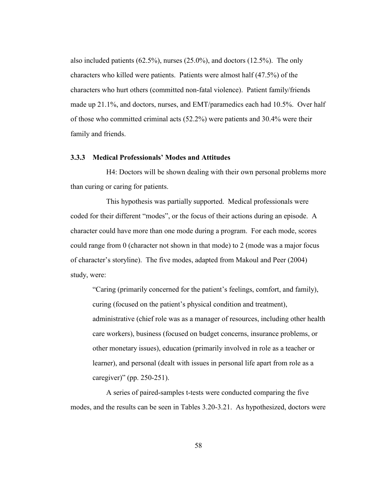also included patients (62.5%), nurses (25.0%), and doctors (12.5%). The only characters who killed were patients. Patients were almost half (47.5%) of the characters who hurt others (committed non-fatal violence). Patient family/friends made up 21.1%, and doctors, nurses, and EMT/paramedics each had 10.5%. Over half of those who committed criminal acts (52.2%) were patients and 30.4% were their family and friends.

#### **3.3.3 Medical Professionals' Modes and Attitudes**

H4: Doctors will be shown dealing with their own personal problems more than curing or caring for patients.

This hypothesis was partially supported. Medical professionals were coded for their different "modes", or the focus of their actions during an episode. A character could have more than one mode during a program. For each mode, scores could range from 0 (character not shown in that mode) to 2 (mode was a major focus of character's storyline). The five modes, adapted from Makoul and Peer (2004) study, were:

―Caring (primarily concerned for the patient's feelings, comfort, and family), curing (focused on the patient's physical condition and treatment), administrative (chief role was as a manager of resources, including other health care workers), business (focused on budget concerns, insurance problems, or other monetary issues), education (primarily involved in role as a teacher or learner), and personal (dealt with issues in personal life apart from role as a caregiver)" (pp.  $250-251$ ).

A series of paired-samples t-tests were conducted comparing the five modes, and the results can be seen in Tables 3.20-3.21. As hypothesized, doctors were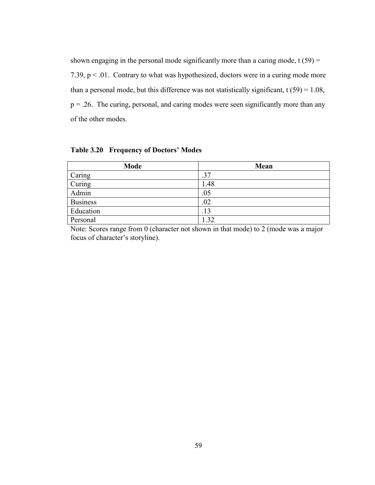shown engaging in the personal mode significantly more than a caring mode,  $t(59) =$ 7.39,  $p < 0.01$ . Contrary to what was hypothesized, doctors were in a curing mode more than a personal mode, but this difference was not statistically significant,  $t(59) = 1.08$ ,  $p = 0.26$ . The curing, personal, and caring modes were seen significantly more than any of the other modes.

**Mode Mean** Caring 27 Curing 2.48 Admin  $.05$ Business .02 Education 13 Personal 1.32

**Table 3.20 Frequency of Doctors' Modes**

Note: Scores range from 0 (character not shown in that mode) to 2 (mode was a major focus of character's storyline).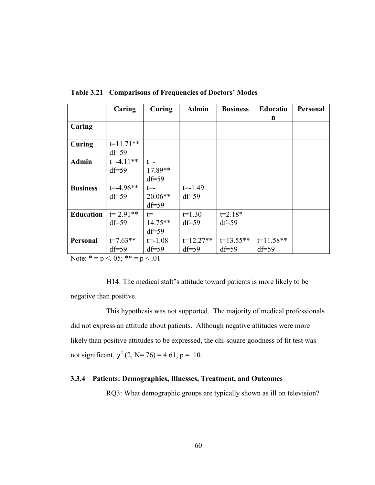|                                                                              | Caring                                                      | Curing                                 | <b>Admin</b>           | <b>Business</b>          | <b>Educatio</b><br>n   | <b>Personal</b> |
|------------------------------------------------------------------------------|-------------------------------------------------------------|----------------------------------------|------------------------|--------------------------|------------------------|-----------------|
| Caring                                                                       |                                                             |                                        |                        |                          |                        |                 |
| Curing                                                                       | $t=11.71**$<br>$df=59$                                      |                                        |                        |                          |                        |                 |
| <b>Admin</b>                                                                 | $t = -4.11**$<br>$df=59$                                    | $t = -$<br>17.89**<br>$df=59$          |                        |                          |                        |                 |
| <b>Business</b>                                                              | $t = -4.96**$<br>$df = 59$                                  | $t = -$<br>$20.06**$<br>$df = 59$      | $t = -1.49$<br>$df=59$ |                          |                        |                 |
| <b>Education</b>                                                             | $t = -2.91**$<br>$df=59$                                    | $t = -$<br>$14.75**$<br>$df=59$        | $t=1.30$<br>$df=59$    | $t=2.18*$<br>$df = 59$   |                        |                 |
| Personal<br>$\mathbf{X}$ $\mathbf{Y}$ $\mathbf{Y}$ $\mathbf{Y}$ $\mathbf{Y}$ | $t=7.63**$<br>$df=59$<br>$\sim$ $\sim$ $\sim$ $\sim$ $\sim$ | $t = -1.08$<br>$df = 59$<br>$\sim$ 0.1 | $t=12.27**$<br>$df=59$ | $t=13.55**$<br>$df = 59$ | $t=11.58**$<br>$df=59$ |                 |

**Table 3.21 Comparisons of Frequencies of Doctors' Modes**

Note:  $* = p < 0.05$ ;  $* = p < 0.01$ 

H14: The medical staff's attitude toward patients is more likely to be negative than positive.

This hypothesis was not supported. The majority of medical professionals did not express an attitude about patients. Although negative attitudes were more likely than positive attitudes to be expressed, the chi-square goodness of fit test was not significant,  $\chi^2$  (2, N= 76) = 4.61, p = .10.

### **3.3.4 Patients: Demographics, Illnesses, Treatment, and Outcomes**

RQ3: What demographic groups are typically shown as ill on television?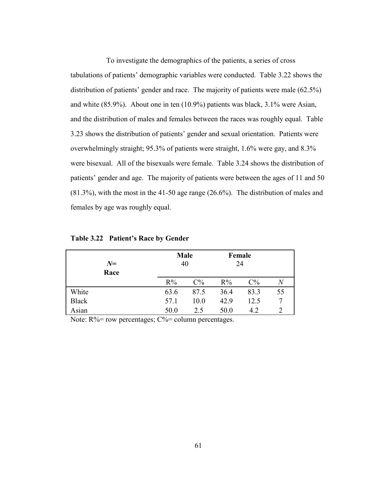To investigate the demographics of the patients, a series of cross tabulations of patients' demographic variables were conducted. Table 3.22 shows the distribution of patients' gender and race. The majority of patients were male (62.5%) and white (85.9%). About one in ten (10.9%) patients was black, 3.1% were Asian, and the distribution of males and females between the races was roughly equal. Table 3.23 shows the distribution of patients' gender and sexual orientation. Patients were overwhelmingly straight; 95.3% of patients were straight, 1.6% were gay, and 8.3% were bisexual. All of the bisexuals were female. Table 3.24 shows the distribution of patients' gender and age. The majority of patients were between the ages of 11 and 50 (81.3%), with the most in the 41-50 age range (26.6%). The distribution of males and females by age was roughly equal.

| $N=$<br>Race | Male<br>40 |       | Female<br>24 |       |       |
|--------------|------------|-------|--------------|-------|-------|
|              | $R\%$      | $C\%$ | $R\%$        | $C\%$ | $\,N$ |
| White        | 63.6       | 87.5  | 36.4         | 83.3  | 55    |
| <b>Black</b> | 57.1       | 10.0  | 42.9         | 12.5  | 7     |
| Asian        | 50.0       | 2.5   | 50.0         | 4.2   |       |

**Table 3.22 Patient's Race by Gender**

Note:  $R\%$  = row percentages;  $C\%$  = column percentages.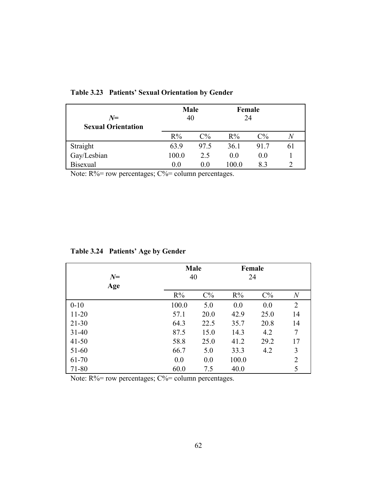| $N=$<br><b>Sexual Orientation</b> | <b>Male</b><br>40 |       | Female<br>24 |       |    |
|-----------------------------------|-------------------|-------|--------------|-------|----|
|                                   | $R\%$             | $C\%$ | $R\%$        | $C\%$ | Ν  |
| Straight                          | 63.9              | 97.5  | 36.1         | 917   | 61 |
| Gay/Lesbian                       | 100.0             | 2.5   | 0.0          | 0.0   |    |
| <b>Bisexual</b>                   | 0.0               | ()()  | 100.0        | 83    |    |

**Table 3.23 Patients' Sexual Orientation by Gender**

Note:  $R\%$  = row percentages;  $C\%$  = column percentages.

| Table 3.24 Patients' Age by Gender |  |  |  |
|------------------------------------|--|--|--|
|------------------------------------|--|--|--|

| $N=$      | <b>Male</b><br>40 |       | Female<br>24 |       |                |
|-----------|-------------------|-------|--------------|-------|----------------|
| Age       | $R\%$             | $C\%$ | $R\%$        | $C\%$ | $\overline{N}$ |
| $0 - 10$  | 100.0             | 5.0   | 0.0          | 0.0   | $\overline{2}$ |
| $11 - 20$ | 57.1              | 20.0  | 42.9         | 25.0  | 14             |
| $21 - 30$ | 64.3              | 22.5  | 35.7         | 20.8  | 14             |
| $31 - 40$ | 87.5              | 15.0  | 14.3         | 4.2   | $\overline{7}$ |
| $41 - 50$ | 58.8              | 25.0  | 41.2         | 29.2  | 17             |
| 51-60     | 66.7              | 5.0   | 33.3         | 4.2   | 3              |
| 61-70     | 0.0               | 0.0   | 100.0        |       | $\overline{2}$ |
| 71-80     | 60.0              | 7.5   | 40.0         |       | 5              |

Note:  $R\%$  = row percentages;  $C\%$  = column percentages.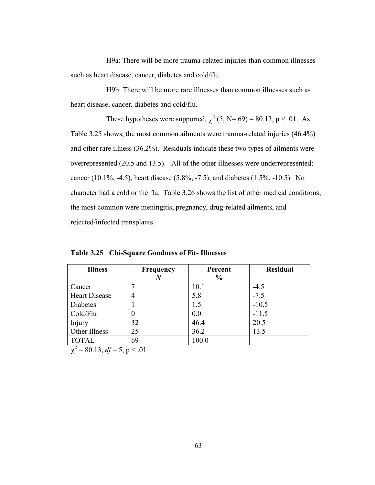H9a: There will be more trauma-related injuries than common illnesses such as heart disease, cancer, diabetes and cold/flu.

H9b: There will be more rare illnesses than common illnesses such as heart disease, cancer, diabetes and cold/flu.

These hypotheses were supported,  $\chi^2$  (5, N= 69) = 80.13, p < .01. As Table 3.25 shows, the most common ailments were trauma-related injuries (46.4%) and other rare illness (36.2%). Residuals indicate these two types of ailments were overrepresented (20.5 and 13.5). All of the other illnesses were underrepresented: cancer (10.1%, -4.5), heart disease (5.8%, -7.5), and diabetes (1.5%, -10.5). No character had a cold or the flu. Table 3.26 shows the list of other medical conditions; the most common were meningitis, pregnancy, drug-related ailments, and rejected/infected transplants.

| <b>Illness</b>                          | <b>Frequency</b> | Percent       | <b>Residual</b> |
|-----------------------------------------|------------------|---------------|-----------------|
|                                         | N                | $\frac{6}{6}$ |                 |
| Cancer                                  |                  | 10.1          | $-4.5$          |
| <b>Heart Disease</b>                    |                  | 5.8           | $-7.5$          |
| Diabetes                                |                  | 1.5           | $-10.5$         |
| Cold/Flu                                |                  | 0.0           | $-11.5$         |
| Injury                                  | 32               | 46.4          | 20.5            |
| Other Illness                           | 25               | 36.2          | 13.5            |
| <b>TOTAL</b><br>$2 \times 22 \times 12$ | 69               | 100.0         |                 |

**Table 3.25 Chi-Square Goodness of Fit- Illnesses**

 $x^2 = 80.13$ ,  $df = 5$ ,  $p < .01$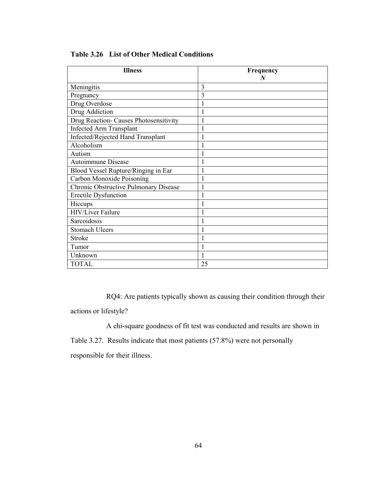| <b>Illness</b>                         | Frequency<br>N |
|----------------------------------------|----------------|
| Meningitis                             | 3              |
| Pregnancy                              | 3              |
| Drug Overdose                          |                |
| Drug Addiction                         |                |
| Drug Reaction- Causes Photosensitivity |                |
| <b>Infected Arm Transplant</b>         |                |
| Infected/Rejected Hand Transplant      |                |
| Alcoholism                             |                |
| Autism                                 |                |
| Autoimmune Disease                     |                |
| Blood Vessel Rupture/Ringing in Ear    |                |
| Carbon Monoxide Poisoning              |                |
| Chronic Obstructive Pulmonary Disease  |                |
| <b>Erectile Dysfunction</b>            |                |
| Hiccups                                |                |
| <b>HIV/Liver Failure</b>               |                |
| Sarcoidosis                            |                |
| <b>Stomach Ulcers</b>                  |                |
| Stroke                                 |                |
| Tumor                                  |                |
| Unknown                                |                |
| <b>TOTAL</b>                           | 25             |

**Table 3.26 List of Other Medical Conditions**

RQ4: Are patients typically shown as causing their condition through their actions or lifestyle?

A chi-square goodness of fit test was conducted and results are shown in Table 3.27. Results indicate that most patients (57.8%) were not personally responsible for their illness.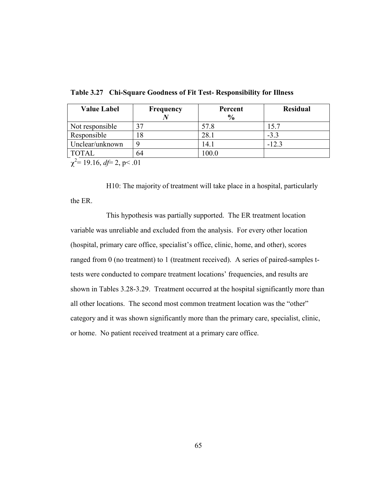| <b>Value Label</b> | <b>Frequency</b> | Percent<br>$\frac{6}{9}$ | <b>Residual</b> |
|--------------------|------------------|--------------------------|-----------------|
| Not responsible    | 37               | 57.8                     | 15.7            |
| Responsible        | 18               | 28.1                     | $-3.3$          |
| Unclear/unknown    |                  | 14.1                     | $-12.3$         |
| <b>TOTAL</b>       | 64               | 100.0                    |                 |

**Table 3.27 Chi-Square Goodness of Fit Test- Responsibility for Illness**

 $e^{2}$ = 19.16, *df*= 2, p < .01

H10: The majority of treatment will take place in a hospital, particularly the ER.

This hypothesis was partially supported. The ER treatment location variable was unreliable and excluded from the analysis. For every other location (hospital, primary care office, specialist's office, clinic, home, and other), scores ranged from 0 (no treatment) to 1 (treatment received). A series of paired-samples ttests were conducted to compare treatment locations' frequencies, and results are shown in Tables 3.28-3.29. Treatment occurred at the hospital significantly more than all other locations. The second most common treatment location was the "other" category and it was shown significantly more than the primary care, specialist, clinic, or home. No patient received treatment at a primary care office.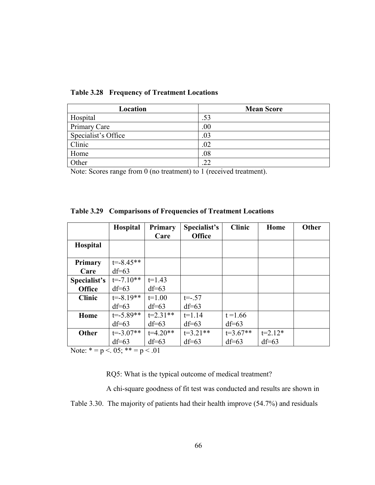| Location            | <b>Mean Score</b> |
|---------------------|-------------------|
| Hospital            | .53               |
| Primary Care        | 00                |
| Specialist's Office | .03               |
| Clinic              | .02               |
| Home                | .08               |
| Other               | 22                |

**Table 3.28 Frequency of Treatment Locations**

Note: Scores range from 0 (no treatment) to 1 (received treatment).

|               | <b>Hospital</b> | <b>Primary</b><br>Care | Specialist's<br><b>Office</b> | <b>Clinic</b> | Home      | <b>Other</b> |
|---------------|-----------------|------------------------|-------------------------------|---------------|-----------|--------------|
| Hospital      |                 |                        |                               |               |           |              |
| Primary       | $t = -8.45**$   |                        |                               |               |           |              |
| Care          | $df=63$         |                        |                               |               |           |              |
| Specialist's  | $t = -7.10**$   | $t=1.43$               |                               |               |           |              |
| <b>Office</b> | $df=63$         | $df=63$                |                               |               |           |              |
| <b>Clinic</b> | $t = -8.19**$   | $t=1.00$               | $t = -0.57$                   |               |           |              |
|               | $df=63$         | $df=63$                | $df=63$                       |               |           |              |
| Home          | $t = -5.89**$   | $t=2.31**$             | $t=1.14$                      | $t = 1.66$    |           |              |
|               | $df=63$         | $df=63$                | $df=63$                       | $df=63$       |           |              |
| Other         | $t = -3.07**$   | $t=4.20**$             | $t=3.21**$                    | $t=3.67**$    | $t=2.12*$ |              |
|               | $df=63$         | $df=63$                | $df=63$                       | $df=63$       | $df=63$   |              |

**Table 3.29 Comparisons of Frequencies of Treatment Locations**

Note:  $* = p < 0.05$ ;  $* = p < 0.01$ 

RQ5: What is the typical outcome of medical treatment?

A chi-square goodness of fit test was conducted and results are shown in Table 3.30. The majority of patients had their health improve (54.7%) and residuals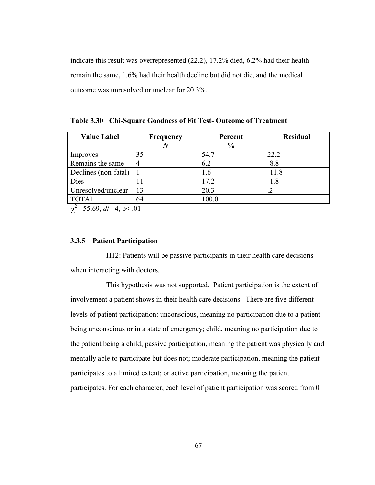indicate this result was overrepresented (22.2), 17.2% died, 6.2% had their health remain the same, 1.6% had their health decline but did not die, and the medical outcome was unresolved or unclear for 20.3%.

**Table 3.30 Chi-Square Goodness of Fit Test- Outcome of Treatment**

| <b>Value Label</b>                                 | Frequency | Percent       | <b>Residual</b> |  |  |
|----------------------------------------------------|-----------|---------------|-----------------|--|--|
|                                                    |           | $\frac{6}{6}$ |                 |  |  |
| Improves                                           | 35        | 54.7          | 22.2            |  |  |
| Remains the same                                   | 4         | 6.2           | $-8.8$          |  |  |
| Declines (non-fatal)                               |           | 1.6           | $-11.8$         |  |  |
| Dies                                               |           | 17.2          | $-1.8$          |  |  |
| Unresolved/unclear                                 | 13        | 20.3          | .2              |  |  |
| <b>TOTAL</b>                                       | 64        | 100.0         |                 |  |  |
| $\frac{2}{3}$ = 55 60 d $\leftarrow$ 1 n $\leq$ 01 |           |               |                 |  |  |

 $x^2 = 55.69$ ,  $df = 4$ , p  $\le 0.01$ 

### **3.3.5 Patient Participation**

H12: Patients will be passive participants in their health care decisions when interacting with doctors.

This hypothesis was not supported. Patient participation is the extent of involvement a patient shows in their health care decisions. There are five different levels of patient participation: unconscious, meaning no participation due to a patient being unconscious or in a state of emergency; child, meaning no participation due to the patient being a child; passive participation, meaning the patient was physically and mentally able to participate but does not; moderate participation, meaning the patient participates to a limited extent; or active participation, meaning the patient participates. For each character, each level of patient participation was scored from 0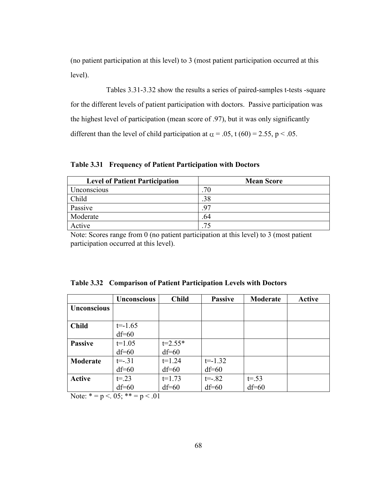(no patient participation at this level) to 3 (most patient participation occurred at this level).

Tables 3.31-3.32 show the results a series of paired-samples t-tests -square for the different levels of patient participation with doctors. Passive participation was the highest level of participation (mean score of .97), but it was only significantly different than the level of child participation at  $\alpha = .05$ , t (60) = 2.55, p < .05.

**Table 3.31 Frequency of Patient Participation with Doctors**

| <b>Level of Patient Participation</b> | <b>Mean Score</b> |
|---------------------------------------|-------------------|
| Unconscious                           | 70                |
| Child                                 | .38               |
| Passive                               | 97                |
| Moderate                              | .64               |
| Active                                | クく                |

Note: Scores range from 0 (no patient participation at this level) to 3 (most patient participation occurred at this level).

|                    | <b>Unconscious</b> | <b>Child</b> | <b>Passive</b> | Moderate  | <b>Active</b> |
|--------------------|--------------------|--------------|----------------|-----------|---------------|
| <b>Unconscious</b> |                    |              |                |           |               |
|                    |                    |              |                |           |               |
| <b>Child</b>       | $t = -1.65$        |              |                |           |               |
|                    | $df=60$            |              |                |           |               |
| <b>Passive</b>     | $t=1.05$           | $t = 2.55*$  |                |           |               |
|                    | $df=60$            | $df=60$      |                |           |               |
| Moderate           | $t = -31$          | $t=1.24$     | $t = -1.32$    |           |               |
|                    | $df=60$            | $df=60$      | $df=60$        |           |               |
| <b>Active</b>      | $t = 23$           | $t=1.73$     | $t = -.82$     | $t = .53$ |               |
|                    | $df=60$            | $df=60$      | $df=60$        | $df=60$   |               |

**Table 3.32 Comparison of Patient Participation Levels with Doctors**

Note:  $* = p < 0.05$ ;  $** = p < 0.01$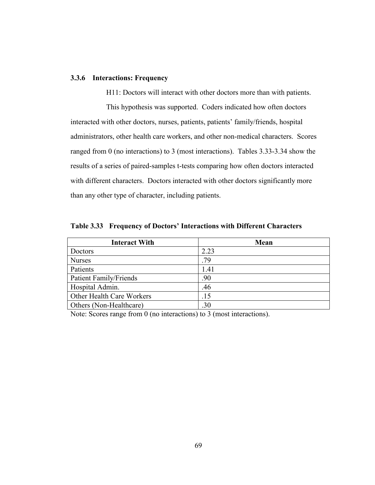# **3.3.6 Interactions: Frequency**

H11: Doctors will interact with other doctors more than with patients.

This hypothesis was supported. Coders indicated how often doctors interacted with other doctors, nurses, patients, patients' family/friends, hospital administrators, other health care workers, and other non-medical characters. Scores ranged from 0 (no interactions) to 3 (most interactions). Tables 3.33-3.34 show the results of a series of paired-samples t-tests comparing how often doctors interacted with different characters. Doctors interacted with other doctors significantly more than any other type of character, including patients.

| <b>Interact With</b>          | <b>Mean</b> |
|-------------------------------|-------------|
| Doctors                       | 2.23        |
| <b>Nurses</b>                 | .79         |
| Patients                      | 1.41        |
| <b>Patient Family/Friends</b> | .90         |
| Hospital Admin.               | .46         |
| Other Health Care Workers     | 15          |
| Others (Non-Healthcare)       | 30          |

**Table 3.33 Frequency of Doctors' Interactions with Different Characters**

Note: Scores range from 0 (no interactions) to 3 (most interactions).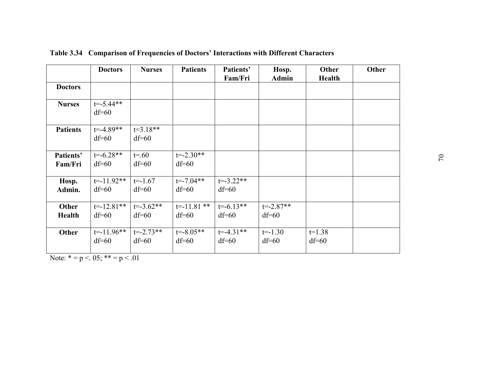|                        | <b>Doctors</b>            | <b>Nurses</b>            | <b>Patients</b>            | Patients'                | Hosp.                    | Other               | Other |
|------------------------|---------------------------|--------------------------|----------------------------|--------------------------|--------------------------|---------------------|-------|
| <b>Doctors</b>         |                           |                          |                            | Fam/Fri                  | <b>Admin</b>             | <b>Health</b>       |       |
| <b>Nurses</b>          | $t = -5.44**$<br>$df=60$  |                          |                            |                          |                          |                     |       |
| <b>Patients</b>        | $t = -4.89**$<br>$df=60$  | $t=3.18**$<br>$df=60$    |                            |                          |                          |                     |       |
| Patients'<br>Fam/Fri   | $t = -6.28**$<br>$df=60$  | $t = .60$<br>$df=60$     | $t = -2.30**$<br>$df=60$   |                          |                          |                     |       |
| Hosp.<br>Admin.        | $t = -11.92**$<br>$df=60$ | $t = -1.67$<br>$df=60$   | $t = -7.04**$<br>$df=60$   | $t = -3.22**$<br>$df=60$ |                          |                     |       |
| Other<br><b>Health</b> | $t = -12.81**$<br>$df=60$ | $t = -3.62**$<br>$df=60$ | $t = -11.81$ **<br>$df=60$ | $t = -6.13**$<br>$df=60$ | $t = -2.87**$<br>$df=60$ |                     |       |
| <b>Other</b>           | $t = -11.96**$<br>$df=60$ | $t = -2.73**$<br>$df=60$ | $t = -8.05**$<br>$df=60$   | $t = -4.31**$<br>$df=60$ | $t = -1.30$<br>$df=60$   | $t=1.38$<br>$df=60$ |       |

**Table 3.34 Comparison of Frequencies of Doctors' Interactions with Different Characters**

Note:  $* = p < 0.05$ ;  $** = p < 0.01$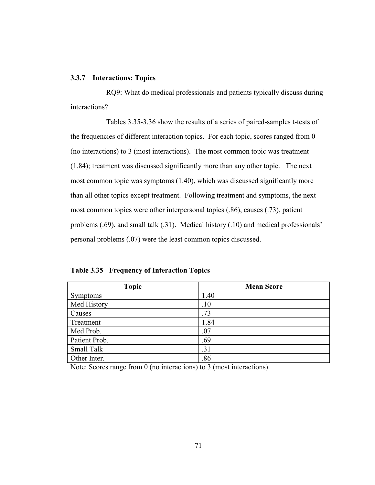# **3.3.7 Interactions: Topics**

RQ9: What do medical professionals and patients typically discuss during interactions?

Tables 3.35-3.36 show the results of a series of paired-samples t-tests of the frequencies of different interaction topics. For each topic, scores ranged from 0 (no interactions) to 3 (most interactions). The most common topic was treatment (1.84); treatment was discussed significantly more than any other topic. The next most common topic was symptoms (1.40), which was discussed significantly more than all other topics except treatment. Following treatment and symptoms, the next most common topics were other interpersonal topics (.86), causes (.73), patient problems (.69), and small talk (.31). Medical history (.10) and medical professionals' personal problems (.07) were the least common topics discussed.

| <b>Topic</b>    | <b>Mean Score</b> |
|-----------------|-------------------|
| <b>Symptoms</b> | 1.40              |
| Med History     | .10               |
| Causes          | .73               |
| Treatment       | 1.84              |
| Med Prob.       | .07               |
| Patient Prob.   | .69               |
| Small Talk      | .31               |
| Other Inter.    | .86               |

**Table 3.35 Frequency of Interaction Topics**

Note: Scores range from 0 (no interactions) to 3 (most interactions).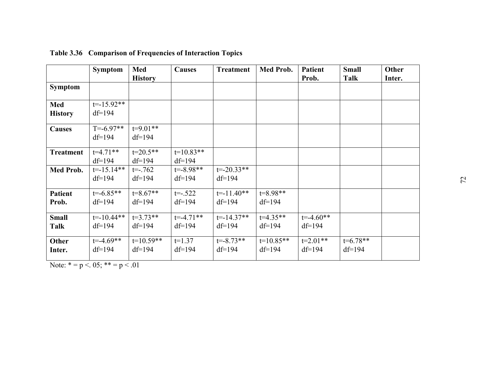|                  | <b>Symptom</b> | Med            | <b>Causes</b> | <b>Treatment</b> | Med Prob.   | <b>Patient</b> | <b>Small</b> | Other  |
|------------------|----------------|----------------|---------------|------------------|-------------|----------------|--------------|--------|
|                  |                | <b>History</b> |               |                  |             | Prob.          | Talk         | Inter. |
| <b>Symptom</b>   |                |                |               |                  |             |                |              |        |
| <b>Med</b>       | $t = -15.92**$ |                |               |                  |             |                |              |        |
| <b>History</b>   | $df=194$       |                |               |                  |             |                |              |        |
| <b>Causes</b>    | $T = -6.97**$  | $t=9.01**$     |               |                  |             |                |              |        |
|                  | $df=194$       | $df=194$       |               |                  |             |                |              |        |
| <b>Treatment</b> | $t=4.71**$     | $t=20.5**$     | $t=10.83**$   |                  |             |                |              |        |
|                  | $df=194$       | $df=194$       | $df=194$      |                  |             |                |              |        |
| <b>Med Prob.</b> | $t = -15.14**$ | $t = -0.762$   | $t = -8.98**$ | $t = -20.33**$   |             |                |              |        |
|                  | $df=194$       | $df=194$       | $df=194$      | $df=194$         |             |                |              |        |
| <b>Patient</b>   | $t = -6.85**$  | $t=8.67**$     | $t = -0.522$  | $t = -11.40**$   | $t=8.98**$  |                |              |        |
| Prob.            | $df=194$       | $df=194$       | $df=194$      | $df=194$         | $df=194$    |                |              |        |
| <b>Small</b>     | $t = -10.44**$ | $t=3.73**$     | $t = -4.71**$ | $t = -14.37**$   | $t=4.35**$  | $t = -4.60**$  |              |        |
| Talk             | $df=194$       | $df=194$       | $df=194$      | $df=194$         | $df=194$    | $df=194$       |              |        |
| <b>Other</b>     | $t = -4.69**$  | $t=10.59**$    | $t=1.37$      | $t = -8.73**$    | $t=10.85**$ | $t=2.01**$     | $t=6.78**$   |        |
| Inter.           | $df=194$       | $df=194$       | $df=194$      | $df=194$         | $df=194$    | $df=194$       | $df=194$     |        |

**Table 3.36 Comparison of Frequencies of Interaction Topics**

Note:  $* = p < 0.05$ ;  $** = p < 0.01$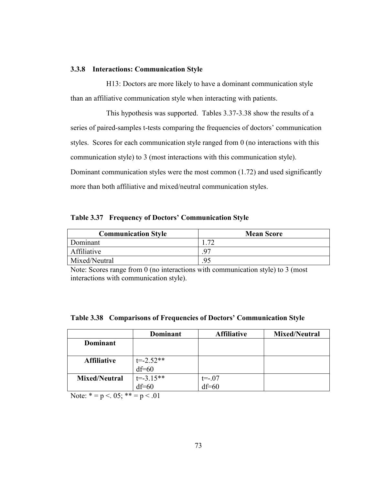# **3.3.8 Interactions: Communication Style**

H13: Doctors are more likely to have a dominant communication style than an affiliative communication style when interacting with patients.

This hypothesis was supported. Tables 3.37-3.38 show the results of a series of paired-samples t-tests comparing the frequencies of doctors' communication styles. Scores for each communication style ranged from 0 (no interactions with this communication style) to 3 (most interactions with this communication style). Dominant communication styles were the most common (1.72) and used significantly more than both affiliative and mixed/neutral communication styles.

**Table 3.37 Frequency of Doctors' Communication Style**

| <b>Communication Style</b> | <b>Mean Score</b> |
|----------------------------|-------------------|
| Dominant                   | $\mathcal{L}$     |
| Affiliative                |                   |
| Mixed/Neutral              |                   |

Note: Scores range from 0 (no interactions with communication style) to 3 (most interactions with communication style).

|                      | <b>Dominant</b> | <b>Affiliative</b> | <b>Mixed/Neutral</b> |
|----------------------|-----------------|--------------------|----------------------|
| <b>Dominant</b>      |                 |                    |                      |
|                      |                 |                    |                      |
| <b>Affiliative</b>   | $t = -2.52**$   |                    |                      |
|                      | $df=60$         |                    |                      |
| <b>Mixed/Neutral</b> | $t = -3.15**$   | $t = -07$          |                      |
|                      | $df=60$         | $df=60$            |                      |

|  |  |  |  | Table 3.38 Comparisons of Frequencies of Doctors' Communication Style |  |
|--|--|--|--|-----------------------------------------------------------------------|--|
|--|--|--|--|-----------------------------------------------------------------------|--|

Note:  $* = p < 0.05$ ;  $** = p < 0.01$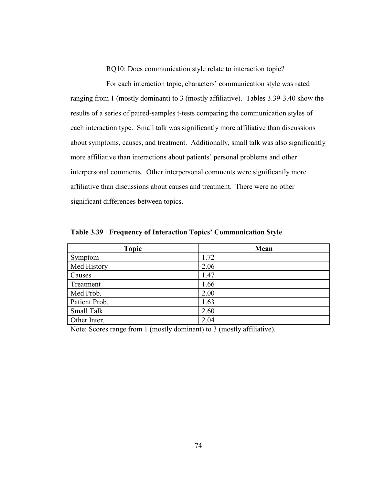RQ10: Does communication style relate to interaction topic?

For each interaction topic, characters' communication style was rated ranging from 1 (mostly dominant) to 3 (mostly affiliative). Tables 3.39-3.40 show the results of a series of paired-samples t-tests comparing the communication styles of each interaction type. Small talk was significantly more affiliative than discussions about symptoms, causes, and treatment. Additionally, small talk was also significantly more affiliative than interactions about patients' personal problems and other interpersonal comments. Other interpersonal comments were significantly more affiliative than discussions about causes and treatment. There were no other significant differences between topics.

| <b>Topic</b>  | Mean |
|---------------|------|
| Symptom       | 1.72 |
| Med History   | 2.06 |
| Causes        | 1.47 |
| Treatment     | 1.66 |
| Med Prob.     | 2.00 |
| Patient Prob. | 1.63 |
| Small Talk    | 2.60 |
| Other Inter.  | 2.04 |

**Table 3.39 Frequency of Interaction Topics' Communication Style**

Note: Scores range from 1 (mostly dominant) to 3 (mostly affiliative).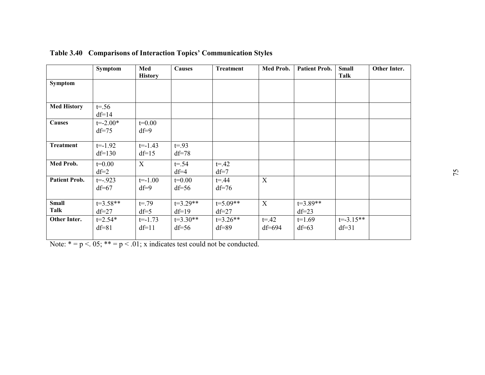|                      | Symptom                 | Med<br><b>History</b>  | <b>Causes</b>         | <b>Treatment</b>      | Med Prob.              | <b>Patient Prob.</b>  | <b>Small</b><br>Talk     | Other Inter. |
|----------------------|-------------------------|------------------------|-----------------------|-----------------------|------------------------|-----------------------|--------------------------|--------------|
| Symptom              |                         |                        |                       |                       |                        |                       |                          |              |
|                      |                         |                        |                       |                       |                        |                       |                          |              |
| <b>Med History</b>   | $t = 56$<br>$df=14$     |                        |                       |                       |                        |                       |                          |              |
| <b>Causes</b>        | $t = -2.00*$<br>$df=75$ | $t=0.00$<br>$df=9$     |                       |                       |                        |                       |                          |              |
| <b>Treatment</b>     | $t=-1.92$<br>$df=130$   | $t=-1.43$<br>$df=15$   | $t = 93$<br>$df=78$   |                       |                        |                       |                          |              |
| Med Prob.            | $t=0.00$<br>$df=2$      | X                      | $t = .54$<br>$df=4$   | $t = 0.42$<br>$df=7$  |                        |                       |                          |              |
| <b>Patient Prob.</b> | $t = -0.923$<br>$df=67$ | $t = -1.00$<br>$df=9$  | $t=0.00$<br>$df=56$   | $t = 44$<br>$df=76$   | X                      |                       |                          |              |
| <b>Small</b><br>Talk | $t=3.58**$<br>$df=27$   | $t = .79$<br>$df=5$    | $t=3.29**$<br>$df=19$ | $t=5.09**$<br>$df=27$ | X                      | $t=3.89**$<br>$df=23$ |                          |              |
| Other Inter.         | $t = 2.54*$<br>$df=81$  | $t = -1.73$<br>$df=11$ | $t=3.30**$<br>$df=56$ | $t=3.26**$<br>$df=89$ | $t = 0.42$<br>$df=694$ | $t=1.69$<br>$df=63$   | $t = -3.15**$<br>$df=31$ |              |

**Table 3.40 Comparisons of Interaction Topics' Communication Styles**

Note:  $* = p < .05$ ;  $** = p < .01$ ; x indicates test could not be conducted.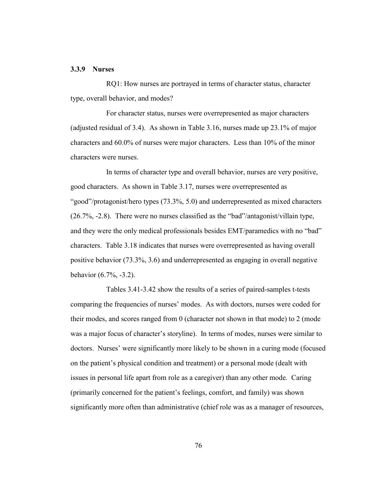### **3.3.9 Nurses**

RQ1: How nurses are portrayed in terms of character status, character type, overall behavior, and modes?

For character status, nurses were overrepresented as major characters (adjusted residual of 3.4). As shown in Table 3.16, nurses made up 23.1% of major characters and 60.0% of nurses were major characters. Less than 10% of the minor characters were nurses.

In terms of character type and overall behavior, nurses are very positive, good characters. As shown in Table 3.17, nurses were overrepresented as ―good‖/protagonist/hero types (73.3%, 5.0) and underrepresented as mixed characters  $(26.7\%,-2.8)$ . There were no nurses classified as the "bad"/antagonist/villain type, and they were the only medical professionals besides EMT/paramedics with no "bad" characters. Table 3.18 indicates that nurses were overrepresented as having overall positive behavior (73.3%, 3.6) and underrepresented as engaging in overall negative behavior (6.7%, -3.2).

Tables 3.41-3.42 show the results of a series of paired-samples t-tests comparing the frequencies of nurses' modes. As with doctors, nurses were coded for their modes, and scores ranged from 0 (character not shown in that mode) to 2 (mode was a major focus of character's storyline). In terms of modes, nurses were similar to doctors. Nurses' were significantly more likely to be shown in a curing mode (focused on the patient's physical condition and treatment) or a personal mode (dealt with issues in personal life apart from role as a caregiver) than any other mode. Caring (primarily concerned for the patient's feelings, comfort, and family) was shown significantly more often than administrative (chief role was as a manager of resources,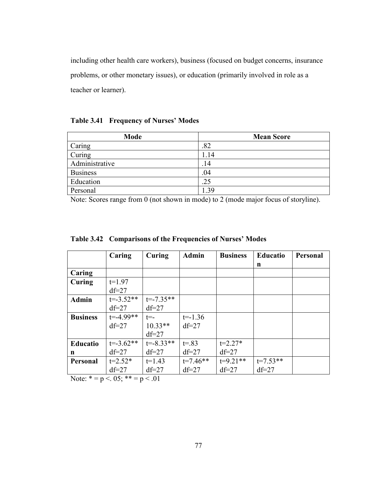including other health care workers), business (focused on budget concerns, insurance problems, or other monetary issues), or education (primarily involved in role as a teacher or learner).

**Table 3.41 Frequency of Nurses' Modes**

| Mode            | <b>Mean Score</b> |
|-----------------|-------------------|
| Caring          | .82               |
| Curing          | 1.14              |
| Administrative  | .14               |
| <b>Business</b> | .04               |
| Education       | .25               |
| Personal        | .39               |

Note: Scores range from 0 (not shown in mode) to 2 (mode major focus of storyline).

|                 | Caring        | Curing        | <b>Admin</b> | <b>Business</b> | <b>Educatio</b> | Personal |
|-----------------|---------------|---------------|--------------|-----------------|-----------------|----------|
|                 |               |               |              |                 | n               |          |
| Caring          |               |               |              |                 |                 |          |
| Curing          | $t=1.97$      |               |              |                 |                 |          |
|                 | $df=27$       |               |              |                 |                 |          |
| <b>Admin</b>    | $t = -3.52**$ | $t = -7.35**$ |              |                 |                 |          |
|                 | $df=27$       | $df=27$       |              |                 |                 |          |
| <b>Business</b> | $t = -4.99**$ | $t = -$       | $t = -1.36$  |                 |                 |          |
|                 | $df=27$       | $10.33**$     | $df=27$      |                 |                 |          |
|                 |               | $df=27$       |              |                 |                 |          |
| <b>Educatio</b> | $t = -3.62**$ | $t = -8.33**$ | $t = 83$     | $t=2.27*$       |                 |          |
| n               | $df=27$       | $df=27$       | $df=27$      | $df=27$         |                 |          |
| Personal        | $t=2.52*$     | $t=1.43$      | $t=7.46**$   | $t=9.21**$      | $t=7.53**$      |          |
|                 | $df=27$       | $df=27$       | $df=27$      | $df=27$         | $df=27$         |          |

**Table 3.42 Comparisons of the Frequencies of Nurses' Modes**

Note:  $* = p < 0.05$ ;  $* = p < 0.01$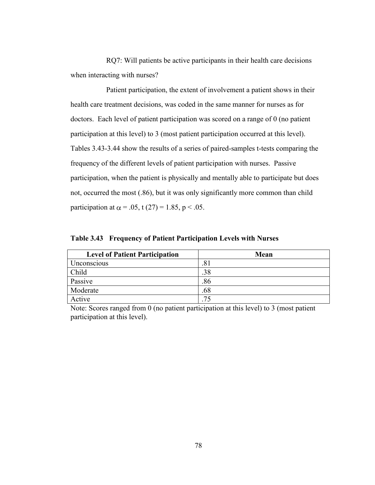RQ7: Will patients be active participants in their health care decisions when interacting with nurses?

Patient participation, the extent of involvement a patient shows in their health care treatment decisions, was coded in the same manner for nurses as for doctors. Each level of patient participation was scored on a range of 0 (no patient participation at this level) to 3 (most patient participation occurred at this level). Tables 3.43-3.44 show the results of a series of paired-samples t-tests comparing the frequency of the different levels of patient participation with nurses. Passive participation, when the patient is physically and mentally able to participate but does not, occurred the most (.86), but it was only significantly more common than child participation at  $\alpha$  = .05, t (27) = 1.85, p < .05.

| <b>Level of Patient Participation</b> | Mean |
|---------------------------------------|------|
| Unconscious                           | .81  |
| Child                                 | .38  |
| Passive                               | .86  |
| Moderate                              | .68  |
| Active                                | 75   |

**Table 3.43 Frequency of Patient Participation Levels with Nurses**

Note: Scores ranged from 0 (no patient participation at this level) to 3 (most patient participation at this level).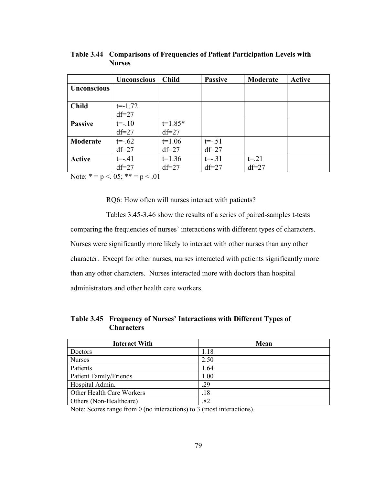|                    | <b>Unconscious</b> | <b>Child</b> | <b>Passive</b> | Moderate | <b>Active</b> |
|--------------------|--------------------|--------------|----------------|----------|---------------|
| <b>Unconscious</b> |                    |              |                |          |               |
|                    |                    |              |                |          |               |
| <b>Child</b>       | $t = -1.72$        |              |                |          |               |
|                    | $df=27$            |              |                |          |               |
| <b>Passive</b>     | $t=-.10$           | $t=1.85*$    |                |          |               |
|                    | $df=27$            | $df=27$      |                |          |               |
| Moderate           | $t = -0.62$        | $t=1.06$     | $t = -0.51$    |          |               |
|                    | $df=27$            | $df=27$      | $df=27$        |          |               |
| <b>Active</b>      | $t = -.41$         | $t=1.36$     | $t = -31$      | $t = 21$ |               |
|                    | $df=27$            | $df=27$      | $df=27$        | $df=27$  |               |

**Table 3.44 Comparisons of Frequencies of Patient Participation Levels with Nurses**

Note:  $* = p < 0.05$ ;  $** = p < 0.01$ 

RQ6: How often will nurses interact with patients?

Tables 3.45-3.46 show the results of a series of paired-samples t-tests comparing the frequencies of nurses' interactions with different types of characters. Nurses were significantly more likely to interact with other nurses than any other character. Except for other nurses, nurses interacted with patients significantly more than any other characters. Nurses interacted more with doctors than hospital administrators and other health care workers.

**Table 3.45 Frequency of Nurses' Interactions with Different Types of Characters**

| <b>Interact With</b>          | Mean |
|-------------------------------|------|
| Doctors                       | 1.18 |
| <b>Nurses</b>                 | 2.50 |
| Patients                      | 1.64 |
| <b>Patient Family/Friends</b> | 1.00 |
| Hospital Admin.               | .29  |
| Other Health Care Workers     | .18  |
| Others (Non-Healthcare)       | .82  |

Note: Scores range from 0 (no interactions) to 3 (most interactions).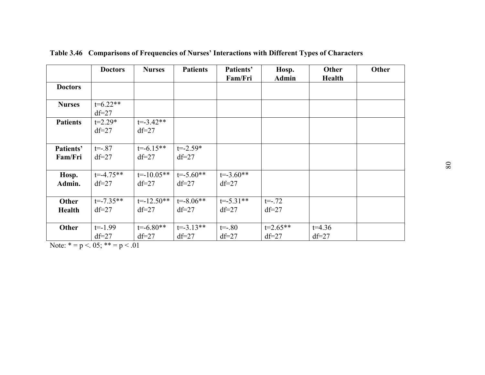|                 | <b>Doctors</b> | <b>Nurses</b>  | <b>Patients</b> | Patients'     | Hosp.        | Other         | Other |
|-----------------|----------------|----------------|-----------------|---------------|--------------|---------------|-------|
|                 |                |                |                 | Fam/Fri       | <b>Admin</b> | <b>Health</b> |       |
| <b>Doctors</b>  |                |                |                 |               |              |               |       |
|                 |                |                |                 |               |              |               |       |
| <b>Nurses</b>   | $t=6.22**$     |                |                 |               |              |               |       |
|                 | $df=27$        |                |                 |               |              |               |       |
| <b>Patients</b> | $t=2.29*$      | $t = -3.42**$  |                 |               |              |               |       |
|                 | $df=27$        | $df=27$        |                 |               |              |               |       |
|                 |                |                |                 |               |              |               |       |
| Patients'       | $t = -0.87$    | $t = -6.15**$  | $t = -2.59*$    |               |              |               |       |
| Fam/Fri         | $df=27$        | $df=27$        | $df=27$         |               |              |               |       |
|                 |                |                |                 |               |              |               |       |
| Hosp.           | $t = -4.75**$  | $t = -10.05**$ | $t = -5.60**$   | $t = -3.60**$ |              |               |       |
| Admin.          | $df=27$        | $df=27$        | $df=27$         | $df=27$       |              |               |       |
|                 |                |                |                 |               |              |               |       |
| Other           | $t = -7.35**$  | $t = -12.50**$ | $t = -8.06**$   | $t = -5.31**$ | $t = -0.72$  |               |       |
| <b>Health</b>   | $df=27$        | $df=27$        | $df=27$         | $df=27$       | $df=27$      |               |       |
|                 |                |                |                 |               |              |               |       |
| <b>Other</b>    | $t = -1.99$    | $t = -6.80**$  | $t = -3.13**$   | $t = -.80$    | $t=2.65**$   | $t=4.36$      |       |
|                 | $df=27$        | $df=27$        | $df=27$         | $df=27$       | $df=27$      | $df=27$       |       |

**Table 3.46 Comparisons of Frequencies of Nurses' Interactions with Different Types of Characters**

Note:  $* = p < 0.05$ ;  $** = p < 0.01$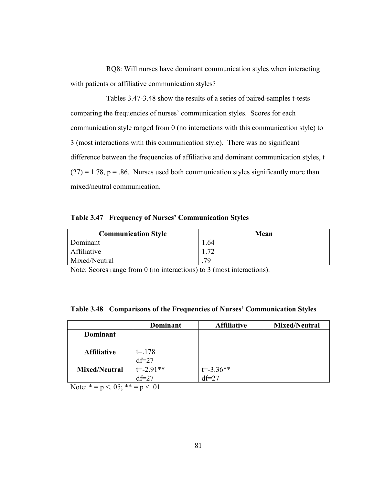RQ8: Will nurses have dominant communication styles when interacting with patients or affiliative communication styles?

Tables 3.47-3.48 show the results of a series of paired-samples t-tests comparing the frequencies of nurses' communication styles. Scores for each communication style ranged from 0 (no interactions with this communication style) to 3 (most interactions with this communication style). There was no significant difference between the frequencies of affiliative and dominant communication styles, t  $(27) = 1.78$ ,  $p = .86$ . Nurses used both communication styles significantly more than mixed/neutral communication.

**Table 3.47 Frequency of Nurses' Communication Styles**

| <b>Communication Style</b> | Mean |
|----------------------------|------|
| Dominant                   | .64  |
| Affiliative                | ൗറ   |
| Mixed/Neutral              | 79   |

Note: Scores range from 0 (no interactions) to 3 (most interactions).

|                      | Dominant      | <b>Affiliative</b> | <b>Mixed/Neutral</b> |
|----------------------|---------------|--------------------|----------------------|
| <b>Dominant</b>      |               |                    |                      |
|                      |               |                    |                      |
| <b>Affiliative</b>   | $t = 178$     |                    |                      |
|                      | $df=27$       |                    |                      |
| <b>Mixed/Neutral</b> | $t = -2.91**$ | $t = -3.36**$      |                      |
|                      | $df=27$       | $df=27$            |                      |

**Table 3.48 Comparisons of the Frequencies of Nurses' Communication Styles**

Note:  $* = p < 0.05$ ;  $** = p < 0.01$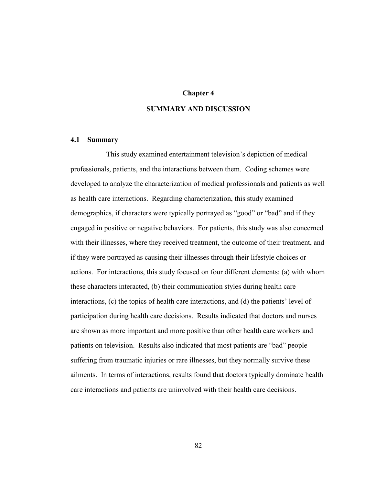### **Chapter 4**

## **SUMMARY AND DISCUSSION**

### **4.1 Summary**

This study examined entertainment television's depiction of medical professionals, patients, and the interactions between them. Coding schemes were developed to analyze the characterization of medical professionals and patients as well as health care interactions. Regarding characterization, this study examined demographics, if characters were typically portrayed as "good" or "bad" and if they engaged in positive or negative behaviors. For patients, this study was also concerned with their illnesses, where they received treatment, the outcome of their treatment, and if they were portrayed as causing their illnesses through their lifestyle choices or actions. For interactions, this study focused on four different elements: (a) with whom these characters interacted, (b) their communication styles during health care interactions, (c) the topics of health care interactions, and (d) the patients' level of participation during health care decisions. Results indicated that doctors and nurses are shown as more important and more positive than other health care workers and patients on television. Results also indicated that most patients are "bad" people suffering from traumatic injuries or rare illnesses, but they normally survive these ailments. In terms of interactions, results found that doctors typically dominate health care interactions and patients are uninvolved with their health care decisions.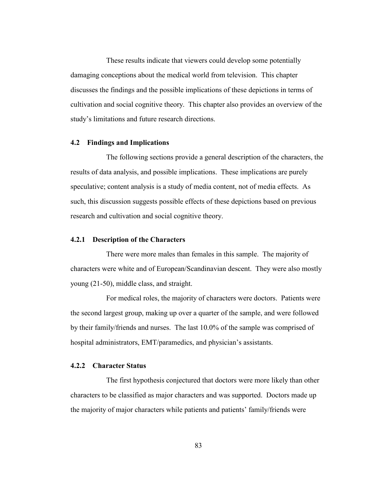These results indicate that viewers could develop some potentially damaging conceptions about the medical world from television. This chapter discusses the findings and the possible implications of these depictions in terms of cultivation and social cognitive theory. This chapter also provides an overview of the study's limitations and future research directions.

### **4.2 Findings and Implications**

The following sections provide a general description of the characters, the results of data analysis, and possible implications. These implications are purely speculative; content analysis is a study of media content, not of media effects. As such, this discussion suggests possible effects of these depictions based on previous research and cultivation and social cognitive theory.

### **4.2.1 Description of the Characters**

There were more males than females in this sample. The majority of characters were white and of European/Scandinavian descent. They were also mostly young (21-50), middle class, and straight.

For medical roles, the majority of characters were doctors. Patients were the second largest group, making up over a quarter of the sample, and were followed by their family/friends and nurses. The last 10.0% of the sample was comprised of hospital administrators, EMT/paramedics, and physician's assistants.

### **4.2.2 Character Status**

The first hypothesis conjectured that doctors were more likely than other characters to be classified as major characters and was supported. Doctors made up the majority of major characters while patients and patients' family/friends were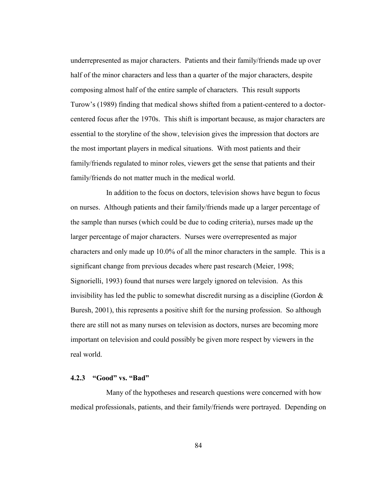underrepresented as major characters. Patients and their family/friends made up over half of the minor characters and less than a quarter of the major characters, despite composing almost half of the entire sample of characters. This result supports Turow's (1989) finding that medical shows shifted from a patient-centered to a doctorcentered focus after the 1970s. This shift is important because, as major characters are essential to the storyline of the show, television gives the impression that doctors are the most important players in medical situations. With most patients and their family/friends regulated to minor roles, viewers get the sense that patients and their family/friends do not matter much in the medical world.

In addition to the focus on doctors, television shows have begun to focus on nurses. Although patients and their family/friends made up a larger percentage of the sample than nurses (which could be due to coding criteria), nurses made up the larger percentage of major characters. Nurses were overrepresented as major characters and only made up 10.0% of all the minor characters in the sample. This is a significant change from previous decades where past research (Meier, 1998; Signorielli, 1993) found that nurses were largely ignored on television. As this invisibility has led the public to somewhat discredit nursing as a discipline (Gordon  $\&$ Buresh, 2001), this represents a positive shift for the nursing profession. So although there are still not as many nurses on television as doctors, nurses are becoming more important on television and could possibly be given more respect by viewers in the real world.

# **4.2.3 "Good" vs. "Bad"**

Many of the hypotheses and research questions were concerned with how medical professionals, patients, and their family/friends were portrayed. Depending on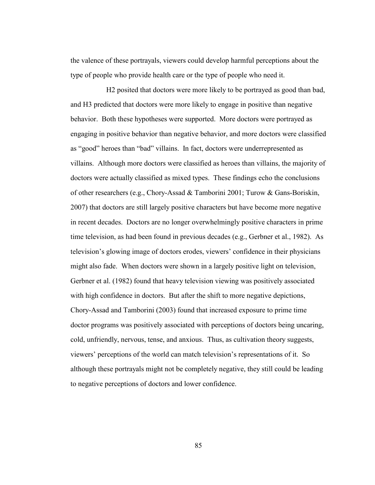the valence of these portrayals, viewers could develop harmful perceptions about the type of people who provide health care or the type of people who need it.

H2 posited that doctors were more likely to be portrayed as good than bad, and H3 predicted that doctors were more likely to engage in positive than negative behavior. Both these hypotheses were supported. More doctors were portrayed as engaging in positive behavior than negative behavior, and more doctors were classified as "good" heroes than "bad" villains. In fact, doctors were underrepresented as villains. Although more doctors were classified as heroes than villains, the majority of doctors were actually classified as mixed types. These findings echo the conclusions of other researchers (e.g., Chory-Assad & Tamborini 2001; Turow & Gans-Boriskin, 2007) that doctors are still largely positive characters but have become more negative in recent decades. Doctors are no longer overwhelmingly positive characters in prime time television, as had been found in previous decades (e.g., Gerbner et al., 1982). As television's glowing image of doctors erodes, viewers' confidence in their physicians might also fade. When doctors were shown in a largely positive light on television, Gerbner et al. (1982) found that heavy television viewing was positively associated with high confidence in doctors. But after the shift to more negative depictions, Chory-Assad and Tamborini (2003) found that increased exposure to prime time doctor programs was positively associated with perceptions of doctors being uncaring, cold, unfriendly, nervous, tense, and anxious. Thus, as cultivation theory suggests, viewers' perceptions of the world can match television's representations of it. So although these portrayals might not be completely negative, they still could be leading to negative perceptions of doctors and lower confidence.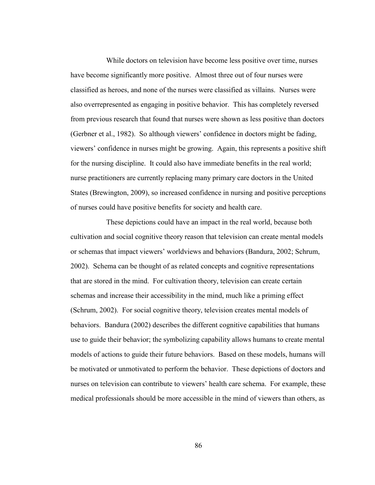While doctors on television have become less positive over time, nurses have become significantly more positive. Almost three out of four nurses were classified as heroes, and none of the nurses were classified as villains. Nurses were also overrepresented as engaging in positive behavior. This has completely reversed from previous research that found that nurses were shown as less positive than doctors (Gerbner et al., 1982). So although viewers' confidence in doctors might be fading, viewers' confidence in nurses might be growing. Again, this represents a positive shift for the nursing discipline. It could also have immediate benefits in the real world; nurse practitioners are currently replacing many primary care doctors in the United States (Brewington, 2009), so increased confidence in nursing and positive perceptions of nurses could have positive benefits for society and health care.

These depictions could have an impact in the real world, because both cultivation and social cognitive theory reason that television can create mental models or schemas that impact viewers' worldviews and behaviors (Bandura, 2002; Schrum, 2002). Schema can be thought of as related concepts and cognitive representations that are stored in the mind. For cultivation theory, television can create certain schemas and increase their accessibility in the mind, much like a priming effect (Schrum, 2002). For social cognitive theory, television creates mental models of behaviors. Bandura (2002) describes the different cognitive capabilities that humans use to guide their behavior; the symbolizing capability allows humans to create mental models of actions to guide their future behaviors. Based on these models, humans will be motivated or unmotivated to perform the behavior. These depictions of doctors and nurses on television can contribute to viewers' health care schema. For example, these medical professionals should be more accessible in the mind of viewers than others, as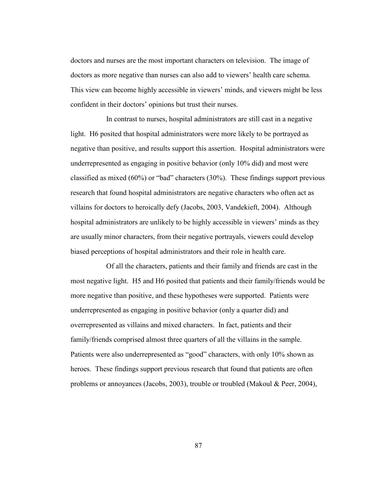doctors and nurses are the most important characters on television. The image of doctors as more negative than nurses can also add to viewers' health care schema. This view can become highly accessible in viewers' minds, and viewers might be less confident in their doctors' opinions but trust their nurses.

In contrast to nurses, hospital administrators are still cast in a negative light. H6 posited that hospital administrators were more likely to be portrayed as negative than positive, and results support this assertion. Hospital administrators were underrepresented as engaging in positive behavior (only 10% did) and most were classified as mixed  $(60\%)$  or "bad" characters  $(30\%)$ . These findings support previous research that found hospital administrators are negative characters who often act as villains for doctors to heroically defy (Jacobs, 2003, Vandekieft, 2004). Although hospital administrators are unlikely to be highly accessible in viewers' minds as they are usually minor characters, from their negative portrayals, viewers could develop biased perceptions of hospital administrators and their role in health care.

Of all the characters, patients and their family and friends are cast in the most negative light. H5 and H6 posited that patients and their family/friends would be more negative than positive, and these hypotheses were supported. Patients were underrepresented as engaging in positive behavior (only a quarter did) and overrepresented as villains and mixed characters. In fact, patients and their family/friends comprised almost three quarters of all the villains in the sample. Patients were also underrepresented as "good" characters, with only 10% shown as heroes. These findings support previous research that found that patients are often problems or annoyances (Jacobs, 2003), trouble or troubled (Makoul & Peer, 2004),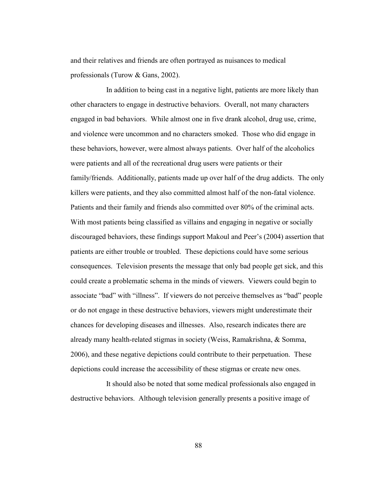and their relatives and friends are often portrayed as nuisances to medical professionals (Turow & Gans, 2002).

In addition to being cast in a negative light, patients are more likely than other characters to engage in destructive behaviors. Overall, not many characters engaged in bad behaviors. While almost one in five drank alcohol, drug use, crime, and violence were uncommon and no characters smoked. Those who did engage in these behaviors, however, were almost always patients. Over half of the alcoholics were patients and all of the recreational drug users were patients or their family/friends. Additionally, patients made up over half of the drug addicts. The only killers were patients, and they also committed almost half of the non-fatal violence. Patients and their family and friends also committed over 80% of the criminal acts. With most patients being classified as villains and engaging in negative or socially discouraged behaviors, these findings support Makoul and Peer's (2004) assertion that patients are either trouble or troubled. These depictions could have some serious consequences. Television presents the message that only bad people get sick, and this could create a problematic schema in the minds of viewers. Viewers could begin to associate "bad" with "illness". If viewers do not perceive themselves as "bad" people or do not engage in these destructive behaviors, viewers might underestimate their chances for developing diseases and illnesses. Also, research indicates there are already many health-related stigmas in society (Weiss, Ramakrishna, & Somma, 2006), and these negative depictions could contribute to their perpetuation. These depictions could increase the accessibility of these stigmas or create new ones.

It should also be noted that some medical professionals also engaged in destructive behaviors. Although television generally presents a positive image of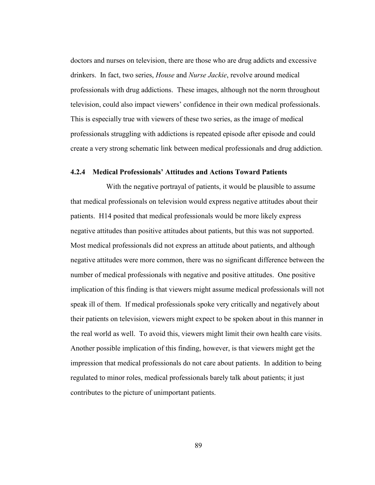doctors and nurses on television, there are those who are drug addicts and excessive drinkers. In fact, two series, *House* and *Nurse Jackie*, revolve around medical professionals with drug addictions. These images, although not the norm throughout television, could also impact viewers' confidence in their own medical professionals. This is especially true with viewers of these two series, as the image of medical professionals struggling with addictions is repeated episode after episode and could create a very strong schematic link between medical professionals and drug addiction.

## **4.2.4 Medical Professionals' Attitudes and Actions Toward Patients**

With the negative portrayal of patients, it would be plausible to assume that medical professionals on television would express negative attitudes about their patients. H14 posited that medical professionals would be more likely express negative attitudes than positive attitudes about patients, but this was not supported. Most medical professionals did not express an attitude about patients, and although negative attitudes were more common, there was no significant difference between the number of medical professionals with negative and positive attitudes. One positive implication of this finding is that viewers might assume medical professionals will not speak ill of them. If medical professionals spoke very critically and negatively about their patients on television, viewers might expect to be spoken about in this manner in the real world as well. To avoid this, viewers might limit their own health care visits. Another possible implication of this finding, however, is that viewers might get the impression that medical professionals do not care about patients. In addition to being regulated to minor roles, medical professionals barely talk about patients; it just contributes to the picture of unimportant patients.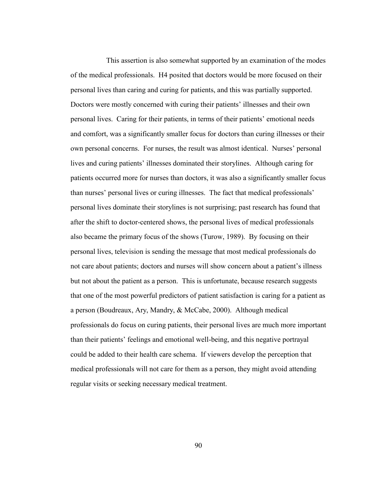This assertion is also somewhat supported by an examination of the modes of the medical professionals. H4 posited that doctors would be more focused on their personal lives than caring and curing for patients, and this was partially supported. Doctors were mostly concerned with curing their patients' illnesses and their own personal lives. Caring for their patients, in terms of their patients' emotional needs and comfort, was a significantly smaller focus for doctors than curing illnesses or their own personal concerns. For nurses, the result was almost identical. Nurses' personal lives and curing patients' illnesses dominated their storylines. Although caring for patients occurred more for nurses than doctors, it was also a significantly smaller focus than nurses' personal lives or curing illnesses. The fact that medical professionals' personal lives dominate their storylines is not surprising; past research has found that after the shift to doctor-centered shows, the personal lives of medical professionals also became the primary focus of the shows (Turow, 1989). By focusing on their personal lives, television is sending the message that most medical professionals do not care about patients; doctors and nurses will show concern about a patient's illness but not about the patient as a person. This is unfortunate, because research suggests that one of the most powerful predictors of patient satisfaction is caring for a patient as a person (Boudreaux, Ary, Mandry, & McCabe, 2000). Although medical professionals do focus on curing patients, their personal lives are much more important than their patients' feelings and emotional well-being, and this negative portrayal could be added to their health care schema. If viewers develop the perception that medical professionals will not care for them as a person, they might avoid attending regular visits or seeking necessary medical treatment.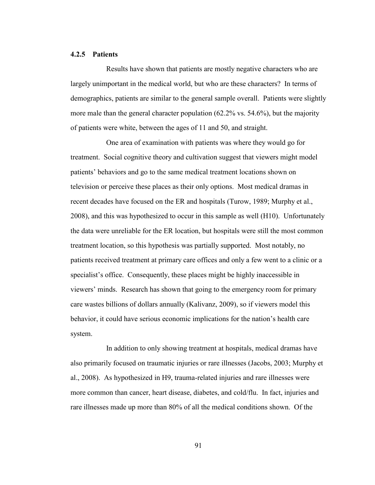#### **4.2.5 Patients**

Results have shown that patients are mostly negative characters who are largely unimportant in the medical world, but who are these characters? In terms of demographics, patients are similar to the general sample overall. Patients were slightly more male than the general character population (62.2% vs. 54.6%), but the majority of patients were white, between the ages of 11 and 50, and straight.

One area of examination with patients was where they would go for treatment. Social cognitive theory and cultivation suggest that viewers might model patients' behaviors and go to the same medical treatment locations shown on television or perceive these places as their only options. Most medical dramas in recent decades have focused on the ER and hospitals (Turow, 1989; Murphy et al., 2008), and this was hypothesized to occur in this sample as well (H10). Unfortunately the data were unreliable for the ER location, but hospitals were still the most common treatment location, so this hypothesis was partially supported. Most notably, no patients received treatment at primary care offices and only a few went to a clinic or a specialist's office. Consequently, these places might be highly inaccessible in viewers' minds. Research has shown that going to the emergency room for primary care wastes billions of dollars annually (Kalivanz, 2009), so if viewers model this behavior, it could have serious economic implications for the nation's health care system.

In addition to only showing treatment at hospitals, medical dramas have also primarily focused on traumatic injuries or rare illnesses (Jacobs, 2003; Murphy et al., 2008). As hypothesized in H9, trauma-related injuries and rare illnesses were more common than cancer, heart disease, diabetes, and cold/flu. In fact, injuries and rare illnesses made up more than 80% of all the medical conditions shown. Of the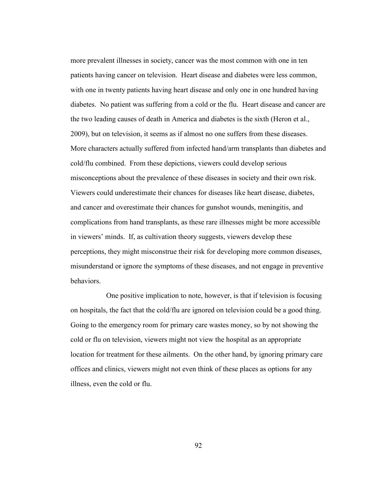more prevalent illnesses in society, cancer was the most common with one in ten patients having cancer on television. Heart disease and diabetes were less common, with one in twenty patients having heart disease and only one in one hundred having diabetes. No patient was suffering from a cold or the flu. Heart disease and cancer are the two leading causes of death in America and diabetes is the sixth (Heron et al., 2009), but on television, it seems as if almost no one suffers from these diseases. More characters actually suffered from infected hand/arm transplants than diabetes and cold/flu combined. From these depictions, viewers could develop serious misconceptions about the prevalence of these diseases in society and their own risk. Viewers could underestimate their chances for diseases like heart disease, diabetes, and cancer and overestimate their chances for gunshot wounds, meningitis, and complications from hand transplants, as these rare illnesses might be more accessible in viewers' minds. If, as cultivation theory suggests, viewers develop these perceptions, they might misconstrue their risk for developing more common diseases, misunderstand or ignore the symptoms of these diseases, and not engage in preventive behaviors.

One positive implication to note, however, is that if television is focusing on hospitals, the fact that the cold/flu are ignored on television could be a good thing. Going to the emergency room for primary care wastes money, so by not showing the cold or flu on television, viewers might not view the hospital as an appropriate location for treatment for these ailments. On the other hand, by ignoring primary care offices and clinics, viewers might not even think of these places as options for any illness, even the cold or flu.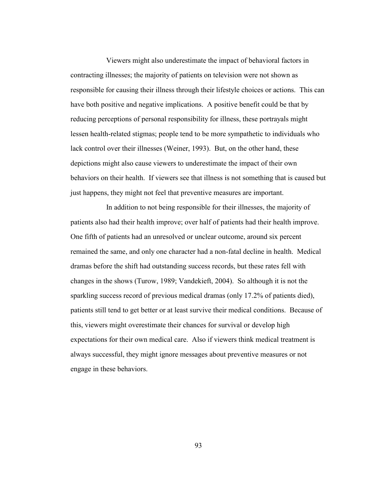Viewers might also underestimate the impact of behavioral factors in contracting illnesses; the majority of patients on television were not shown as responsible for causing their illness through their lifestyle choices or actions. This can have both positive and negative implications. A positive benefit could be that by reducing perceptions of personal responsibility for illness, these portrayals might lessen health-related stigmas; people tend to be more sympathetic to individuals who lack control over their illnesses (Weiner, 1993). But, on the other hand, these depictions might also cause viewers to underestimate the impact of their own behaviors on their health. If viewers see that illness is not something that is caused but just happens, they might not feel that preventive measures are important.

In addition to not being responsible for their illnesses, the majority of patients also had their health improve; over half of patients had their health improve. One fifth of patients had an unresolved or unclear outcome, around six percent remained the same, and only one character had a non-fatal decline in health. Medical dramas before the shift had outstanding success records, but these rates fell with changes in the shows (Turow, 1989; Vandekieft, 2004). So although it is not the sparkling success record of previous medical dramas (only 17.2% of patients died), patients still tend to get better or at least survive their medical conditions. Because of this, viewers might overestimate their chances for survival or develop high expectations for their own medical care. Also if viewers think medical treatment is always successful, they might ignore messages about preventive measures or not engage in these behaviors.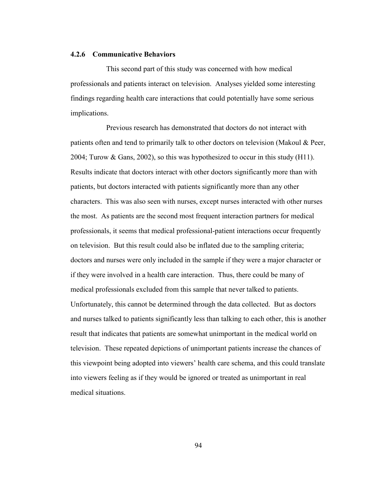### **4.2.6 Communicative Behaviors**

This second part of this study was concerned with how medical professionals and patients interact on television. Analyses yielded some interesting findings regarding health care interactions that could potentially have some serious implications.

Previous research has demonstrated that doctors do not interact with patients often and tend to primarily talk to other doctors on television (Makoul & Peer, 2004; Turow & Gans, 2002), so this was hypothesized to occur in this study  $(H11)$ . Results indicate that doctors interact with other doctors significantly more than with patients, but doctors interacted with patients significantly more than any other characters. This was also seen with nurses, except nurses interacted with other nurses the most. As patients are the second most frequent interaction partners for medical professionals, it seems that medical professional-patient interactions occur frequently on television. But this result could also be inflated due to the sampling criteria; doctors and nurses were only included in the sample if they were a major character or if they were involved in a health care interaction. Thus, there could be many of medical professionals excluded from this sample that never talked to patients. Unfortunately, this cannot be determined through the data collected. But as doctors and nurses talked to patients significantly less than talking to each other, this is another result that indicates that patients are somewhat unimportant in the medical world on television. These repeated depictions of unimportant patients increase the chances of this viewpoint being adopted into viewers' health care schema, and this could translate into viewers feeling as if they would be ignored or treated as unimportant in real medical situations.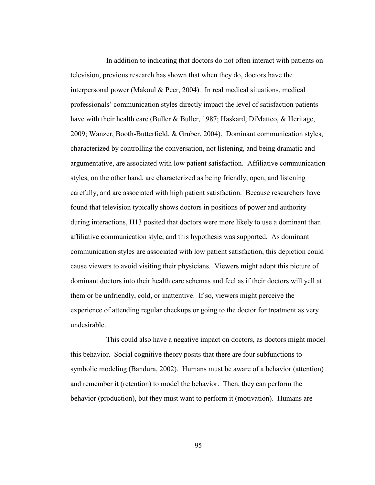In addition to indicating that doctors do not often interact with patients on television, previous research has shown that when they do, doctors have the interpersonal power (Makoul & Peer, 2004). In real medical situations, medical professionals' communication styles directly impact the level of satisfaction patients have with their health care (Buller & Buller, 1987; Haskard, DiMatteo, & Heritage, 2009; Wanzer, Booth-Butterfield, & Gruber, 2004). Dominant communication styles, characterized by controlling the conversation, not listening, and being dramatic and argumentative, are associated with low patient satisfaction. Affiliative communication styles, on the other hand, are characterized as being friendly, open, and listening carefully, and are associated with high patient satisfaction. Because researchers have found that television typically shows doctors in positions of power and authority during interactions, H13 posited that doctors were more likely to use a dominant than affiliative communication style, and this hypothesis was supported. As dominant communication styles are associated with low patient satisfaction, this depiction could cause viewers to avoid visiting their physicians. Viewers might adopt this picture of dominant doctors into their health care schemas and feel as if their doctors will yell at them or be unfriendly, cold, or inattentive. If so, viewers might perceive the experience of attending regular checkups or going to the doctor for treatment as very undesirable.

This could also have a negative impact on doctors, as doctors might model this behavior. Social cognitive theory posits that there are four subfunctions to symbolic modeling (Bandura, 2002). Humans must be aware of a behavior (attention) and remember it (retention) to model the behavior. Then, they can perform the behavior (production), but they must want to perform it (motivation). Humans are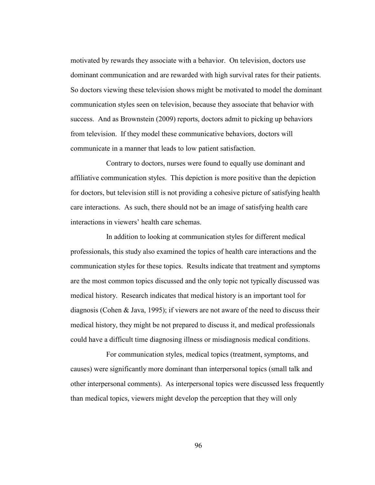motivated by rewards they associate with a behavior. On television, doctors use dominant communication and are rewarded with high survival rates for their patients. So doctors viewing these television shows might be motivated to model the dominant communication styles seen on television, because they associate that behavior with success. And as Brownstein (2009) reports, doctors admit to picking up behaviors from television. If they model these communicative behaviors, doctors will communicate in a manner that leads to low patient satisfaction.

Contrary to doctors, nurses were found to equally use dominant and affiliative communication styles. This depiction is more positive than the depiction for doctors, but television still is not providing a cohesive picture of satisfying health care interactions. As such, there should not be an image of satisfying health care interactions in viewers' health care schemas.

In addition to looking at communication styles for different medical professionals, this study also examined the topics of health care interactions and the communication styles for these topics. Results indicate that treatment and symptoms are the most common topics discussed and the only topic not typically discussed was medical history. Research indicates that medical history is an important tool for diagnosis (Cohen & Java, 1995); if viewers are not aware of the need to discuss their medical history, they might be not prepared to discuss it, and medical professionals could have a difficult time diagnosing illness or misdiagnosis medical conditions.

For communication styles, medical topics (treatment, symptoms, and causes) were significantly more dominant than interpersonal topics (small talk and other interpersonal comments). As interpersonal topics were discussed less frequently than medical topics, viewers might develop the perception that they will only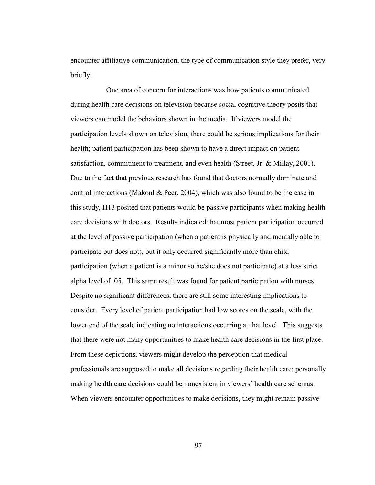encounter affiliative communication, the type of communication style they prefer, very briefly.

One area of concern for interactions was how patients communicated during health care decisions on television because social cognitive theory posits that viewers can model the behaviors shown in the media. If viewers model the participation levels shown on television, there could be serious implications for their health; patient participation has been shown to have a direct impact on patient satisfaction, commitment to treatment, and even health (Street, Jr. & Millay, 2001). Due to the fact that previous research has found that doctors normally dominate and control interactions (Makoul & Peer, 2004), which was also found to be the case in this study, H13 posited that patients would be passive participants when making health care decisions with doctors. Results indicated that most patient participation occurred at the level of passive participation (when a patient is physically and mentally able to participate but does not), but it only occurred significantly more than child participation (when a patient is a minor so he/she does not participate) at a less strict alpha level of .05. This same result was found for patient participation with nurses. Despite no significant differences, there are still some interesting implications to consider. Every level of patient participation had low scores on the scale, with the lower end of the scale indicating no interactions occurring at that level. This suggests that there were not many opportunities to make health care decisions in the first place. From these depictions, viewers might develop the perception that medical professionals are supposed to make all decisions regarding their health care; personally making health care decisions could be nonexistent in viewers' health care schemas. When viewers encounter opportunities to make decisions, they might remain passive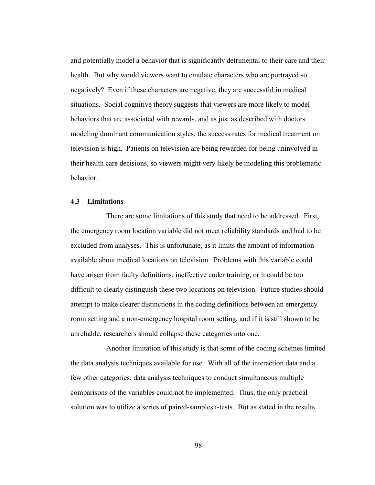and potentially model a behavior that is significantly detrimental to their care and their health. But why would viewers want to emulate characters who are portrayed so negatively? Even if these characters are negative, they are successful in medical situations. Social cognitive theory suggests that viewers are more likely to model behaviors that are associated with rewards, and as just as described with doctors modeling dominant communication styles, the success rates for medical treatment on television is high. Patients on television are being rewarded for being uninvolved in their health care decisions, so viewers might very likely be modeling this problematic behavior.

# **4.3 Limitations**

There are some limitations of this study that need to be addressed. First, the emergency room location variable did not meet reliability standards and had to be excluded from analyses. This is unfortunate, as it limits the amount of information available about medical locations on television. Problems with this variable could have arisen from faulty definitions, ineffective coder training, or it could be too difficult to clearly distinguish these two locations on television. Future studies should attempt to make clearer distinctions in the coding definitions between an emergency room setting and a non-emergency hospital room setting, and if it is still shown to be unreliable, researchers should collapse these categories into one.

Another limitation of this study is that some of the coding schemes limited the data analysis techniques available for use. With all of the interaction data and a few other categories, data analysis techniques to conduct simultaneous multiple comparisons of the variables could not be implemented. Thus, the only practical solution was to utilize a series of paired-samples t-tests. But as stated in the results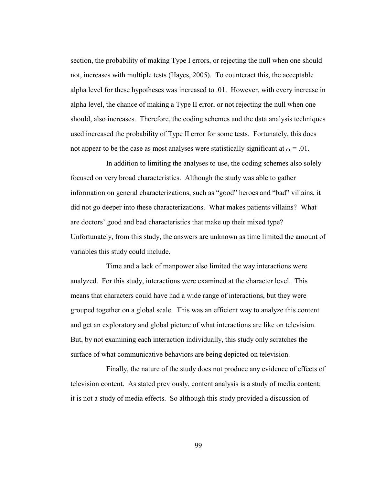section, the probability of making Type I errors, or rejecting the null when one should not, increases with multiple tests (Hayes, 2005). To counteract this, the acceptable alpha level for these hypotheses was increased to .01. However, with every increase in alpha level, the chance of making a Type II error, or not rejecting the null when one should, also increases. Therefore, the coding schemes and the data analysis techniques used increased the probability of Type II error for some tests. Fortunately, this does not appear to be the case as most analyses were statistically significant at  $\alpha = .01$ .

In addition to limiting the analyses to use, the coding schemes also solely focused on very broad characteristics. Although the study was able to gather information on general characterizations, such as "good" heroes and "bad" villains, it did not go deeper into these characterizations. What makes patients villains? What are doctors' good and bad characteristics that make up their mixed type? Unfortunately, from this study, the answers are unknown as time limited the amount of variables this study could include.

Time and a lack of manpower also limited the way interactions were analyzed. For this study, interactions were examined at the character level. This means that characters could have had a wide range of interactions, but they were grouped together on a global scale. This was an efficient way to analyze this content and get an exploratory and global picture of what interactions are like on television. But, by not examining each interaction individually, this study only scratches the surface of what communicative behaviors are being depicted on television.

Finally, the nature of the study does not produce any evidence of effects of television content. As stated previously, content analysis is a study of media content; it is not a study of media effects. So although this study provided a discussion of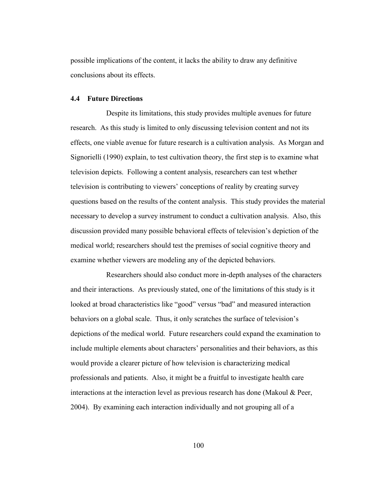possible implications of the content, it lacks the ability to draw any definitive conclusions about its effects.

# **4.4 Future Directions**

Despite its limitations, this study provides multiple avenues for future research. As this study is limited to only discussing television content and not its effects, one viable avenue for future research is a cultivation analysis. As Morgan and Signorielli (1990) explain, to test cultivation theory, the first step is to examine what television depicts. Following a content analysis, researchers can test whether television is contributing to viewers' conceptions of reality by creating survey questions based on the results of the content analysis. This study provides the material necessary to develop a survey instrument to conduct a cultivation analysis. Also, this discussion provided many possible behavioral effects of television's depiction of the medical world; researchers should test the premises of social cognitive theory and examine whether viewers are modeling any of the depicted behaviors.

Researchers should also conduct more in-depth analyses of the characters and their interactions. As previously stated, one of the limitations of this study is it looked at broad characteristics like "good" versus "bad" and measured interaction behaviors on a global scale. Thus, it only scratches the surface of television's depictions of the medical world. Future researchers could expand the examination to include multiple elements about characters' personalities and their behaviors, as this would provide a clearer picture of how television is characterizing medical professionals and patients. Also, it might be a fruitful to investigate health care interactions at the interaction level as previous research has done (Makoul & Peer, 2004). By examining each interaction individually and not grouping all of a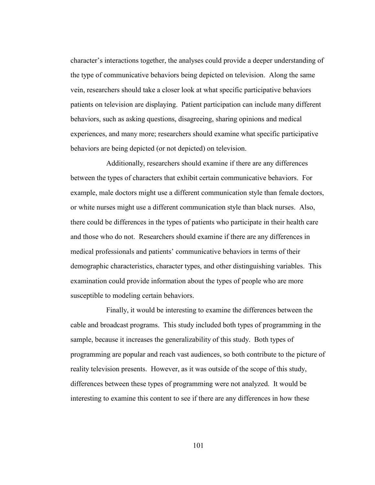character's interactions together, the analyses could provide a deeper understanding of the type of communicative behaviors being depicted on television. Along the same vein, researchers should take a closer look at what specific participative behaviors patients on television are displaying. Patient participation can include many different behaviors, such as asking questions, disagreeing, sharing opinions and medical experiences, and many more; researchers should examine what specific participative behaviors are being depicted (or not depicted) on television.

Additionally, researchers should examine if there are any differences between the types of characters that exhibit certain communicative behaviors. For example, male doctors might use a different communication style than female doctors, or white nurses might use a different communication style than black nurses. Also, there could be differences in the types of patients who participate in their health care and those who do not. Researchers should examine if there are any differences in medical professionals and patients' communicative behaviors in terms of their demographic characteristics, character types, and other distinguishing variables. This examination could provide information about the types of people who are more susceptible to modeling certain behaviors.

Finally, it would be interesting to examine the differences between the cable and broadcast programs. This study included both types of programming in the sample, because it increases the generalizability of this study. Both types of programming are popular and reach vast audiences, so both contribute to the picture of reality television presents. However, as it was outside of the scope of this study, differences between these types of programming were not analyzed. It would be interesting to examine this content to see if there are any differences in how these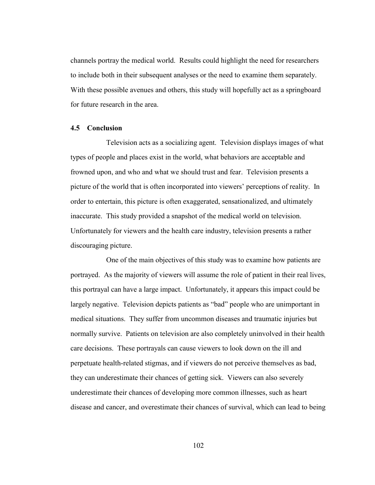channels portray the medical world. Results could highlight the need for researchers to include both in their subsequent analyses or the need to examine them separately. With these possible avenues and others, this study will hopefully act as a springboard for future research in the area.

# **4.5 Conclusion**

Television acts as a socializing agent. Television displays images of what types of people and places exist in the world, what behaviors are acceptable and frowned upon, and who and what we should trust and fear. Television presents a picture of the world that is often incorporated into viewers' perceptions of reality. In order to entertain, this picture is often exaggerated, sensationalized, and ultimately inaccurate. This study provided a snapshot of the medical world on television. Unfortunately for viewers and the health care industry, television presents a rather discouraging picture.

One of the main objectives of this study was to examine how patients are portrayed. As the majority of viewers will assume the role of patient in their real lives, this portrayal can have a large impact. Unfortunately, it appears this impact could be largely negative. Television depicts patients as "bad" people who are unimportant in medical situations. They suffer from uncommon diseases and traumatic injuries but normally survive. Patients on television are also completely uninvolved in their health care decisions. These portrayals can cause viewers to look down on the ill and perpetuate health-related stigmas, and if viewers do not perceive themselves as bad, they can underestimate their chances of getting sick. Viewers can also severely underestimate their chances of developing more common illnesses, such as heart disease and cancer, and overestimate their chances of survival, which can lead to being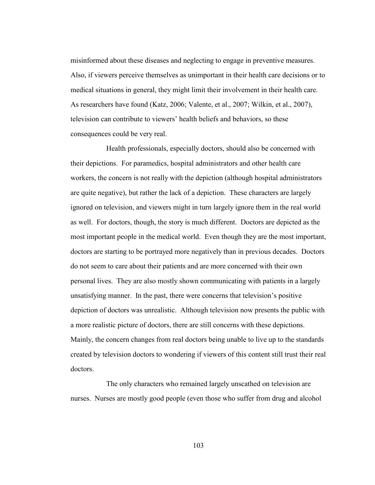misinformed about these diseases and neglecting to engage in preventive measures. Also, if viewers perceive themselves as unimportant in their health care decisions or to medical situations in general, they might limit their involvement in their health care. As researchers have found (Katz, 2006; Valente, et al., 2007; Wilkin, et al., 2007), television can contribute to viewers' health beliefs and behaviors, so these consequences could be very real.

Health professionals, especially doctors, should also be concerned with their depictions. For paramedics, hospital administrators and other health care workers, the concern is not really with the depiction (although hospital administrators are quite negative), but rather the lack of a depiction. These characters are largely ignored on television, and viewers might in turn largely ignore them in the real world as well. For doctors, though, the story is much different. Doctors are depicted as the most important people in the medical world. Even though they are the most important, doctors are starting to be portrayed more negatively than in previous decades. Doctors do not seem to care about their patients and are more concerned with their own personal lives. They are also mostly shown communicating with patients in a largely unsatisfying manner. In the past, there were concerns that television's positive depiction of doctors was unrealistic. Although television now presents the public with a more realistic picture of doctors, there are still concerns with these depictions. Mainly, the concern changes from real doctors being unable to live up to the standards created by television doctors to wondering if viewers of this content still trust their real doctors.

The only characters who remained largely unscathed on television are nurses. Nurses are mostly good people (even those who suffer from drug and alcohol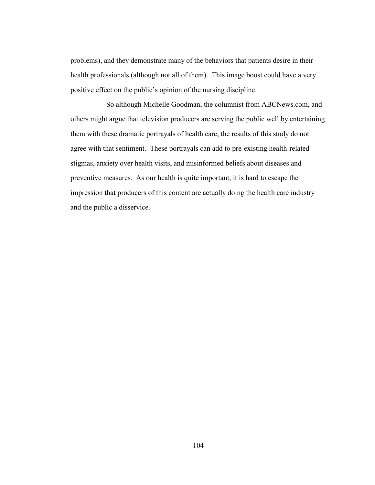problems), and they demonstrate many of the behaviors that patients desire in their health professionals (although not all of them). This image boost could have a very positive effect on the public's opinion of the nursing discipline.

So although Michelle Goodman, the columnist from ABCNews.com, and others might argue that television producers are serving the public well by entertaining them with these dramatic portrayals of health care, the results of this study do not agree with that sentiment. These portrayals can add to pre-existing health-related stigmas, anxiety over health visits, and misinformed beliefs about diseases and preventive measures. As our health is quite important, it is hard to escape the impression that producers of this content are actually doing the health care industry and the public a disservice.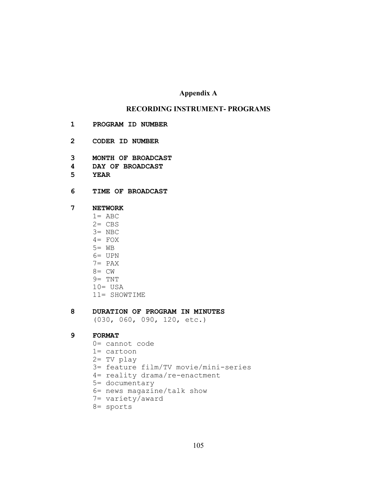# **Appendix A**

# **RECORDING INSTRUMENT- PROGRAMS**

- **1 PROGRAM ID NUMBER**
- **2 CODER ID NUMBER**
- **3 MONTH OF BROADCAST**
- **4 DAY OF BROADCAST**
- **5 YEAR**
- **6 TIME OF BROADCAST**

## **7 NETWORK**

- $1=$  ABC
- $2=$  CBS
- 3= NBC
- $4 = FOX$
- $5=$  WB
- 6= UPN
- 7= PAX
- 8= CW
- 9= TNT
- 10= USA
- 11= SHOWTIME

# **8 DURATION OF PROGRAM IN MINUTES**

(030, 060, 090, 120, etc.)

## **9 FORMAT**

- 0= cannot code
- 1= cartoon
- 2= TV play
- 3= feature film/TV movie/mini-series
- 4= reality drama/re-enactment
- 5= documentary
- 6= news magazine/talk show
- 7= variety/award
- 8= sports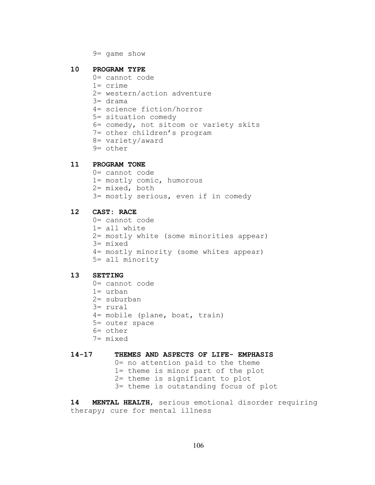9= game show

#### **10 PROGRAM TYPE**

- 0= cannot code
- 1= crime
- 2= western/action adventure
- 3= drama
- 4= science fiction/horror
- 5= situation comedy
- 6= comedy, not sitcom or variety skits
- 7= other children's program
- 8= variety/award
- 9= other

# **11 PROGRAM TONE**

0= cannot code 1= mostly comic, humorous 2= mixed, both 3= mostly serious, even if in comedy

# **12 CAST: RACE**

- 0= cannot code
- 1= all white
- 2= mostly white (some minorities appear)
- 3= mixed
- 4= mostly minority (some whites appear)
- 5= all minority

# **13 SETTING**

- 0= cannot code
- 1= urban
- 2= suburban
- 3= rural
- 4= mobile (plane, boat, train)
- 5= outer space
- 6= other
- 7= mixed

# **14-17 THEMES AND ASPECTS OF LIFE- EMPHASIS**

- 0= no attention paid to the theme
- 1= theme is minor part of the plot
- 2= theme is significant to plot
- 3= theme is outstanding focus of plot

**14 MENTAL HEALTH**, serious emotional disorder requiring therapy; cure for mental illness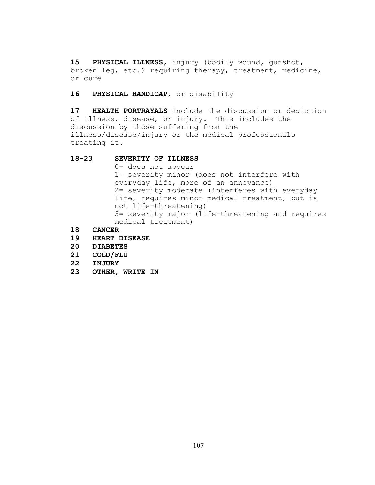**15 PHYSICAL ILLNESS**, injury (bodily wound, gunshot, broken leg, etc.) requiring therapy, treatment, medicine, or cure

**16 PHYSICAL HANDICAP**, or disability

**17 HEALTH PORTRAYALS** include the discussion or depiction of illness, disease, or injury. This includes the discussion by those suffering from the illness/disease/injury or the medical professionals treating it.

## **18-23 SEVERITY OF ILLNESS**

0= does not appear 1= severity minor (does not interfere with everyday life, more of an annoyance) 2= severity moderate (interferes with everyday life, requires minor medical treatment, but is not life-threatening) 3= severity major (life-threatening and requires medical treatment)

- **18 CANCER**
- **19 HEART DISEASE**
- **20 DIABETES**
- **21 COLD/FLU**
- **22 INJURY**
- **23 OTHER, WRITE IN**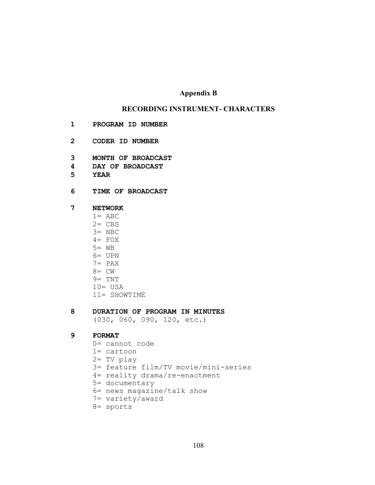# **Appendix B**

# **RECORDING INSTRUMENT- CHARACTERS**

- **1 PROGRAM ID NUMBER**
- **2 CODER ID NUMBER**
- **3 MONTH OF BROADCAST**
- **4 DAY OF BROADCAST**
- **5 YEAR**
- **6 TIME OF BROADCAST**

## **7 NETWORK**

- $1=$  ABC
- $2=$  CBS
- 3= NBC
- $4 = FOX$
- $5=$  WB
- 6= UPN
- 7= PAX
- 8= CW
- 9= TNT
- 10= USA
- 11= SHOWTIME

# **8 DURATION OF PROGRAM IN MINUTES**

(030, 060, 090, 120, etc.)

# **9 FORMAT**

- 0= cannot code
- 1= cartoon
- 2= TV play
- 3= feature film/TV movie/mini-series
- 4= reality drama/re-enactment
- 5= documentary
- 6= news magazine/talk show
- 7= variety/award
- 8= sports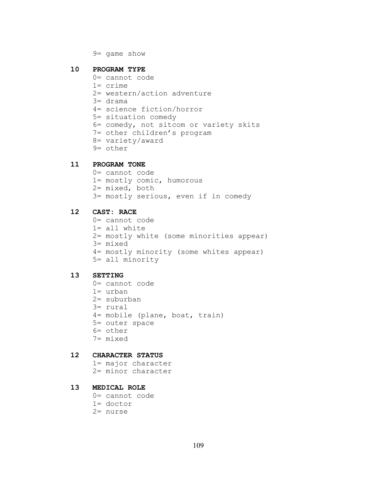9= game show

#### **10 PROGRAM TYPE**

- 0= cannot code
- 1= crime
- 2= western/action adventure
- 3= drama
- 4= science fiction/horror
- 5= situation comedy
- 6= comedy, not sitcom or variety skits
- 7= other children's program
- 8= variety/award
- 9= other

# **11 PROGRAM TONE**

0= cannot code 1= mostly comic, humorous 2= mixed, both 3= mostly serious, even if in comedy

# **12 CAST: RACE**

- 0= cannot code 1= all white 2= mostly white (some minorities appear)
- 3= mixed
- 4= mostly minority (some whites appear)
- 5= all minority

# **13 SETTING**

- 0= cannot code
- 1= urban
- 2= suburban
- 3= rural
- 4= mobile (plane, boat, train)
- 5= outer space
- 6= other
- 7= mixed

# **12 CHARACTER STATUS**

- 1= major character 2= minor character
- 

# **13 MEDICAL ROLE**

- 0= cannot code
- 1= doctor
- 2= nurse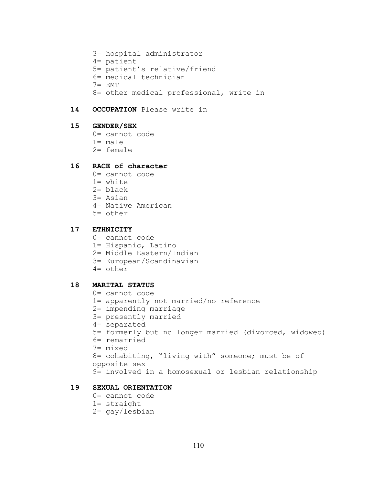- 3= hospital administrator 4= patient 5= patient's relative/friend 6= medical technician 7= EMT 8= other medical professional, write in
- **14 OCCUPATION** Please write in

# **15 GENDER/SEX**

- 0= cannot code
- 1= male
- 2= female

# **16 RACE of character**

- 0= cannot code
- 1= white
- 2= black
- 3= Asian
- 4= Native American
- 5= other

# **17 ETHNICITY**

- 0= cannot code
- 1= Hispanic, Latino
- 2= Middle Eastern/Indian
- 3= European/Scandinavian
- 4= other

#### **18 MARITAL STATUS**

- 0= cannot code
- 1= apparently not married/no reference
- 2= impending marriage
- 3= presently married
- 4= separated
- 5= formerly but no longer married (divorced, widowed)
- 6= remarried
- 7= mixed

```
8= cohabiting, "living with" someone; must be of
opposite sex
```

```
9= involved in a homosexual or lesbian relationship
```
# **19 SEXUAL ORIENTATION**

- 0= cannot code
- 1= straight
- 2= gay/lesbian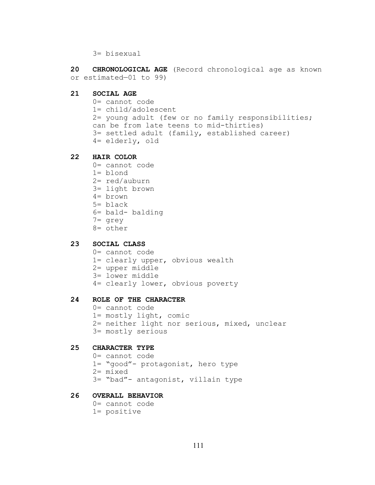3= bisexual

**20 CHRONOLOGICAL AGE** (Record chronological age as known or estimated—01 to 99)

- **21 SOCIAL AGE**
	- 0= cannot code 1= child/adolescent 2= young adult (few or no family responsibilities;
	- can be from late teens to mid-thirties) 3= settled adult (family, established career) 4= elderly, old

#### **22 HAIR COLOR**

- 0= cannot code
- 1= blond
- 2= red/auburn
- 3= light brown
- 4= brown
- 5= black
- 6= bald- balding
- 7= grey
- 8= other

# **23 SOCIAL CLASS**

- 0= cannot code
- 1= clearly upper, obvious wealth
- 2= upper middle
- 3= lower middle
- 4= clearly lower, obvious poverty

# **24 ROLE OF THE CHARACTER**

0= cannot code 1= mostly light, comic 2= neither light nor serious, mixed, unclear 3= mostly serious

#### **25 CHARACTER TYPE**

0= cannot code 1= "good"- protagonist, hero type 2= mixed 3= "bad"- antagonist, villain type

# **26 OVERALL BEHAVIOR**

0= cannot code 1= positive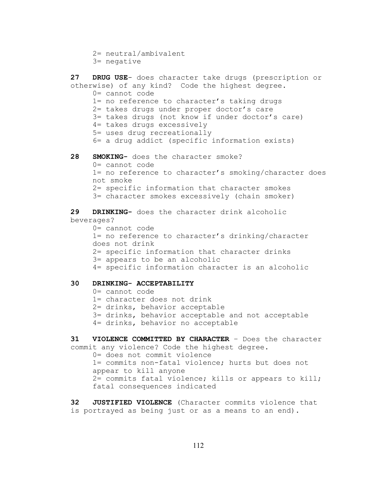```
2= neutral/ambivalent
3= negative
```

```
27 DRUG USE- does character take drugs (prescription or 
otherwise) of any kind? Code the highest degree.
     0= cannot code
     1= no reference to character's taking drugs
     2= takes drugs under proper doctor's care
     3= takes drugs (not know if under doctor's care)
     4= takes drugs excessively
     5= uses drug recreationally
     6= a drug addict (specific information exists)
28 SMOKING- does the character smoke?
     0= cannot code
     1= no reference to character's smoking/character does
     not smoke
     2= specific information that character smokes
     3= character smokes excessively (chain smoker)
29 DRINKING- does the character drink alcoholic 
beverages?
     0= cannot code
     1= no reference to character's drinking/character 
     does not drink
     2= specific information that character drinks
     3= appears to be an alcoholic
     4= specific information character is an alcoholic
30 DRINKING- ACCEPTABILITY
     0= cannot code
     1= character does not drink
     2= drinks, behavior acceptable
     3= drinks, behavior acceptable and not acceptable
     4= drinks, behavior no acceptable
31 VIOLENCE COMMITTED BY CHARACTER – Does the character 
commit any violence? Code the highest degree.
     0= does not commit violence
     1= commits non-fatal violence; hurts but does not 
     appear to kill anyone
     2= commits fatal violence; kills or appears to kill;
```
**32 JUSTIFIED VIOLENCE** (Character commits violence that is portrayed as being just or as a means to an end).

fatal consequences indicated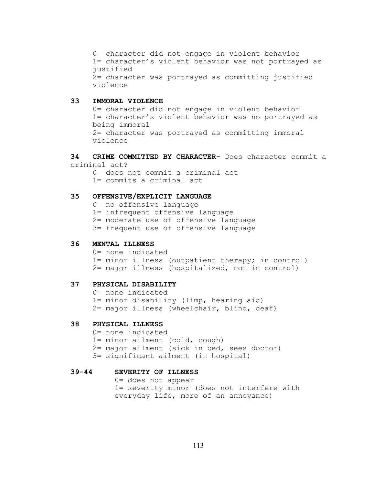0= character did not engage in violent behavior 1= character's violent behavior was not portrayed as justified 2= character was portrayed as committing justified violence

# **33 IMMORAL VIOLENCE**

0= character did not engage in violent behavior 1= character's violent behavior was no portrayed as being immoral 2= character was portrayed as committing immoral violence

**34 CRIME COMMITTED BY CHARACTER**- Does character commit a criminal act?

0= does not commit a criminal act

1= commits a criminal act

# **35 OFFENSIVE/EXPLICIT LANGUAGE**

0= no offensive language

1= infrequent offensive language

2= moderate use of offensive language

3= frequent use of offensive language

#### **36 MENTAL ILLNESS**

0= none indicated 1= minor illness (outpatient therapy; in control) 2= major illness (hospitalized, not in control)

# **37 PHYSICAL DISABILITY**

0= none indicated 1= minor disability (limp, hearing aid) 2= major illness (wheelchair, blind, deaf)

# **38 PHYSICAL ILLNESS**

0= none indicated

1= minor ailment (cold, cough)

2= major ailment (sick in bed, sees doctor)

3= significant ailment (in hospital)

#### **39-44 SEVERITY OF ILLNESS**

0= does not appear 1= severity minor (does not interfere with everyday life, more of an annoyance)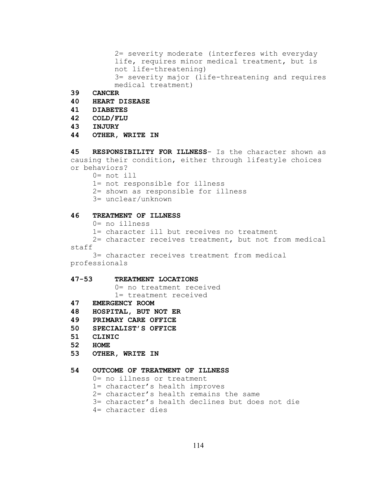2= severity moderate (interferes with everyday life, requires minor medical treatment, but is not life-threatening) 3= severity major (life-threatening and requires medical treatment)

- **39 CANCER**
- **40 HEART DISEASE**

#### **41 DIABETES**

- **42 COLD/FLU**
- **43 INJURY**
- **44 OTHER, WRITE IN**

**45 RESPONSIBILITY FOR ILLNESS**- Is the character shown as causing their condition, either through lifestyle choices or behaviors?

0= not ill

1= not responsible for illness

- 2= shown as responsible for illness
- 3= unclear/unknown

# **46 TREATMENT OF ILLNESS**

- 0= no illness
- 1= character ill but receives no treatment

2= character receives treatment, but not from medical staff

3= character receives treatment from medical professionals

### **47-53 TREATMENT LOCATIONS**

0= no treatment received 1= treatment received

- **47 EMERGENCY ROOM**
- **48 HOSPITAL, BUT NOT ER**
- **49 PRIMARY CARE OFFICE**
- **50 SPECIALIST'S OFFICE**
- **51 CLINIC**
- **52 HOME**
- **53 OTHER, WRITE IN**

### **54 OUTCOME OF TREATMENT OF ILLNESS**

0= no illness or treatment

- 1= character's health improves
- 2= character's health remains the same
- 3= character's health declines but does not die
- 4= character dies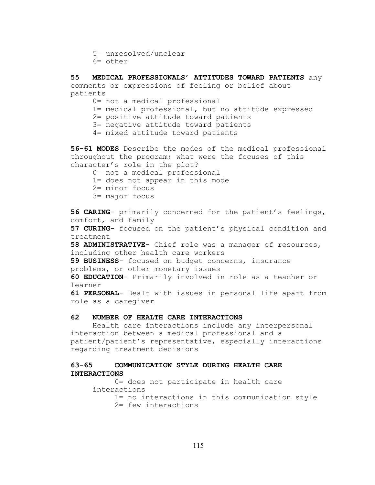```
5= unresolved/unclear
6= other
```
**55 MEDICAL PROFESSIONALS' ATTITUDES TOWARD PATIENTS** any comments or expressions of feeling or belief about patients

0= not a medical professional

1= medical professional, but no attitude expressed

2= positive attitude toward patients

3= negative attitude toward patients

4= mixed attitude toward patients

**56-61 MODES** Describe the modes of the medical professional throughout the program; what were the focuses of this character's role in the plot?

0= not a medical professional

1= does not appear in this mode

- 2= minor focus
- 3= major focus

**56 CARING**- primarily concerned for the patient's feelings, comfort, and family

**57 CURING**- focused on the patient's physical condition and treatment

**58 ADMINISTRATIVE**- Chief role was a manager of resources, including other health care workers

**59 BUSINESS**- focused on budget concerns, insurance problems, or other monetary issues

**60 EDUCATION**- Primarily involved in role as a teacher or learner

**61 PERSONAL**- Dealt with issues in personal life apart from role as a caregiver

# **62 NUMBER OF HEALTH CARE INTERACTIONS**

Health care interactions include any interpersonal interaction between a medical professional and a patient/patient's representative, especially interactions regarding treatment decisions

# **63-65 COMMUNICATION STYLE DURING HEALTH CARE INTERACTIONS**

```
0= does not participate in health care 
interactions
     1= no interactions in this communication style
     2= few interactions
```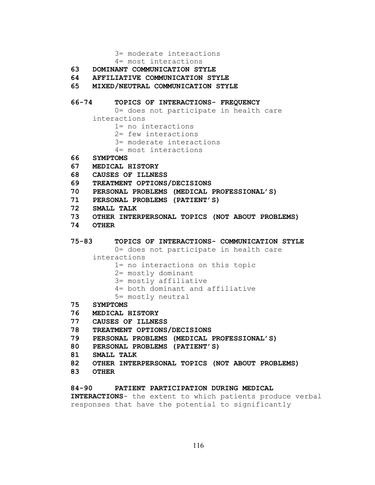3= moderate interactions

- 4= most interactions
- **63 DOMINANT COMMUNICATION STYLE**
- **64 AFFILIATIVE COMMUNICATION STYLE**
- **65 MIXED/NEUTRAL COMMUNICATION STYLE**

## **66-74 TOPICS OF INTERACTIONS- FREQUENCY**

- 0= does not participate in health care
- interactions
	- 1= no interactions
	- 2= few interactions
	- 3= moderate interactions
	- 4= most interactions
- **66 SYMPTOMS**
- **67 MEDICAL HISTORY**
- **68 CAUSES OF ILLNESS**
- **69 TREATMENT OPTIONS/DECISIONS**
- **70 PERSONAL PROBLEMS (MEDICAL PROFESSIONAL'S)**
- **71 PERSONAL PROBLEMS (PATIENT'S)**
- **72 SMALL TALK**
- **73 OTHER INTERPERSONAL TOPICS (NOT ABOUT PROBLEMS)**
- **74 OTHER**

### **75-83 TOPICS OF INTERACTIONS- COMMUNICATION STYLE**

0= does not participate in health care

- interactions
	- 1= no interactions on this topic
	- 2= mostly dominant
	- 3= mostly affiliative
	- 4= both dominant and affiliative
	- 5= mostly neutral
- **75 SYMPTOMS**
- **76 MEDICAL HISTORY**
- **77 CAUSES OF ILLNESS**
- **78 TREATMENT OPTIONS/DECISIONS**
- **79 PERSONAL PROBLEMS (MEDICAL PROFESSIONAL'S)**
- **80 PERSONAL PROBLEMS (PATIENT'S)**
- **81 SMALL TALK**
- **82 OTHER INTERPERSONAL TOPICS (NOT ABOUT PROBLEMS)**
- **83 OTHER**

# **84-90 PATIENT PARTICIPATION DURING MEDICAL**

**INTERACTIONS**- the extent to which patients produce verbal responses that have the potential to significantly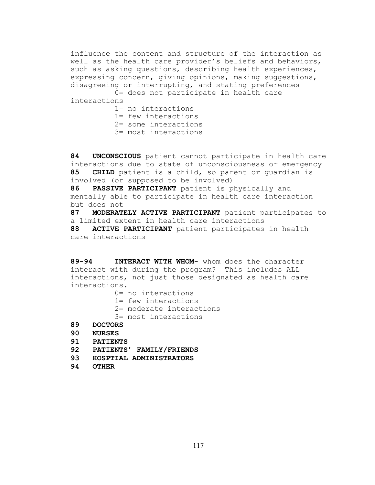influence the content and structure of the interaction as well as the health care provider's beliefs and behaviors, such as asking questions, describing health experiences, expressing concern, giving opinions, making suggestions, disagreeing or interrupting, and stating preferences

0= does not participate in health care interactions

- 1= no interactions
- 1= few interactions
- 2= some interactions
- 3= most interactions

**84 UNCONSCIOUS** patient cannot participate in health care interactions due to state of unconsciousness or emergency **85 CHILD** patient is a child, so parent or guardian is involved (or supposed to be involved)

**86 PASSIVE PARTICIPANT** patient is physically and mentally able to participate in health care interaction but does not

87 **MODERATELY ACTIVE PARTICIPANT** patient participates to a limited extent in health care interactions

**88 ACTIVE PARTICIPANT** patient participates in health care interactions

**89-94 INTERACT WITH WHOM**- whom does the character interact with during the program? This includes ALL interactions, not just those designated as health care interactions.

- 0= no interactions
- 1= few interactions
- 2= moderate interactions
- 3= most interactions
- **89 DOCTORS**
- **90 NURSES**
- **91 PATIENTS**
- **92 PATIENTS' FAMILY/FRIENDS**
- **93 HOSPTIAL ADMINISTRATORS**
- **94 OTHER**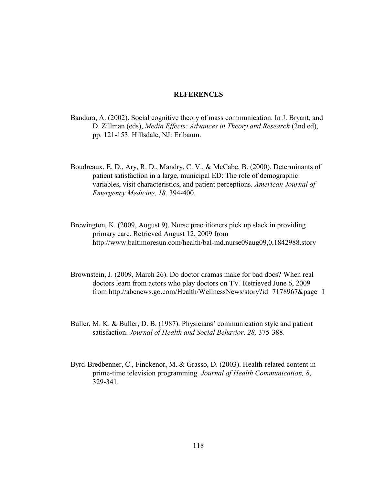# **REFERENCES**

- Bandura, A. (2002). Social cognitive theory of mass communication. In J. Bryant, and D. Zillman (eds), *Media Effects: Advances in Theory and Research* (2nd ed), pp. 121-153. Hillsdale, NJ: Erlbaum.
- Boudreaux, E. D., Ary, R. D., Mandry, C. V., & McCabe, B. (2000). Determinants of patient satisfaction in a large, municipal ED: The role of demographic variables, visit characteristics, and patient perceptions. *American Journal of Emergency Medicine, 18*, 394-400.
- Brewington, K. (2009, August 9). Nurse practitioners pick up slack in providing primary care. Retrieved August 12, 2009 from http://www.baltimoresun.com/health/bal-md.nurse09aug09,0,1842988.story
- Brownstein, J. (2009, March 26). Do doctor dramas make for bad docs? When real doctors learn from actors who play doctors on TV. Retrieved June 6, 2009 from http://abcnews.go.com/Health/WellnessNews/story?id=7178967&page=1
- Buller, M. K. & Buller, D. B. (1987). Physicians' communication style and patient satisfaction. *Journal of Health and Social Behavior, 28,* 375-388.
- Byrd-Bredbenner, C., Finckenor, M. & Grasso, D. (2003). Health-related content in prime-time television programming. *Journal of Health Communication, 8*, 329-341.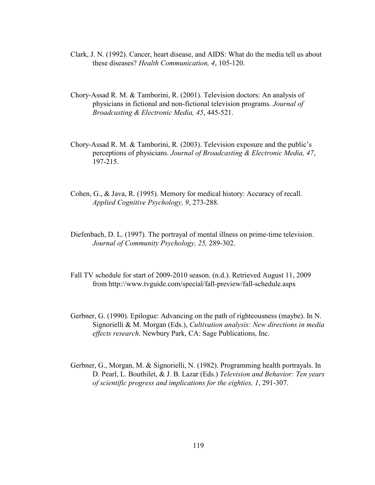- Clark, J. N. (1992). Cancer, heart disease, and AIDS: What do the media tell us about these diseases? *Health Communication, 4*, 105-120.
- Chory-Assad R. M. & Tamborini, R. (2001). Television doctors: An analysis of physicians in fictional and non-fictional television programs. *Journal of Broadcasting & Electronic Media, 45*, 445-521.
- Chory-Assad R. M. & Tamborini, R. (2003). Television exposure and the public's perceptions of physicians. *Journal of Broadcasting & Electronic Media, 47*, 197-215.
- Cohen, G., & Java, R. (1995). Memory for medical history: Accuracy of recall. *Applied Cognitive Psychology, 9*, 273-288.
- Diefenbach, D. L. (1997). The portrayal of mental illness on prime-time television. *Journal of Community Psychology, 25,* 289-302.
- Fall TV schedule for start of 2009-2010 season. (n.d.). Retrieved August 11, 2009 from http://www.tvguide.com/special/fall-preview/fall-schedule.aspx
- Gerbner, G. (1990). Epilogue: Advancing on the path of righteousness (maybe). In N. Signorielli & M. Morgan (Eds.), *Cultivation analysis: New directions in media effects research*. Newbury Park, CA: Sage Publications, Inc.
- Gerbner, G., Morgan, M. & Signorielli, N. (1982). Programming health portrayals. In D. Pearl, L. Bouthilet, & J. B. Lazar (Eds.) *Television and Behavior: Ten years of scientific progress and implications for the eighties, 1*, 291-307.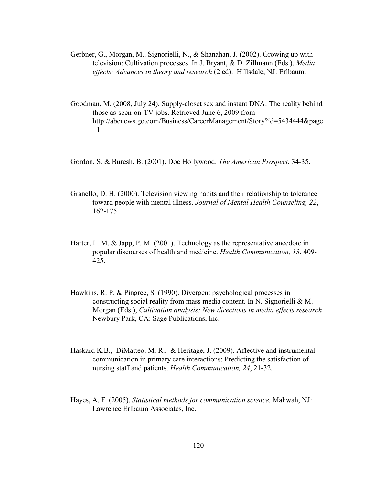- Gerbner, G., Morgan, M., Signorielli, N., & Shanahan, J. (2002). Growing up with television: Cultivation processes. In J. Bryant, & D. Zillmann (Eds.), *Media effects: Advances in theory and research* (2 ed). Hillsdale, NJ: Erlbaum.
- Goodman, M. (2008, July 24). Supply-closet sex and instant DNA: The reality behind those as-seen-on-TV jobs. Retrieved June 6, 2009 from http://abcnews.go.com/Business/CareerManagement/Story?id=5434444&page  $=1$
- Gordon, S. & Buresh, B. (2001). Doc Hollywood. *The American Prospect*, 34-35.
- Granello, D. H. (2000). Television viewing habits and their relationship to tolerance toward people with mental illness. *Journal of Mental Health Counseling, 22*, 162-175.
- Harter, L. M. & Japp, P. M. (2001). Technology as the representative anecdote in popular discourses of health and medicine. *Health Communication, 13*, 409- 425.
- Hawkins, R. P. & Pingree, S. (1990). Divergent psychological processes in constructing social reality from mass media content. In N. Signorielli & M. Morgan (Eds.), *Cultivation analysis: New directions in media effects research*. Newbury Park, CA: Sage Publications, Inc.
- Haskard K.B., DiMatteo, M. R., & Heritage, J. (2009). Affective and instrumental communication in primary care interactions: Predicting the satisfaction of nursing staff and patients. *Health Communication, 24*, 21-32.
- Hayes, A. F. (2005). *Statistical methods for communication science.* Mahwah, NJ: Lawrence Erlbaum Associates, Inc.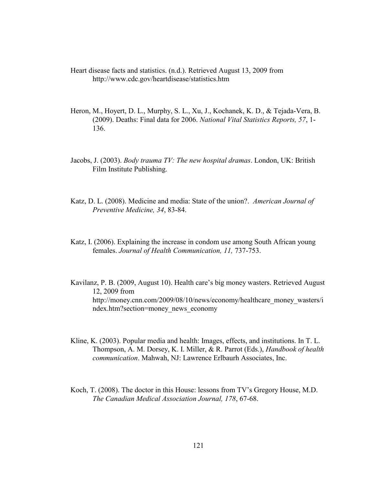Heart disease facts and statistics. (n.d.). Retrieved August 13, 2009 from http://www.cdc.gov/heartdisease/statistics.htm

- Heron, M., Hoyert, D. L., Murphy, S. L., Xu, J., Kochanek, K. D., & Tejada-Vera, B. (2009). Deaths: Final data for 2006. *National Vital Statistics Reports, 57*, 1- 136.
- Jacobs, J. (2003). *Body trauma TV: The new hospital dramas*. London, UK: British Film Institute Publishing.
- Katz, D. L. (2008). Medicine and media: State of the union?. *American Journal of Preventive Medicine, 34*, 83-84.
- Katz, I. (2006). Explaining the increase in condom use among South African young females. *Journal of Health Communication, 11,* 737-753.
- Kavilanz, P. B. (2009, August 10). Health care's big money wasters. Retrieved August 12, 2009 from http://money.cnn.com/2009/08/10/news/economy/healthcare\_money\_wasters/i ndex.htm?section=money\_news\_economy
- Kline, K. (2003). Popular media and health: Images, effects, and institutions. In T. L. Thompson, A. M. Dorsey, K. I. Miller, & R. Parrot (Eds.), *Handbook of health communication*. Mahwah, NJ: Lawrence Erlbaurh Associates, Inc.
- Koch, T. (2008). The doctor in this House: lessons from TV's Gregory House, M.D. *The Canadian Medical Association Journal, 178*, 67-68.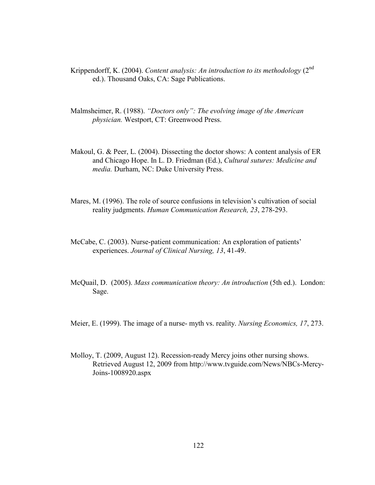- Krippendorff, K. (2004). *Content analysis: An introduction to its methodology* (2nd ed.). Thousand Oaks, CA: Sage Publications.
- Malmsheimer, R. (1988). *"Doctors only": The evolving image of the American physician.* Westport, CT: Greenwood Press.
- Makoul, G. & Peer, L. (2004). Dissecting the doctor shows: A content analysis of ER and Chicago Hope. In L. D. Friedman (Ed.), *Cultural sutures: Medicine and media.* Durham, NC: Duke University Press.
- Mares, M. (1996). The role of source confusions in television's cultivation of social reality judgments. *Human Communication Research, 23*, 278-293.
- McCabe, C. (2003). Nurse-patient communication: An exploration of patients' experiences. *Journal of Clinical Nursing, 13*, 41-49.
- McQuail, D. (2005). *Mass communication theory: An introduction* (5th ed.). London: Sage.
- Meier, E. (1999). The image of a nurse- myth vs. reality. *Nursing Economics, 17*, 273.
- Molloy, T. (2009, August 12). Recession-ready Mercy joins other nursing shows. Retrieved August 12, 2009 from http://www.tvguide.com/News/NBCs-Mercy-Joins-1008920.aspx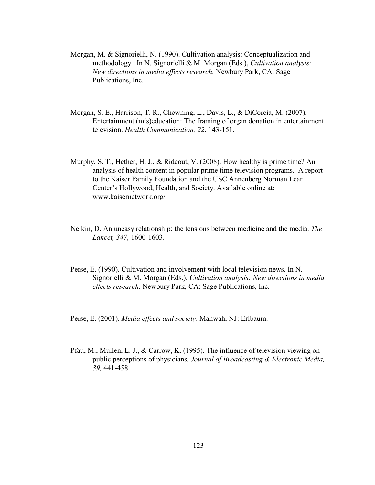- Morgan, M. & Signorielli, N. (1990). Cultivation analysis: Conceptualization and methodology. In N. Signorielli & M. Morgan (Eds.), *Cultivation analysis: New directions in media effects research.* Newbury Park, CA: Sage Publications, Inc.
- Morgan, S. E., Harrison, T. R., Chewning, L., Davis, L., & DiCorcia, M. (2007). Entertainment (mis)education: The framing of organ donation in entertainment television. *Health Communication, 22*, 143-151.
- Murphy, S. T., Hether, H. J., & Rideout, V. (2008). How healthy is prime time? An analysis of health content in popular prime time television programs. A report to the Kaiser Family Foundation and the USC Annenberg Norman Lear Center's Hollywood, Health, and Society. Available online at: www.kaisernetwork.org/
- Nelkin, D. An uneasy relationship: the tensions between medicine and the media. *The Lancet, 347,* 1600-1603.
- Perse, E. (1990). Cultivation and involvement with local television news. In N. Signorielli & M. Morgan (Eds.), *Cultivation analysis: New directions in media effects research.* Newbury Park, CA: Sage Publications, Inc.

Perse, E. (2001). *Media effects and society*. Mahwah, NJ: Erlbaum.

Pfau, M., Mullen, L. J., & Carrow, K. (1995). The influence of television viewing on public perceptions of physicians*. Journal of Broadcasting & Electronic Media, 39,* 441-458.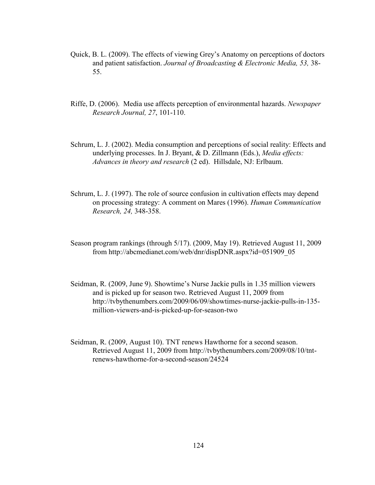- Quick, B. L. (2009). The effects of viewing Grey's Anatomy on perceptions of doctors and patient satisfaction. *Journal of Broadcasting & Electronic Media, 53,* 38- 55.
- Riffe, D. (2006). Media use affects perception of environmental hazards. *Newspaper Research Journal, 27*, 101-110.
- Schrum, L. J. (2002). Media consumption and perceptions of social reality: Effects and underlying processes. In J. Bryant, & D. Zillmann (Eds.), *Media effects: Advances in theory and research* (2 ed). Hillsdale, NJ: Erlbaum.
- Schrum, L. J. (1997). The role of source confusion in cultivation effects may depend on processing strategy: A comment on Mares (1996). *Human Communication Research, 24,* 348-358.
- Season program rankings (through 5/17). (2009, May 19). Retrieved August 11, 2009 from http://abcmedianet.com/web/dnr/dispDNR.aspx?id=051909\_05
- Seidman, R. (2009, June 9). Showtime's Nurse Jackie pulls in 1.35 million viewers and is picked up for season two. Retrieved August 11, 2009 from http://tvbythenumbers.com/2009/06/09/showtimes-nurse-jackie-pulls-in-135 million-viewers-and-is-picked-up-for-season-two
- Seidman, R. (2009, August 10). TNT renews Hawthorne for a second season. Retrieved August 11, 2009 from http://tvbythenumbers.com/2009/08/10/tntrenews-hawthorne-for-a-second-season/24524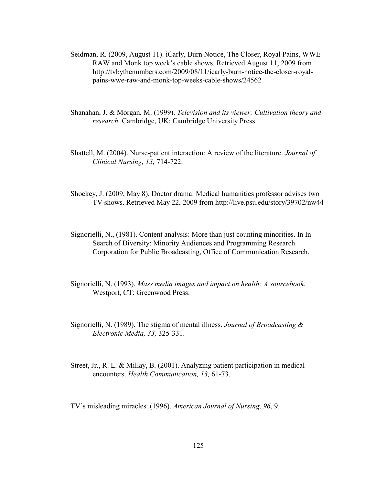- Seidman, R. (2009, August 11). iCarly, Burn Notice, The Closer, Royal Pains, WWE RAW and Monk top week's cable shows. Retrieved August 11, 2009 from http://tvbythenumbers.com/2009/08/11/icarly-burn-notice-the-closer-royalpains-wwe-raw-and-monk-top-weeks-cable-shows/24562
- Shanahan, J. & Morgan, M. (1999). *Television and its viewer: Cultivation theory and research.* Cambridge, UK: Cambridge University Press.
- Shattell, M. (2004). Nurse-patient interaction: A review of the literature. *Journal of Clinical Nursing, 13,* 714-722.
- Shockey, J. (2009, May 8). Doctor drama: Medical humanities professor advises two TV shows. Retrieved May 22, 2009 from http://live.psu.edu/story/39702/nw44
- Signorielli, N., (1981). Content analysis: More than just counting minorities. In In Search of Diversity: Minority Audiences and Programming Research. Corporation for Public Broadcasting, Office of Communication Research.
- Signorielli, N. (1993). *Mass media images and impact on health: A sourcebook.* Westport, CT: Greenwood Press.
- Signorielli, N. (1989). The stigma of mental illness. *Journal of Broadcasting & Electronic Media, 33,* 325-331.
- Street, Jr., R. L. & Millay, B. (2001). Analyzing patient participation in medical encounters. *Health Communication, 13,* 61-73.

TV's misleading miracles. (1996). *American Journal of Nursing, 96*, 9.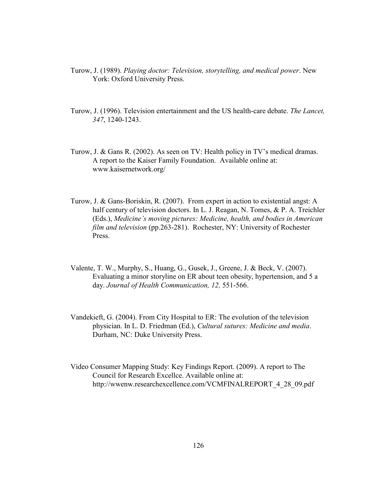- Turow, J. (1989). *Playing doctor: Television, storytelling, and medical power*. New York: Oxford University Press.
- Turow, J. (1996). Television entertainment and the US health-care debate. *The Lancet, 347*, 1240-1243.
- Turow, J. & Gans R. (2002). As seen on TV: Health policy in TV's medical dramas. A report to the Kaiser Family Foundation. Available online at: www.kaisernetwork.org/
- Turow, J. & Gans-Boriskin, R. (2007). From expert in action to existential angst: A half century of television doctors. In L. J. Reagan, N. Tomes, & P. A. Treichler (Eds.), *Medicine's moving pictures: Medicine, health, and bodies in American film and television* (pp.263-281). Rochester, NY: University of Rochester Press.
- Valente, T. W., Murphy, S., Huang, G., Gusek, J., Greene, J. & Beck, V. (2007). Evaluating a minor storyline on ER about teen obesity, hypertension, and 5 a day. *Journal of Health Communication, 12,* 551-566.
- Vandekieft, G. (2004). From City Hospital to ER: The evolution of the television physician. In L. D. Friedman (Ed.), *Cultural sutures: Medicine and media*. Durham, NC: Duke University Press.
- Video Consumer Mapping Study: Key Findings Report. (2009). A report to The Council for Research Excellce. Available online at: http://wwenw.researchexcellence.com/VCMFINALREPORT\_4\_28\_09.pdf